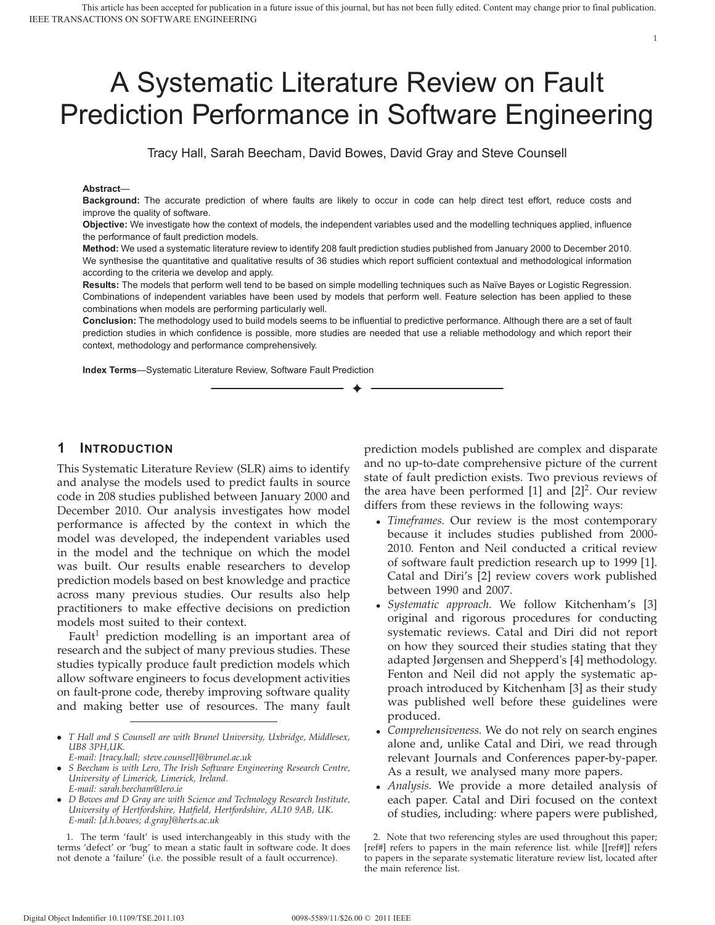# A Systematic Literature Review on Fault Prediction Performance in Software Engineering

Tracy Hall, Sarah Beecham, David Bowes, David Gray and Steve Counsell

#### **Abstract**—

**Background:** The accurate prediction of where faults are likely to occur in code can help direct test effort, reduce costs and improve the quality of software.

**Objective:** We investigate how the context of models, the independent variables used and the modelling techniques applied, influence the performance of fault prediction models.

**Method:** We used a systematic literature review to identify 208 fault prediction studies published from January 2000 to December 2010. We synthesise the quantitative and qualitative results of 36 studies which report sufficient contextual and methodological information according to the criteria we develop and apply.

**Results:** The models that perform well tend to be based on simple modelling techniques such as Naïve Bayes or Logistic Regression. Combinations of independent variables have been used by models that perform well. Feature selection has been applied to these combinations when models are performing particularly well.

**Conclusion:** The methodology used to build models seems to be influential to predictive performance. Although there are a set of fault prediction studies in which confidence is possible, more studies are needed that use a reliable methodology and which report their context, methodology and performance comprehensively.

✦

**Index Terms**—Systematic Literature Review, Software Fault Prediction

## **1 INTRODUCTION**

This Systematic Literature Review (SLR) aims to identify and analyse the models used to predict faults in source code in 208 studies published between January 2000 and December 2010. Our analysis investigates how model performance is affected by the context in which the model was developed, the independent variables used in the model and the technique on which the model was built. Our results enable researchers to develop prediction models based on best knowledge and practice across many previous studies. Our results also help practitioners to make effective decisions on prediction models most suited to their context.

Fault<sup>1</sup> prediction modelling is an important area of research and the subject of many previous studies. These studies typically produce fault prediction models which allow software engineers to focus development activities on fault-prone code, thereby improving software quality and making better use of resources. The many fault

- *T Hall and S Counsell are with Brunel University, Uxbridge, Middlesex, UB8 3PH,UK.*
- *E-mail: [tracy.hall; steve.counsell]@brunel.ac.uk*
- *S Beecham is with Lero, The Irish Software Engineering Research Centre, University of Limerick, Limerick, Ireland. E-mail: sarah.beecham@lero.ie*
- *D Bowes and D Gray are with Science and Technology Research Institute, University of Hertfordshire, Hatfield, Hertfordshire, AL10 9AB, UK. E-mail: [d.h.bowes; d.gray]@herts.ac.uk*

1. The term 'fault' is used interchangeably in this study with the terms 'defect' or 'bug' to mean a static fault in software code. It does not denote a 'failure' (i.e. the possible result of a fault occurrence).

prediction models published are complex and disparate and no up-to-date comprehensive picture of the current state of fault prediction exists. Two previous reviews of the area have been performed  $[1]$  and  $[2]^2$ . Our review differs from these reviews in the following ways:

- *Timeframes.* Our review is the most contemporary because it includes studies published from 2000- 2010*.* Fenton and Neil conducted a critical review of software fault prediction research up to 1999 [1]. Catal and Diri's [2] review covers work published between 1990 and 2007.
- *Systematic approach.* We follow Kitchenham's [3] original and rigorous procedures for conducting systematic reviews. Catal and Diri did not report on how they sourced their studies stating that they adapted Jørgensen and Shepperd's [4] methodology. Fenton and Neil did not apply the systematic approach introduced by Kitchenham [3] as their study was published well before these guidelines were produced.
- *Comprehensiveness.* We do not rely on search engines alone and, unlike Catal and Diri, we read through relevant Journals and Conferences paper-by-paper. As a result, we analysed many more papers.
- *Analysis.* We provide a more detailed analysis of each paper. Catal and Diri focused on the context of studies, including: where papers were published,

<sup>2.</sup> Note that two referencing styles are used throughout this paper; [ref#] refers to papers in the main reference list. while [[ref#]] refers to papers in the separate systematic literature review list, located after the main reference list.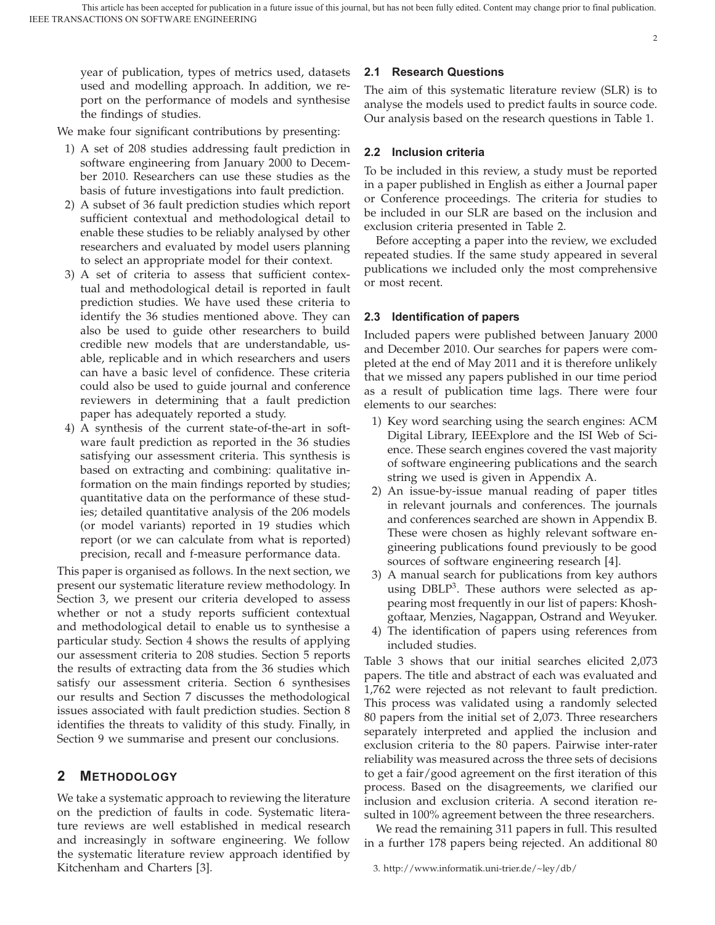year of publication, types of metrics used, datasets used and modelling approach. In addition, we report on the performance of models and synthesise the findings of studies.

We make four significant contributions by presenting:

- 1) A set of 208 studies addressing fault prediction in software engineering from January 2000 to December 2010. Researchers can use these studies as the basis of future investigations into fault prediction.
- 2) A subset of 36 fault prediction studies which report sufficient contextual and methodological detail to enable these studies to be reliably analysed by other researchers and evaluated by model users planning to select an appropriate model for their context.
- 3) A set of criteria to assess that sufficient contextual and methodological detail is reported in fault prediction studies. We have used these criteria to identify the 36 studies mentioned above. They can also be used to guide other researchers to build credible new models that are understandable, usable, replicable and in which researchers and users can have a basic level of confidence. These criteria could also be used to guide journal and conference reviewers in determining that a fault prediction paper has adequately reported a study.
- 4) A synthesis of the current state-of-the-art in software fault prediction as reported in the 36 studies satisfying our assessment criteria. This synthesis is based on extracting and combining: qualitative information on the main findings reported by studies; quantitative data on the performance of these studies; detailed quantitative analysis of the 206 models (or model variants) reported in 19 studies which report (or we can calculate from what is reported) precision, recall and f-measure performance data.

This paper is organised as follows. In the next section, we present our systematic literature review methodology. In Section 3, we present our criteria developed to assess whether or not a study reports sufficient contextual and methodological detail to enable us to synthesise a particular study. Section 4 shows the results of applying our assessment criteria to 208 studies. Section 5 reports the results of extracting data from the 36 studies which satisfy our assessment criteria. Section 6 synthesises our results and Section 7 discusses the methodological issues associated with fault prediction studies. Section 8 identifies the threats to validity of this study. Finally, in Section 9 we summarise and present our conclusions.

## **2 METHODOLOGY**

We take a systematic approach to reviewing the literature on the prediction of faults in code. Systematic literature reviews are well established in medical research and increasingly in software engineering. We follow the systematic literature review approach identified by Kitchenham and Charters [3].

## **2.1 Research Questions**

The aim of this systematic literature review (SLR) is to analyse the models used to predict faults in source code. Our analysis based on the research questions in Table 1.

 $\overline{2}$ 

## **2.2 Inclusion criteria**

To be included in this review, a study must be reported in a paper published in English as either a Journal paper or Conference proceedings. The criteria for studies to be included in our SLR are based on the inclusion and exclusion criteria presented in Table 2.

Before accepting a paper into the review, we excluded repeated studies. If the same study appeared in several publications we included only the most comprehensive or most recent.

## **2.3 Identification of papers**

Included papers were published between January 2000 and December 2010. Our searches for papers were completed at the end of May 2011 and it is therefore unlikely that we missed any papers published in our time period as a result of publication time lags. There were four elements to our searches:

- 1) Key word searching using the search engines: ACM Digital Library, IEEExplore and the ISI Web of Science. These search engines covered the vast majority of software engineering publications and the search string we used is given in Appendix A.
- 2) An issue-by-issue manual reading of paper titles in relevant journals and conferences. The journals and conferences searched are shown in Appendix B. These were chosen as highly relevant software engineering publications found previously to be good sources of software engineering research [4].
- 3) A manual search for publications from key authors using  $DBLP<sup>3</sup>$ . These authors were selected as appearing most frequently in our list of papers: Khoshgoftaar, Menzies, Nagappan, Ostrand and Weyuker.
- 4) The identification of papers using references from included studies.

Table 3 shows that our initial searches elicited 2,073 papers. The title and abstract of each was evaluated and 1,762 were rejected as not relevant to fault prediction. This process was validated using a randomly selected 80 papers from the initial set of 2,073. Three researchers separately interpreted and applied the inclusion and exclusion criteria to the 80 papers. Pairwise inter-rater reliability was measured across the three sets of decisions to get a fair/good agreement on the first iteration of this process. Based on the disagreements, we clarified our inclusion and exclusion criteria. A second iteration resulted in 100% agreement between the three researchers.

We read the remaining 311 papers in full. This resulted in a further 178 papers being rejected. An additional 80

<sup>3.</sup> http://www.informatik.uni-trier.de/~ley/db/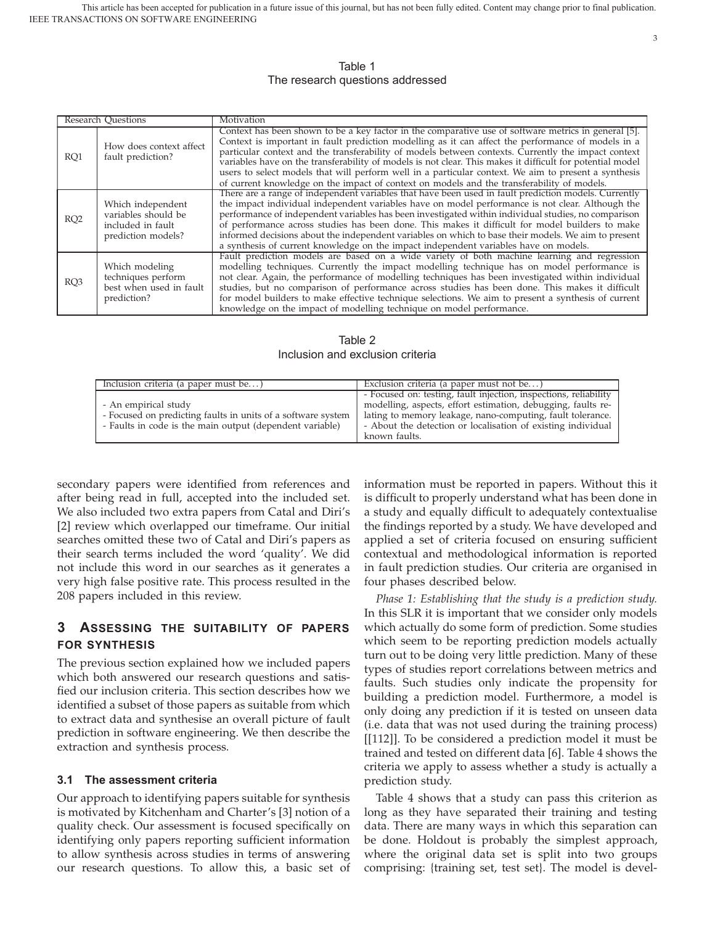## Table 1 The research questions addressed

| <b>Research Questions</b> |                                                                                     | Motivation                                                                                                                                                                                                                                                                                                                                                                                                                                                                                                                                                                                                                           |
|---------------------------|-------------------------------------------------------------------------------------|--------------------------------------------------------------------------------------------------------------------------------------------------------------------------------------------------------------------------------------------------------------------------------------------------------------------------------------------------------------------------------------------------------------------------------------------------------------------------------------------------------------------------------------------------------------------------------------------------------------------------------------|
| RO <sub>1</sub>           | How does context affect<br>fault prediction?                                        | Context has been shown to be a key factor in the comparative use of software metrics in general [5].<br>Context is important in fault prediction modelling as it can affect the performance of models in a<br>particular context and the transferability of models between contexts. Currently the impact context<br>variables have on the transferability of models is not clear. This makes it difficult for potential model<br>users to select models that will perform well in a particular context. We aim to present a synthesis<br>of current knowledge on the impact of context on models and the transferability of models. |
| RO <sub>2</sub>           | Which independent<br>variables should be<br>included in fault<br>prediction models? | There are a range of independent variables that have been used in fault prediction models. Currently<br>the impact individual independent variables have on model performance is not clear. Although the<br>performance of independent variables has been investigated within individual studies, no comparison<br>of performance across studies has been done. This makes it difficult for model builders to make<br>informed decisions about the independent variables on which to base their models. We aim to present<br>a synthesis of current knowledge on the impact independent variables have on models.                    |
| RO <sub>3</sub>           | Which modeling<br>techniques perform<br>best when used in fault<br>prediction?      | Fault prediction models are based on a wide variety of both machine learning and regression<br>modelling techniques. Currently the impact modelling technique has on model performance is<br>not clear. Again, the performance of modelling techniques has been investigated within individual<br>studies, but no comparison of performance across studies has been done. This makes it difficult<br>for model builders to make effective technique selections. We aim to present a synthesis of current<br>knowledge on the impact of modelling technique on model performance.                                                     |

Table 2 Inclusion and exclusion criteria

| Inclusion criteria (a paper must be)                         | Exclusion criteria (a paper must not be)                         |
|--------------------------------------------------------------|------------------------------------------------------------------|
|                                                              | - Focused on: testing, fault injection, inspections, reliability |
| - An empirical study                                         | modelling, aspects, effort estimation, debugging, faults re-     |
| - Focused on predicting faults in units of a software system | lating to memory leakage, nano-computing, fault tolerance.       |
| - Faults in code is the main output (dependent variable)     | - About the detection or localisation of existing individual     |
|                                                              | known faults.                                                    |

secondary papers were identified from references and after being read in full, accepted into the included set. We also included two extra papers from Catal and Diri's [2] review which overlapped our timeframe. Our initial searches omitted these two of Catal and Diri's papers as their search terms included the word 'quality'. We did not include this word in our searches as it generates a very high false positive rate. This process resulted in the 208 papers included in this review.

## **3 ASSESSING THE SUITABILITY OF PAPERS FOR SYNTHESIS**

The previous section explained how we included papers which both answered our research questions and satisfied our inclusion criteria. This section describes how we identified a subset of those papers as suitable from which to extract data and synthesise an overall picture of fault prediction in software engineering. We then describe the extraction and synthesis process.

## **3.1 The assessment criteria**

Our approach to identifying papers suitable for synthesis is motivated by Kitchenham and Charter's [3] notion of a quality check. Our assessment is focused specifically on identifying only papers reporting sufficient information to allow synthesis across studies in terms of answering our research questions. To allow this, a basic set of information must be reported in papers. Without this it is difficult to properly understand what has been done in a study and equally difficult to adequately contextualise the findings reported by a study. We have developed and applied a set of criteria focused on ensuring sufficient contextual and methodological information is reported in fault prediction studies. Our criteria are organised in four phases described below.

*Phase 1: Establishing that the study is a prediction study.* In this SLR it is important that we consider only models which actually do some form of prediction. Some studies which seem to be reporting prediction models actually turn out to be doing very little prediction. Many of these types of studies report correlations between metrics and faults. Such studies only indicate the propensity for building a prediction model. Furthermore, a model is only doing any prediction if it is tested on unseen data (i.e. data that was not used during the training process) [[112]]. To be considered a prediction model it must be trained and tested on different data [6]. Table 4 shows the criteria we apply to assess whether a study is actually a prediction study.

Table 4 shows that a study can pass this criterion as long as they have separated their training and testing data. There are many ways in which this separation can be done. Holdout is probably the simplest approach, where the original data set is split into two groups comprising: {training set, test set}. The model is devel-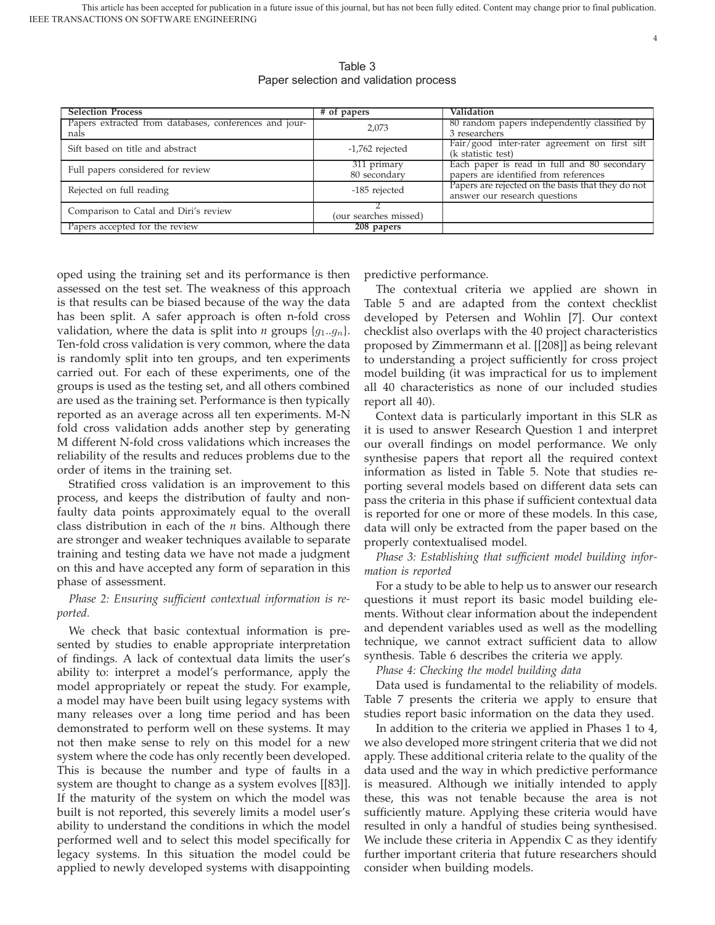| <b>Selection Process</b>                               | # of papers           | Validation                                        |
|--------------------------------------------------------|-----------------------|---------------------------------------------------|
| Papers extracted from databases, conferences and jour- | 2,073                 | 80 random papers independently classified by      |
| nals                                                   |                       | 3 researchers                                     |
| Sift based on title and abstract                       | $-1,762$ rejected     | Fair/good inter-rater agreement on first sift     |
|                                                        |                       | (k statistic test)                                |
| Full papers considered for review                      | 311 primary           | Each paper is read in full and 80 secondary       |
|                                                        | 80 secondary          | papers are identified from references             |
| Rejected on full reading                               | -185 rejected         | Papers are rejected on the basis that they do not |
|                                                        |                       | answer our research questions                     |
| Comparison to Catal and Diri's review                  |                       |                                                   |
|                                                        | (our searches missed) |                                                   |
| Papers accepted for the review                         | 208 papers            |                                                   |

Table 3 Paper selection and validation process

oped using the training set and its performance is then assessed on the test set. The weakness of this approach is that results can be biased because of the way the data has been split. A safer approach is often n-fold cross validation, where the data is split into *n* groups  $\{g_1, g_n\}$ . Ten-fold cross validation is very common, where the data is randomly split into ten groups, and ten experiments carried out. For each of these experiments, one of the groups is used as the testing set, and all others combined are used as the training set. Performance is then typically reported as an average across all ten experiments. M-N fold cross validation adds another step by generating M different N-fold cross validations which increases the reliability of the results and reduces problems due to the order of items in the training set.

Stratified cross validation is an improvement to this process, and keeps the distribution of faulty and nonfaulty data points approximately equal to the overall class distribution in each of the *n* bins. Although there are stronger and weaker techniques available to separate training and testing data we have not made a judgment on this and have accepted any form of separation in this phase of assessment.

## *Phase 2: Ensuring sufficient contextual information is reported.*

We check that basic contextual information is presented by studies to enable appropriate interpretation of findings. A lack of contextual data limits the user's ability to: interpret a model's performance, apply the model appropriately or repeat the study. For example, a model may have been built using legacy systems with many releases over a long time period and has been demonstrated to perform well on these systems. It may not then make sense to rely on this model for a new system where the code has only recently been developed. This is because the number and type of faults in a system are thought to change as a system evolves [[83]]. If the maturity of the system on which the model was built is not reported, this severely limits a model user's ability to understand the conditions in which the model performed well and to select this model specifically for legacy systems. In this situation the model could be applied to newly developed systems with disappointing

predictive performance.

The contextual criteria we applied are shown in Table 5 and are adapted from the context checklist developed by Petersen and Wohlin [7]. Our context checklist also overlaps with the 40 project characteristics proposed by Zimmermann et al. [[208]] as being relevant to understanding a project sufficiently for cross project model building (it was impractical for us to implement all 40 characteristics as none of our included studies report all 40).

Context data is particularly important in this SLR as it is used to answer Research Question 1 and interpret our overall findings on model performance. We only synthesise papers that report all the required context information as listed in Table 5. Note that studies reporting several models based on different data sets can pass the criteria in this phase if sufficient contextual data is reported for one or more of these models. In this case, data will only be extracted from the paper based on the properly contextualised model.

*Phase 3: Establishing that sufficient model building information is reported*

For a study to be able to help us to answer our research questions it must report its basic model building elements. Without clear information about the independent and dependent variables used as well as the modelling technique, we cannot extract sufficient data to allow synthesis. Table 6 describes the criteria we apply.

*Phase 4: Checking the model building data*

Data used is fundamental to the reliability of models. Table 7 presents the criteria we apply to ensure that studies report basic information on the data they used.

In addition to the criteria we applied in Phases 1 to 4, we also developed more stringent criteria that we did not apply. These additional criteria relate to the quality of the data used and the way in which predictive performance is measured. Although we initially intended to apply these, this was not tenable because the area is not sufficiently mature. Applying these criteria would have resulted in only a handful of studies being synthesised. We include these criteria in Appendix C as they identify further important criteria that future researchers should consider when building models.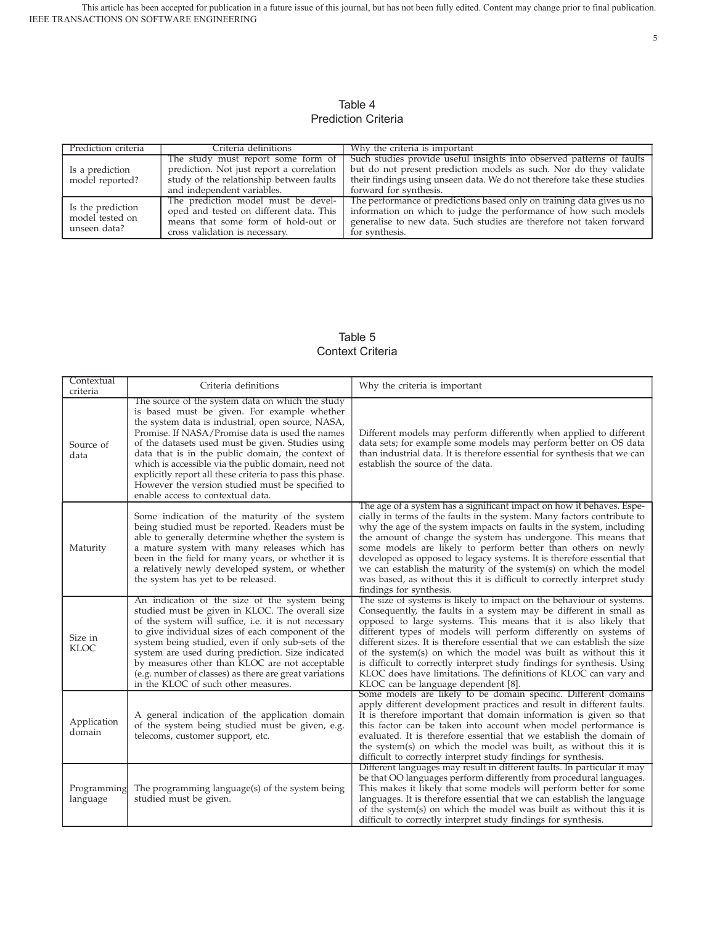IEEE TRANSACTIONS ON SOFTWARE ENGINEERING This article has been accepted for publication in a future issue of this journal, but has not been fully edited. Content may change prior to final publication.

## Table 4 Prediction Criteria

| Prediction criteria | Criteria definitions                      | Why the criteria is important                                            |  |
|---------------------|-------------------------------------------|--------------------------------------------------------------------------|--|
|                     | The study must report some form of        | Such studies provide useful insights into observed patterns of faults    |  |
| Is a prediction     | prediction. Not just report a correlation | but do not present prediction models as such. Nor do they validate       |  |
| model reported?     | study of the relationship between faults  | their findings using unseen data. We do not therefore take these studies |  |
|                     | and independent variables.                | forward for synthesis.                                                   |  |
|                     | The prediction model must be devel-       | The performance of predictions based only on training data gives us no   |  |
| Is the prediction   | oped and tested on different data. This   | information on which to judge the performance of how such models         |  |
| model tested on     | means that some form of hold-out or       | generalise to new data. Such studies are therefore not taken forward     |  |
| unseen data?        | cross validation is necessary.            | for synthesis.                                                           |  |

## Table 5 Context Criteria

| Contextual<br>criteria  | Criteria definitions                                                                                                                                                                                                                                                                                                                                                                                                                                                                                                          | Why the criteria is important                                                                                                                                                                                                                                                                                                                                                                                                                                                                                                                                                                                            |
|-------------------------|-------------------------------------------------------------------------------------------------------------------------------------------------------------------------------------------------------------------------------------------------------------------------------------------------------------------------------------------------------------------------------------------------------------------------------------------------------------------------------------------------------------------------------|--------------------------------------------------------------------------------------------------------------------------------------------------------------------------------------------------------------------------------------------------------------------------------------------------------------------------------------------------------------------------------------------------------------------------------------------------------------------------------------------------------------------------------------------------------------------------------------------------------------------------|
| Source of<br>data       | The source of the system data on which the study<br>is based must be given. For example whether<br>the system data is industrial, open source, NASA,<br>Promise. If NASA/Promise data is used the names<br>of the datasets used must be given. Studies using<br>data that is in the public domain, the context of<br>which is accessible via the public domain, need not<br>explicitly report all these criteria to pass this phase.<br>However the version studied must be specified to<br>enable access to contextual data. | Different models may perform differently when applied to different<br>data sets; for example some models may perform better on OS data<br>than industrial data. It is therefore essential for synthesis that we can<br>establish the source of the data.                                                                                                                                                                                                                                                                                                                                                                 |
| Maturity                | Some indication of the maturity of the system<br>being studied must be reported. Readers must be<br>able to generally determine whether the system is<br>a mature system with many releases which has<br>been in the field for many years, or whether it is<br>a relatively newly developed system, or whether<br>the system has yet to be released.                                                                                                                                                                          | The age of a system has a significant impact on how it behaves. Espe-<br>cially in terms of the faults in the system. Many factors contribute to<br>why the age of the system impacts on faults in the system, including<br>the amount of change the system has undergone. This means that<br>some models are likely to perform better than others on newly<br>developed as opposed to legacy systems. It is therefore essential that<br>we can establish the maturity of the system(s) on which the model<br>was based, as without this it is difficult to correctly interpret study<br>findings for synthesis.         |
| Size in<br><b>KLOC</b>  | An indication of the size of the system being<br>studied must be given in KLOC. The overall size<br>of the system will suffice, i.e. it is not necessary<br>to give individual sizes of each component of the<br>system being studied, even if only sub-sets of the<br>system are used during prediction. Size indicated<br>by measures other than KLOC are not acceptable<br>(e.g. number of classes) as there are great variations<br>in the KLOC of such other measures.                                                   | The size of systems is likely to impact on the behaviour of systems.<br>Consequently, the faults in a system may be different in small as<br>opposed to large systems. This means that it is also likely that<br>different types of models will perform differently on systems of<br>different sizes. It is therefore essential that we can establish the size<br>of the system(s) on which the model was built as without this it<br>is difficult to correctly interpret study findings for synthesis. Using<br>KLOC does have limitations. The definitions of KLOC can vary and<br>KLOC can be language dependent [8]. |
| Application<br>domain   | A general indication of the application domain<br>of the system being studied must be given, e.g.<br>telecoms, customer support, etc.                                                                                                                                                                                                                                                                                                                                                                                         | Some models are likely to be domain specific. Different domains<br>apply different development practices and result in different faults.<br>It is therefore important that domain information is given so that<br>this factor can be taken into account when model performance is<br>evaluated. It is therefore essential that we establish the domain of<br>the system(s) on which the model was built, as without this it is<br>difficult to correctly interpret study findings for synthesis.                                                                                                                         |
| Programming<br>language | The programming language(s) of the system being<br>studied must be given.                                                                                                                                                                                                                                                                                                                                                                                                                                                     | Different languages may result in different faults. In particular it may<br>be that OO languages perform differently from procedural languages.<br>This makes it likely that some models will perform better for some<br>languages. It is therefore essential that we can establish the language<br>of the system(s) on which the model was built as without this it is<br>difficult to correctly interpret study findings for synthesis.                                                                                                                                                                                |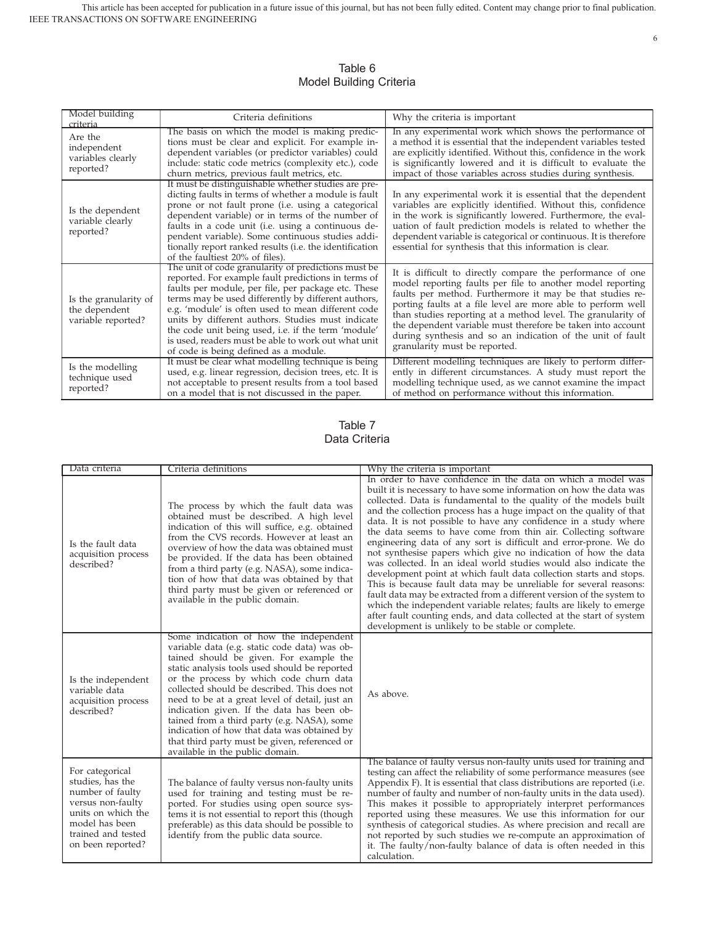| Model building<br>criteria                                   | Criteria definitions                                                                                                                                                                                                                                                                                                                                                                                                                                                                       | Why the criteria is important                                                                                                                                                                                                                                                                                                                                                                                                                                                       |
|--------------------------------------------------------------|--------------------------------------------------------------------------------------------------------------------------------------------------------------------------------------------------------------------------------------------------------------------------------------------------------------------------------------------------------------------------------------------------------------------------------------------------------------------------------------------|-------------------------------------------------------------------------------------------------------------------------------------------------------------------------------------------------------------------------------------------------------------------------------------------------------------------------------------------------------------------------------------------------------------------------------------------------------------------------------------|
| Are the<br>independent<br>variables clearly<br>reported?     | The basis on which the model is making predic-<br>tions must be clear and explicit. For example in-<br>dependent variables (or predictor variables) could<br>include: static code metrics (complexity etc.), code<br>churn metrics, previous fault metrics, etc.                                                                                                                                                                                                                           | In any experimental work which shows the performance of<br>a method it is essential that the independent variables tested<br>are explicitly identified. Without this, confidence in the work<br>is significantly lowered and it is difficult to evaluate the<br>impact of those variables across studies during synthesis.                                                                                                                                                          |
| Is the dependent<br>variable clearly<br>reported?            | It must be distinguishable whether studies are pre-<br>dicting faults in terms of whether a module is fault<br>prone or not fault prone (i.e. using a categorical<br>dependent variable) or in terms of the number of<br>faults in a code unit (i.e. using a continuous de-<br>pendent variable). Some continuous studies addi-<br>tionally report ranked results (i.e. the identification<br>of the faultiest 20% of files).                                                              | In any experimental work it is essential that the dependent<br>variables are explicitly identified. Without this, confidence<br>in the work is significantly lowered. Furthermore, the eval-<br>uation of fault prediction models is related to whether the<br>dependent variable is categorical or continuous. It is therefore<br>essential for synthesis that this information is clear.                                                                                          |
| Is the granularity of<br>the dependent<br>variable reported? | The unit of code granularity of predictions must be<br>reported. For example fault predictions in terms of<br>faults per module, per file, per package etc. These<br>terms may be used differently by different authors,<br>e.g. 'module' is often used to mean different code<br>units by different authors. Studies must indicate<br>the code unit being used, i.e. if the term 'module'<br>is used, readers must be able to work out what unit<br>of code is being defined as a module. | It is difficult to directly compare the performance of one<br>model reporting faults per file to another model reporting<br>faults per method. Furthermore it may be that studies re-<br>porting faults at a file level are more able to perform well<br>than studies reporting at a method level. The granularity of<br>the dependent variable must therefore be taken into account<br>during synthesis and so an indication of the unit of fault<br>granularity must be reported. |
| Is the modelling<br>technique used<br>reported?              | It must be clear what modelling technique is being<br>used, e.g. linear regression, decision trees, etc. It is<br>not acceptable to present results from a tool based<br>on a model that is not discussed in the paper.                                                                                                                                                                                                                                                                    | Different modelling techniques are likely to perform differ-<br>ently in different circumstances. A study must report the<br>modelling technique used, as we cannot examine the impact<br>of method on performance without this information.                                                                                                                                                                                                                                        |

## Table 6 Model Building Criteria

## Table 7 Data Criteria

| Data criteria                                                                                                                                                   | Criteria definitions                                                                                                                                                                                                                                                                                                                                                                                                                                                                                                                                             | Why the criteria is important                                                                                                                                                                                                                                                                                                                                                                                                                                                                                                                                                                                                                                                                                                                                                                                                                                                                                                                                                                                                                          |
|-----------------------------------------------------------------------------------------------------------------------------------------------------------------|------------------------------------------------------------------------------------------------------------------------------------------------------------------------------------------------------------------------------------------------------------------------------------------------------------------------------------------------------------------------------------------------------------------------------------------------------------------------------------------------------------------------------------------------------------------|--------------------------------------------------------------------------------------------------------------------------------------------------------------------------------------------------------------------------------------------------------------------------------------------------------------------------------------------------------------------------------------------------------------------------------------------------------------------------------------------------------------------------------------------------------------------------------------------------------------------------------------------------------------------------------------------------------------------------------------------------------------------------------------------------------------------------------------------------------------------------------------------------------------------------------------------------------------------------------------------------------------------------------------------------------|
| Is the fault data<br>acquisition process<br>described?                                                                                                          | The process by which the fault data was<br>obtained must be described. A high level<br>indication of this will suffice, e.g. obtained<br>from the CVS records. However at least an<br>overview of how the data was obtained must<br>be provided. If the data has been obtained<br>from a third party (e.g. NASA), some indica-<br>tion of how that data was obtained by that<br>third party must be given or referenced or<br>available in the public domain.                                                                                                    | In order to have confidence in the data on which a model was<br>built it is necessary to have some information on how the data was<br>collected. Data is fundamental to the quality of the models built<br>and the collection process has a huge impact on the quality of that<br>data. It is not possible to have any confidence in a study where<br>the data seems to have come from thin air. Collecting software<br>engineering data of any sort is difficult and error-prone. We do<br>not synthesise papers which give no indication of how the data<br>was collected. In an ideal world studies would also indicate the<br>development point at which fault data collection starts and stops.<br>This is because fault data may be unreliable for several reasons:<br>fault data may be extracted from a different version of the system to<br>which the independent variable relates; faults are likely to emerge<br>after fault counting ends, and data collected at the start of system<br>development is unlikely to be stable or complete. |
| Is the independent<br>variable data<br>acquisition process<br>described?                                                                                        | Some indication of how the independent<br>variable data (e.g. static code data) was ob-<br>tained should be given. For example the<br>static analysis tools used should be reported<br>or the process by which code churn data<br>collected should be described. This does not<br>need to be at a great level of detail, just an<br>indication given. If the data has been ob-<br>tained from a third party (e.g. NASA), some<br>indication of how that data was obtained by<br>that third party must be given, referenced or<br>available in the public domain. | As above.                                                                                                                                                                                                                                                                                                                                                                                                                                                                                                                                                                                                                                                                                                                                                                                                                                                                                                                                                                                                                                              |
| For categorical<br>studies, has the<br>number of faulty<br>versus non-faulty<br>units on which the<br>model has been<br>trained and tested<br>on been reported? | The balance of faulty versus non-faulty units<br>used for training and testing must be re-<br>ported. For studies using open source sys-<br>tems it is not essential to report this (though<br>preferable) as this data should be possible to<br>identify from the public data source.                                                                                                                                                                                                                                                                           | The balance of faulty versus non-faulty units used for training and<br>testing can affect the reliability of some performance measures (see<br>Appendix F). It is essential that class distributions are reported (i.e.<br>number of faulty and number of non-faulty units in the data used).<br>This makes it possible to appropriately interpret performances<br>reported using these measures. We use this information for our<br>synthesis of categorical studies. As where precision and recall are<br>not reported by such studies we re-compute an approximation of<br>it. The faulty/non-faulty balance of data is often needed in this<br>calculation.                                                                                                                                                                                                                                                                                                                                                                                        |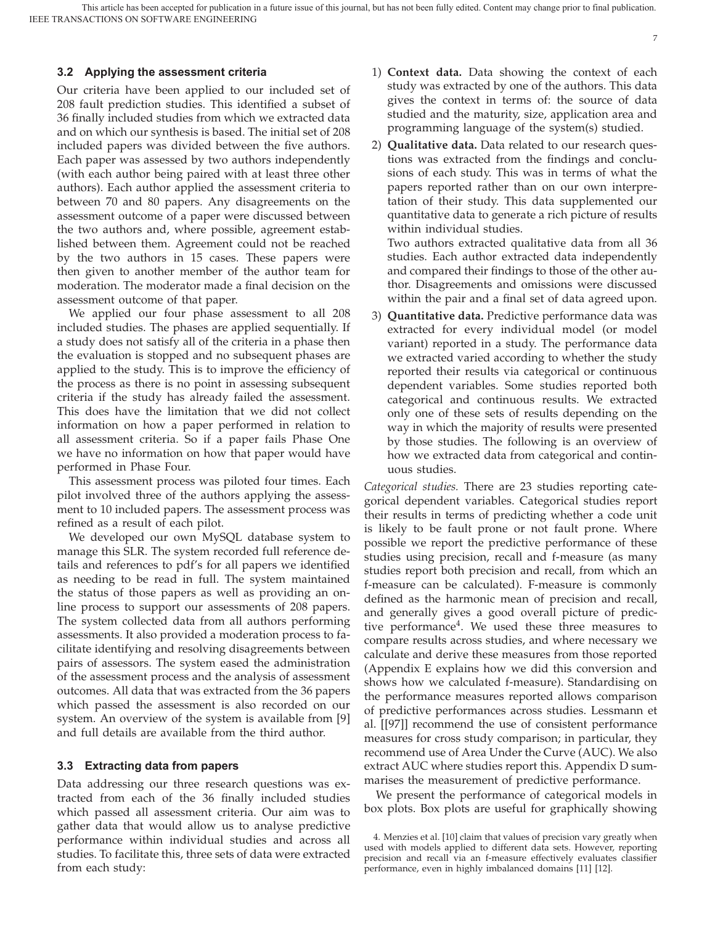IEEE TRANSACTIONS ON SOFTWARE ENGINEERING This article has been accepted for publication in a future issue of this journal, but has not been fully edited. Content may change prior to final publication.

#### **3.2 Applying the assessment criteria**

Our criteria have been applied to our included set of 208 fault prediction studies. This identified a subset of 36 finally included studies from which we extracted data and on which our synthesis is based. The initial set of 208 included papers was divided between the five authors. Each paper was assessed by two authors independently (with each author being paired with at least three other authors). Each author applied the assessment criteria to between 70 and 80 papers. Any disagreements on the assessment outcome of a paper were discussed between the two authors and, where possible, agreement established between them. Agreement could not be reached by the two authors in 15 cases. These papers were then given to another member of the author team for moderation. The moderator made a final decision on the assessment outcome of that paper.

We applied our four phase assessment to all 208 included studies. The phases are applied sequentially. If a study does not satisfy all of the criteria in a phase then the evaluation is stopped and no subsequent phases are applied to the study. This is to improve the efficiency of the process as there is no point in assessing subsequent criteria if the study has already failed the assessment. This does have the limitation that we did not collect information on how a paper performed in relation to all assessment criteria. So if a paper fails Phase One we have no information on how that paper would have performed in Phase Four.

This assessment process was piloted four times. Each pilot involved three of the authors applying the assessment to 10 included papers. The assessment process was refined as a result of each pilot.

We developed our own MySQL database system to manage this SLR. The system recorded full reference details and references to pdf's for all papers we identified as needing to be read in full. The system maintained the status of those papers as well as providing an online process to support our assessments of 208 papers. The system collected data from all authors performing assessments. It also provided a moderation process to facilitate identifying and resolving disagreements between pairs of assessors. The system eased the administration of the assessment process and the analysis of assessment outcomes. All data that was extracted from the 36 papers which passed the assessment is also recorded on our system. An overview of the system is available from [9] and full details are available from the third author.

#### **3.3 Extracting data from papers**

Data addressing our three research questions was extracted from each of the 36 finally included studies which passed all assessment criteria. Our aim was to gather data that would allow us to analyse predictive performance within individual studies and across all studies. To facilitate this, three sets of data were extracted from each study:

- 1) **Context data.** Data showing the context of each study was extracted by one of the authors. This data gives the context in terms of: the source of data studied and the maturity, size, application area and programming language of the system(s) studied.
- 2) **Qualitative data.** Data related to our research questions was extracted from the findings and conclusions of each study. This was in terms of what the papers reported rather than on our own interpretation of their study. This data supplemented our quantitative data to generate a rich picture of results within individual studies.

Two authors extracted qualitative data from all 36 studies. Each author extracted data independently and compared their findings to those of the other author. Disagreements and omissions were discussed within the pair and a final set of data agreed upon.

3) **Quantitative data.** Predictive performance data was extracted for every individual model (or model variant) reported in a study. The performance data we extracted varied according to whether the study reported their results via categorical or continuous dependent variables. Some studies reported both categorical and continuous results. We extracted only one of these sets of results depending on the way in which the majority of results were presented by those studies. The following is an overview of how we extracted data from categorical and continuous studies.

*Categorical studies.* There are 23 studies reporting categorical dependent variables. Categorical studies report their results in terms of predicting whether a code unit is likely to be fault prone or not fault prone. Where possible we report the predictive performance of these studies using precision, recall and f-measure (as many studies report both precision and recall, from which an f-measure can be calculated). F-measure is commonly defined as the harmonic mean of precision and recall, and generally gives a good overall picture of predictive performance<sup>4</sup>. We used these three measures to compare results across studies, and where necessary we calculate and derive these measures from those reported (Appendix E explains how we did this conversion and shows how we calculated f-measure). Standardising on the performance measures reported allows comparison of predictive performances across studies. Lessmann et al. [[97]] recommend the use of consistent performance measures for cross study comparison; in particular, they recommend use of Area Under the Curve (AUC). We also extract AUC where studies report this. Appendix D summarises the measurement of predictive performance.

We present the performance of categorical models in box plots. Box plots are useful for graphically showing

<sup>4.</sup> Menzies et al. [10] claim that values of precision vary greatly when used with models applied to different data sets. However, reporting precision and recall via an f-measure effectively evaluates classifier performance, even in highly imbalanced domains [11] [12].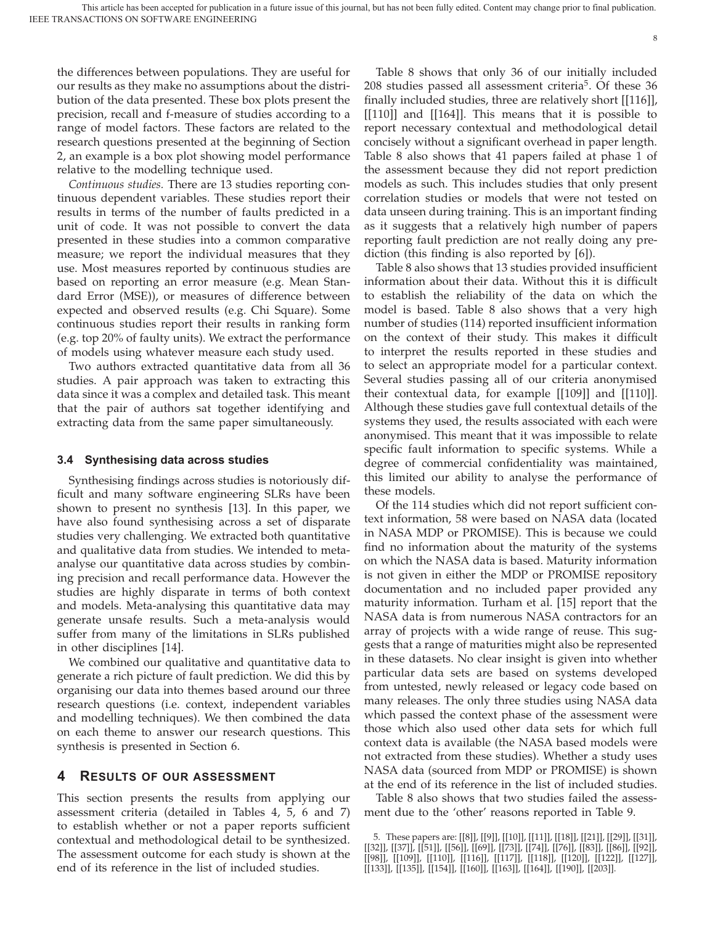the differences between populations. They are useful for our results as they make no assumptions about the distribution of the data presented. These box plots present the precision, recall and f-measure of studies according to a range of model factors. These factors are related to the research questions presented at the beginning of Section 2, an example is a box plot showing model performance relative to the modelling technique used.

*Continuous studies.* There are 13 studies reporting continuous dependent variables. These studies report their results in terms of the number of faults predicted in a unit of code. It was not possible to convert the data presented in these studies into a common comparative measure; we report the individual measures that they use. Most measures reported by continuous studies are based on reporting an error measure (e.g. Mean Standard Error (MSE)), or measures of difference between expected and observed results (e.g. Chi Square). Some continuous studies report their results in ranking form (e.g. top 20% of faulty units). We extract the performance of models using whatever measure each study used.

Two authors extracted quantitative data from all 36 studies. A pair approach was taken to extracting this data since it was a complex and detailed task. This meant that the pair of authors sat together identifying and extracting data from the same paper simultaneously.

#### **3.4 Synthesising data across studies**

Synthesising findings across studies is notoriously difficult and many software engineering SLRs have been shown to present no synthesis [13]. In this paper, we have also found synthesising across a set of disparate studies very challenging. We extracted both quantitative and qualitative data from studies. We intended to metaanalyse our quantitative data across studies by combining precision and recall performance data. However the studies are highly disparate in terms of both context and models. Meta-analysing this quantitative data may generate unsafe results. Such a meta-analysis would suffer from many of the limitations in SLRs published in other disciplines [14].

We combined our qualitative and quantitative data to generate a rich picture of fault prediction. We did this by organising our data into themes based around our three research questions (i.e. context, independent variables and modelling techniques). We then combined the data on each theme to answer our research questions. This synthesis is presented in Section 6.

## **4 RESULTS OF OUR ASSESSMENT**

This section presents the results from applying our assessment criteria (detailed in Tables 4, 5, 6 and 7) to establish whether or not a paper reports sufficient contextual and methodological detail to be synthesized. The assessment outcome for each study is shown at the end of its reference in the list of included studies.

Table 8 shows that only 36 of our initially included  $208$  studies passed all assessment criteria<sup>5</sup>. Of these  $36$ finally included studies, three are relatively short [[116]], [[110]] and [[164]]. This means that it is possible to report necessary contextual and methodological detail concisely without a significant overhead in paper length. Table 8 also shows that 41 papers failed at phase 1 of the assessment because they did not report prediction models as such. This includes studies that only present correlation studies or models that were not tested on data unseen during training. This is an important finding as it suggests that a relatively high number of papers reporting fault prediction are not really doing any prediction (this finding is also reported by [6]).

Table 8 also shows that 13 studies provided insufficient information about their data. Without this it is difficult to establish the reliability of the data on which the model is based. Table 8 also shows that a very high number of studies (114) reported insufficient information on the context of their study. This makes it difficult to interpret the results reported in these studies and to select an appropriate model for a particular context. Several studies passing all of our criteria anonymised their contextual data, for example [[109]] and [[110]]. Although these studies gave full contextual details of the systems they used, the results associated with each were anonymised. This meant that it was impossible to relate specific fault information to specific systems. While a degree of commercial confidentiality was maintained, this limited our ability to analyse the performance of these models.

Of the 114 studies which did not report sufficient context information, 58 were based on NASA data (located in NASA MDP or PROMISE). This is because we could find no information about the maturity of the systems on which the NASA data is based. Maturity information is not given in either the MDP or PROMISE repository documentation and no included paper provided any maturity information. Turham et al. [15] report that the NASA data is from numerous NASA contractors for an array of projects with a wide range of reuse. This suggests that a range of maturities might also be represented in these datasets. No clear insight is given into whether particular data sets are based on systems developed from untested, newly released or legacy code based on many releases. The only three studies using NASA data which passed the context phase of the assessment were those which also used other data sets for which full context data is available (the NASA based models were not extracted from these studies). Whether a study uses NASA data (sourced from MDP or PROMISE) is shown at the end of its reference in the list of included studies.

Table 8 also shows that two studies failed the assessment due to the 'other' reasons reported in Table 9.

<sup>5.</sup> These papers are: [[8]], [[9]], [[10]], [[11]], [[18]], [[21]], [[29]], [[31]], [[32]], [[37]], [[51]], [[56]], [[69]], [[73]], [[74]], [[76]], [[83]], [[86]], [[92]], [[98]], [[109]], [[110]], [[116]], [[117]], [[118]], [[120]], [[122]], [[127]], [[133]], [[135]], [[154]], [[160]], [[163]], [[164]], [[190]], [[203]].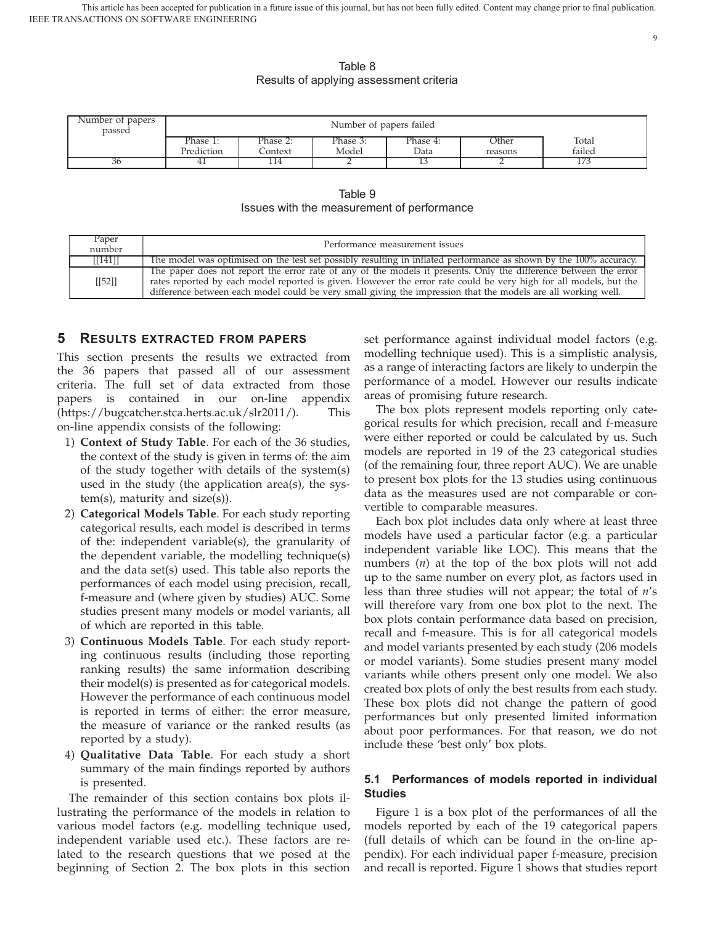9

Table 8 Results of applying assessment criteria

| Number of papers<br>passed | Number of papers failed |          |          |          |         |        |  |
|----------------------------|-------------------------|----------|----------|----------|---------|--------|--|
|                            | Phase 1:                | Phase 2: | Phase 3: | Phase 4: | Other   | Total  |  |
|                            | Prediction              | Context  | Model    | Data     | reasons | failed |  |
| 36                         | ᆂ                       | 114      | ∸        |          |         |        |  |

Table 9 Issues with the measurement of performance

| Paper<br>number                     | Performance measurement issues                                                                                                                                                                                                                                                                                                                         |
|-------------------------------------|--------------------------------------------------------------------------------------------------------------------------------------------------------------------------------------------------------------------------------------------------------------------------------------------------------------------------------------------------------|
| $\left[ \left[ 141 \right] \right]$ | The model was optimised on the test set possibly resulting in inflated performance as shown by the 100% accuracy.                                                                                                                                                                                                                                      |
| [[52]]                              | The paper does not report the error rate of any of the models it presents. Only the difference between the error<br>rates reported by each model reported is given. However the error rate could be very high for all models, but the<br>difference between each model could be very small giving the impression that the models are all working well. |

## **5 RESULTS EXTRACTED FROM PAPERS**

This section presents the results we extracted from the 36 papers that passed all of our assessment criteria. The full set of data extracted from those papers is contained in our on-line appendix (https://bugcatcher.stca.herts.ac.uk/slr2011/). This on-line appendix consists of the following:

- 1) **Context of Study Table**. For each of the 36 studies, the context of the study is given in terms of: the aim of the study together with details of the system(s) used in the study (the application area(s), the system(s), maturity and size(s)).
- 2) **Categorical Models Table**. For each study reporting categorical results, each model is described in terms of the: independent variable(s), the granularity of the dependent variable, the modelling technique(s) and the data set(s) used. This table also reports the performances of each model using precision, recall, f-measure and (where given by studies) AUC. Some studies present many models or model variants, all of which are reported in this table.
- 3) **Continuous Models Table**. For each study reporting continuous results (including those reporting ranking results) the same information describing their model(s) is presented as for categorical models. However the performance of each continuous model is reported in terms of either: the error measure, the measure of variance or the ranked results (as reported by a study).
- 4) **Qualitative Data Table**. For each study a short summary of the main findings reported by authors is presented.

The remainder of this section contains box plots illustrating the performance of the models in relation to various model factors (e.g. modelling technique used, independent variable used etc.). These factors are related to the research questions that we posed at the beginning of Section 2. The box plots in this section

set performance against individual model factors (e.g. modelling technique used). This is a simplistic analysis, as a range of interacting factors are likely to underpin the performance of a model. However our results indicate areas of promising future research.

The box plots represent models reporting only categorical results for which precision, recall and f-measure were either reported or could be calculated by us. Such models are reported in 19 of the 23 categorical studies (of the remaining four, three report AUC). We are unable to present box plots for the 13 studies using continuous data as the measures used are not comparable or convertible to comparable measures.

Each box plot includes data only where at least three models have used a particular factor (e.g. a particular independent variable like LOC). This means that the numbers (*n*) at the top of the box plots will not add up to the same number on every plot, as factors used in less than three studies will not appear; the total of *n*'s will therefore vary from one box plot to the next. The box plots contain performance data based on precision, recall and f-measure. This is for all categorical models and model variants presented by each study (206 models or model variants). Some studies present many model variants while others present only one model. We also created box plots of only the best results from each study. These box plots did not change the pattern of good performances but only presented limited information about poor performances. For that reason, we do not include these 'best only' box plots.

## **5.1 Performances of models reported in individual Studies**

Figure 1 is a box plot of the performances of all the models reported by each of the 19 categorical papers (full details of which can be found in the on-line appendix). For each individual paper f-measure, precision and recall is reported. Figure 1 shows that studies report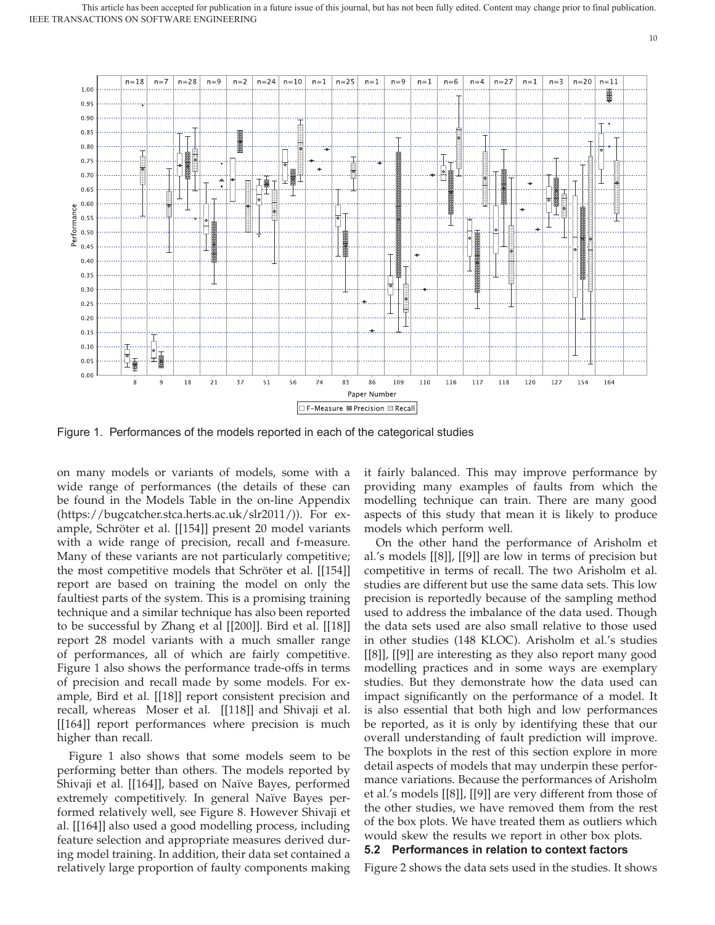

Figure 1. Performances of the models reported in each of the categorical studies

on many models or variants of models, some with a wide range of performances (the details of these can be found in the Models Table in the on-line Appendix (https://bugcatcher.stca.herts.ac.uk/slr2011/)). For example, Schröter et al. [[154]] present 20 model variants with a wide range of precision, recall and f-measure. Many of these variants are not particularly competitive; the most competitive models that Schröter et al. [[154]] report are based on training the model on only the faultiest parts of the system. This is a promising training technique and a similar technique has also been reported to be successful by Zhang et al [[200]]. Bird et al. [[18]] report 28 model variants with a much smaller range of performances, all of which are fairly competitive. Figure 1 also shows the performance trade-offs in terms of precision and recall made by some models. For example, Bird et al. [[18]] report consistent precision and recall, whereas Moser et al. [[118]] and Shivaji et al. [[164]] report performances where precision is much higher than recall.

Figure 1 also shows that some models seem to be performing better than others. The models reported by Shivaji et al. [[164]], based on Naïve Bayes, performed extremely competitively. In general Naïve Bayes performed relatively well, see Figure 8. However Shivaji et al. [[164]] also used a good modelling process, including feature selection and appropriate measures derived during model training. In addition, their data set contained a relatively large proportion of faulty components making

it fairly balanced. This may improve performance by providing many examples of faults from which the modelling technique can train. There are many good aspects of this study that mean it is likely to produce models which perform well.

On the other hand the performance of Arisholm et al.'s models [[8]], [[9]] are low in terms of precision but competitive in terms of recall. The two Arisholm et al. studies are different but use the same data sets. This low precision is reportedly because of the sampling method used to address the imbalance of the data used. Though the data sets used are also small relative to those used in other studies (148 KLOC). Arisholm et al.'s studies [[8]], [[9]] are interesting as they also report many good modelling practices and in some ways are exemplary studies. But they demonstrate how the data used can impact significantly on the performance of a model. It is also essential that both high and low performances be reported, as it is only by identifying these that our overall understanding of fault prediction will improve. The boxplots in the rest of this section explore in more detail aspects of models that may underpin these performance variations. Because the performances of Arisholm et al.'s models [[8]], [[9]] are very different from those of the other studies, we have removed them from the rest of the box plots. We have treated them as outliers which would skew the results we report in other box plots. **5.2 Performances in relation to context factors**

Figure 2 shows the data sets used in the studies. It shows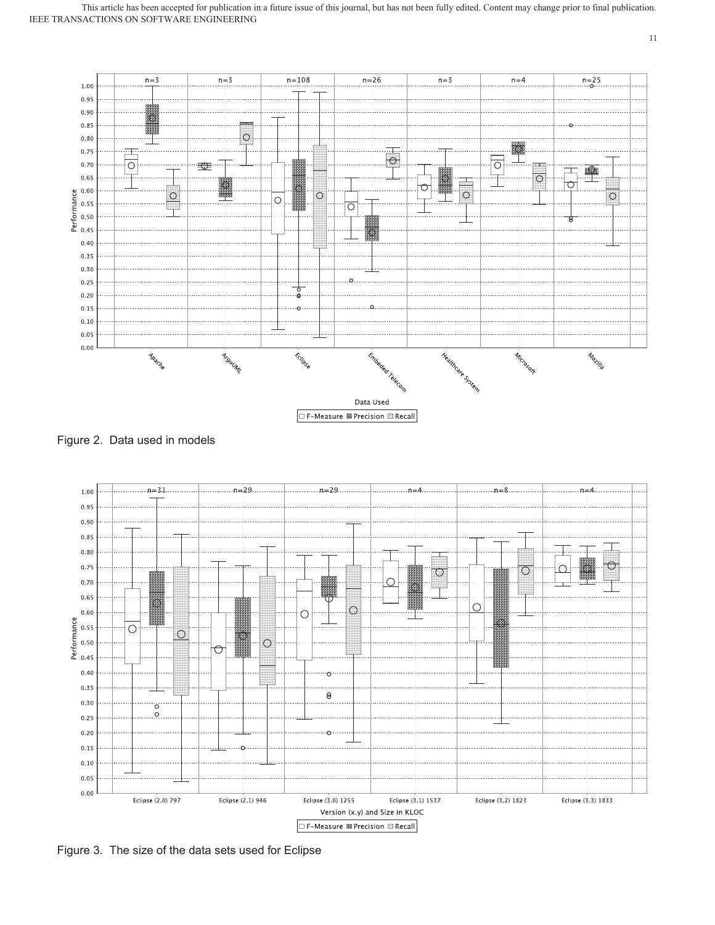

Figure 2. Data used in models



Figure 3. The size of the data sets used for Eclipse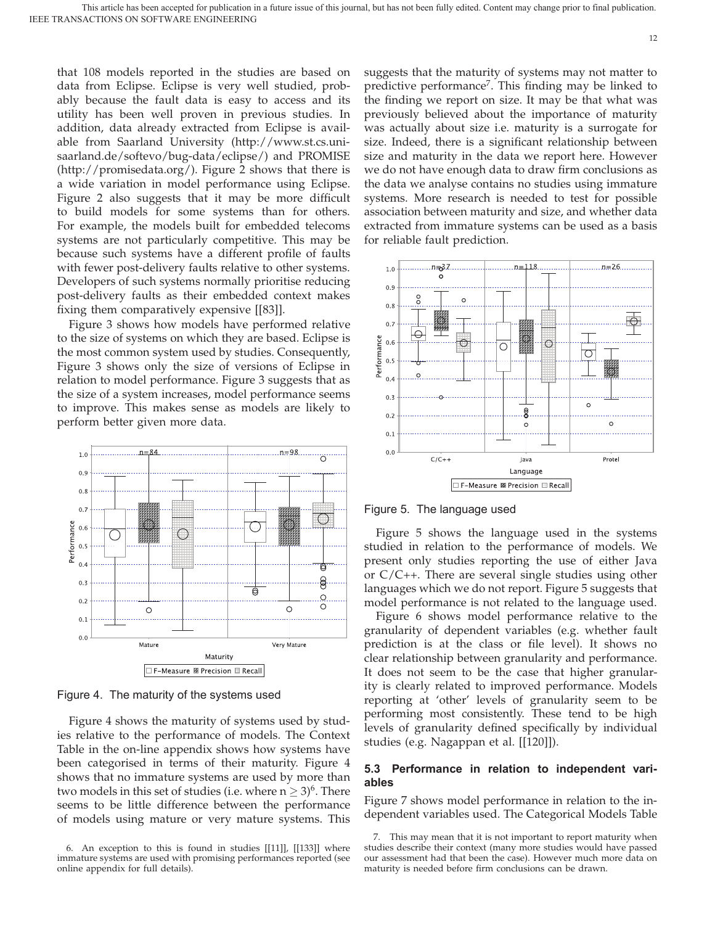that 108 models reported in the studies are based on data from Eclipse. Eclipse is very well studied, probably because the fault data is easy to access and its utility has been well proven in previous studies. In addition, data already extracted from Eclipse is available from Saarland University (http://www.st.cs.unisaarland.de/softevo/bug-data/eclipse/) and PROMISE (http://promisedata.org/). Figure 2 shows that there is a wide variation in model performance using Eclipse. Figure 2 also suggests that it may be more difficult to build models for some systems than for others. For example, the models built for embedded telecoms systems are not particularly competitive. This may be because such systems have a different profile of faults with fewer post-delivery faults relative to other systems. Developers of such systems normally prioritise reducing post-delivery faults as their embedded context makes fixing them comparatively expensive [[83]].

Figure 3 shows how models have performed relative to the size of systems on which they are based. Eclipse is the most common system used by studies. Consequently, Figure 3 shows only the size of versions of Eclipse in relation to model performance. Figure 3 suggests that as the size of a system increases, model performance seems to improve. This makes sense as models are likely to perform better given more data.



Figure 4. The maturity of the systems used

Figure 4 shows the maturity of systems used by studies relative to the performance of models. The Context Table in the on-line appendix shows how systems have been categorised in terms of their maturity. Figure 4 shows that no immature systems are used by more than two models in this set of studies (i.e. where  $n \geq 3$ )<sup>6</sup>. There seems to be little difference between the performance of models using mature or very mature systems. This

suggests that the maturity of systems may not matter to predictive performance<sup>7</sup>. This finding may be linked to the finding we report on size. It may be that what was previously believed about the importance of maturity was actually about size i.e. maturity is a surrogate for size. Indeed, there is a significant relationship between size and maturity in the data we report here. However we do not have enough data to draw firm conclusions as the data we analyse contains no studies using immature systems. More research is needed to test for possible association between maturity and size, and whether data extracted from immature systems can be used as a basis for reliable fault prediction.



Figure 5. The language used

Figure 5 shows the language used in the systems studied in relation to the performance of models. We present only studies reporting the use of either Java or C/C++. There are several single studies using other languages which we do not report. Figure 5 suggests that model performance is not related to the language used.

Figure 6 shows model performance relative to the granularity of dependent variables (e.g. whether fault prediction is at the class or file level). It shows no clear relationship between granularity and performance. It does not seem to be the case that higher granularity is clearly related to improved performance. Models reporting at 'other' levels of granularity seem to be performing most consistently. These tend to be high levels of granularity defined specifically by individual studies (e.g. Nagappan et al. [[120]]).

## **5.3 Performance in relation to independent variables**

Figure 7 shows model performance in relation to the independent variables used. The Categorical Models Table

<sup>6.</sup> An exception to this is found in studies [[11]], [[133]] where immature systems are used with promising performances reported (see online appendix for full details).

<sup>7.</sup> This may mean that it is not important to report maturity when studies describe their context (many more studies would have passed our assessment had that been the case). However much more data on maturity is needed before firm conclusions can be drawn.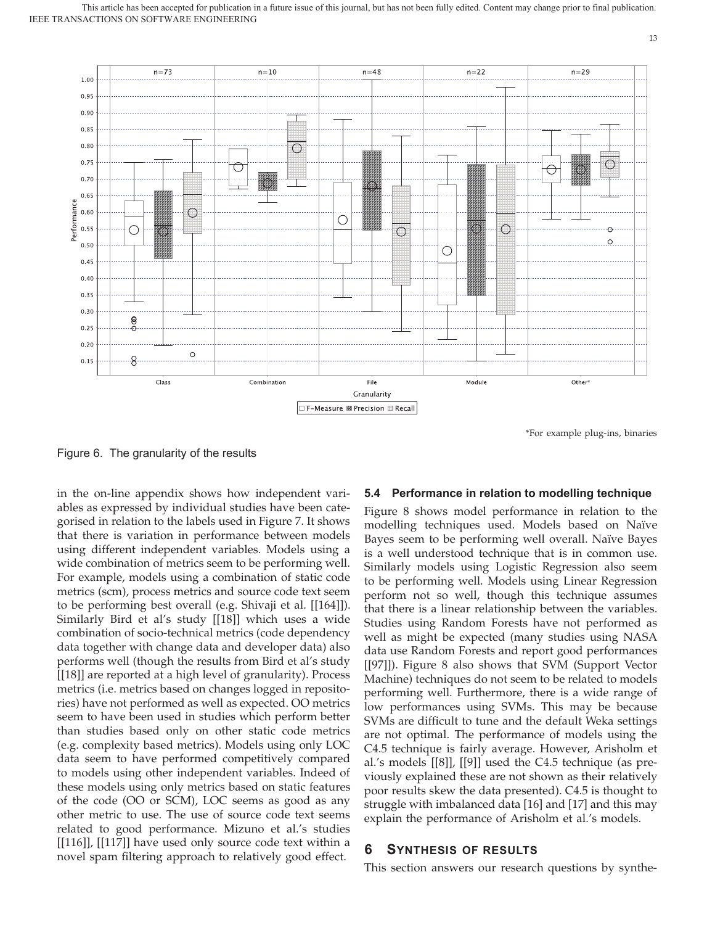

\*For example plug-ins, binaries

13

Figure 6. The granularity of the results

in the on-line appendix shows how independent variables as expressed by individual studies have been categorised in relation to the labels used in Figure 7. It shows that there is variation in performance between models using different independent variables. Models using a wide combination of metrics seem to be performing well. For example, models using a combination of static code metrics (scm), process metrics and source code text seem to be performing best overall (e.g. Shivaji et al. [[164]]). Similarly Bird et al's study [[18]] which uses a wide combination of socio-technical metrics (code dependency data together with change data and developer data) also performs well (though the results from Bird et al's study [[18]] are reported at a high level of granularity). Process metrics (i.e. metrics based on changes logged in repositories) have not performed as well as expected. OO metrics seem to have been used in studies which perform better than studies based only on other static code metrics (e.g. complexity based metrics). Models using only LOC data seem to have performed competitively compared to models using other independent variables. Indeed of these models using only metrics based on static features of the code (OO or SCM), LOC seems as good as any other metric to use. The use of source code text seems related to good performance. Mizuno et al.'s studies [[116]], [[117]] have used only source code text within a novel spam filtering approach to relatively good effect.

## **5.4 Performance in relation to modelling technique**

Figure 8 shows model performance in relation to the modelling techniques used. Models based on Naïve Bayes seem to be performing well overall. Naïve Bayes is a well understood technique that is in common use. Similarly models using Logistic Regression also seem to be performing well. Models using Linear Regression perform not so well, though this technique assumes that there is a linear relationship between the variables. Studies using Random Forests have not performed as well as might be expected (many studies using NASA data use Random Forests and report good performances [[97]]). Figure 8 also shows that SVM (Support Vector Machine) techniques do not seem to be related to models performing well. Furthermore, there is a wide range of low performances using SVMs. This may be because SVMs are difficult to tune and the default Weka settings are not optimal. The performance of models using the C4.5 technique is fairly average. However, Arisholm et al.'s models [[8]], [[9]] used the C4.5 technique (as previously explained these are not shown as their relatively poor results skew the data presented). C4.5 is thought to struggle with imbalanced data [16] and [17] and this may explain the performance of Arisholm et al.'s models.

## **6 SYNTHESIS OF RESULTS**

This section answers our research questions by synthe-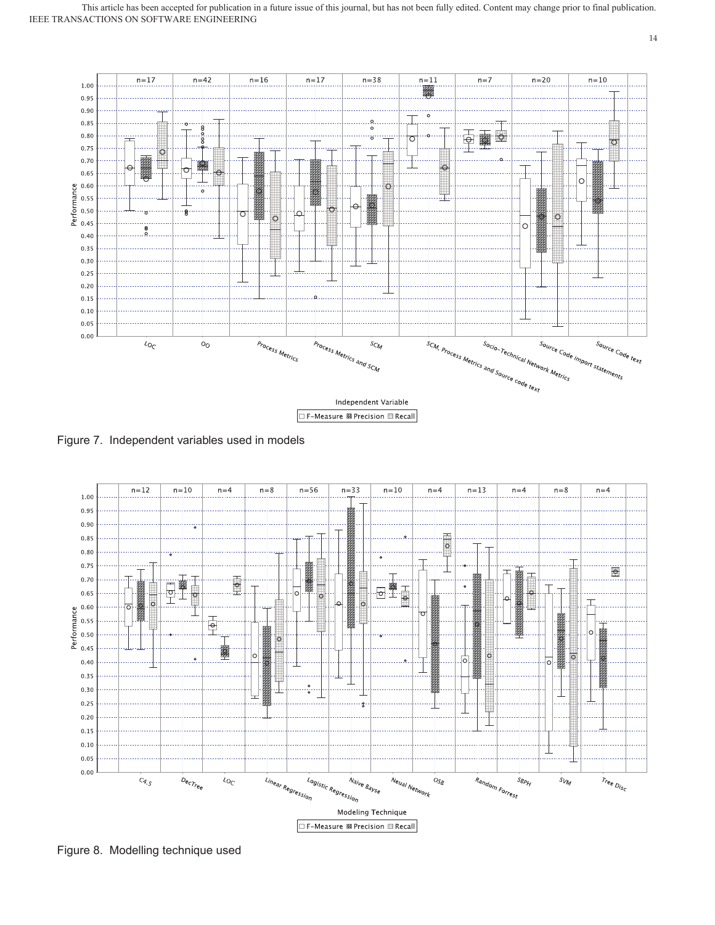

Figure 7. Independent variables used in models



Figure 8. Modelling technique used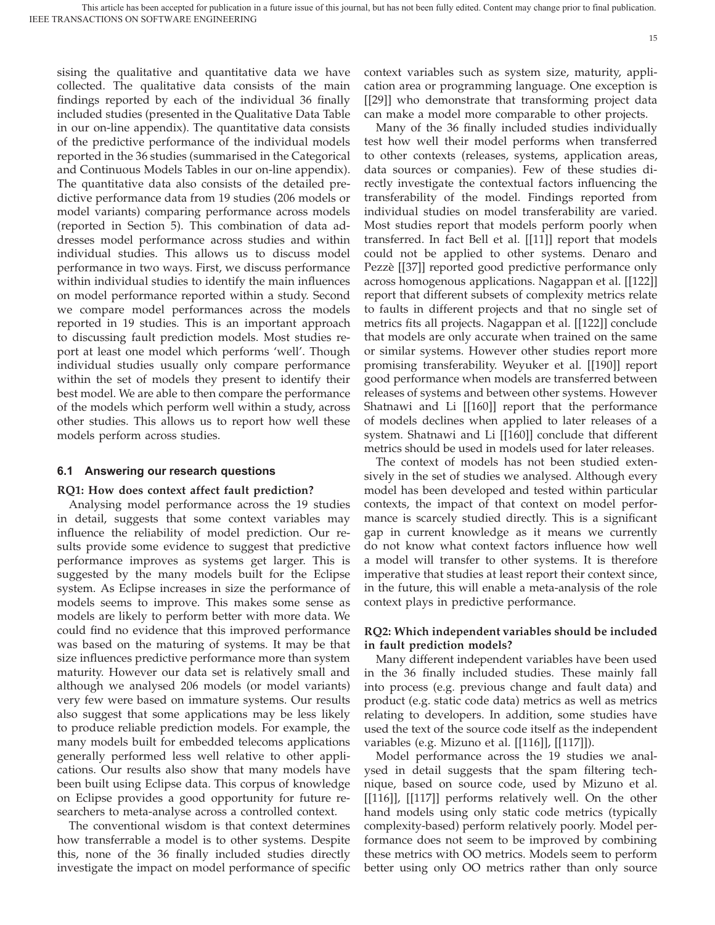sising the qualitative and quantitative data we have collected. The qualitative data consists of the main findings reported by each of the individual 36 finally included studies (presented in the Qualitative Data Table in our on-line appendix). The quantitative data consists of the predictive performance of the individual models reported in the 36 studies (summarised in the Categorical and Continuous Models Tables in our on-line appendix). The quantitative data also consists of the detailed predictive performance data from 19 studies (206 models or model variants) comparing performance across models (reported in Section 5). This combination of data addresses model performance across studies and within individual studies. This allows us to discuss model performance in two ways. First, we discuss performance within individual studies to identify the main influences on model performance reported within a study. Second we compare model performances across the models reported in 19 studies. This is an important approach to discussing fault prediction models. Most studies report at least one model which performs 'well'. Though individual studies usually only compare performance within the set of models they present to identify their best model. We are able to then compare the performance of the models which perform well within a study, across other studies. This allows us to report how well these models perform across studies.

#### **6.1 Answering our research questions**

#### **RQ1: How does context affect fault prediction?**

Analysing model performance across the 19 studies in detail, suggests that some context variables may influence the reliability of model prediction. Our results provide some evidence to suggest that predictive performance improves as systems get larger. This is suggested by the many models built for the Eclipse system. As Eclipse increases in size the performance of models seems to improve. This makes some sense as models are likely to perform better with more data. We could find no evidence that this improved performance was based on the maturing of systems. It may be that size influences predictive performance more than system maturity. However our data set is relatively small and although we analysed 206 models (or model variants) very few were based on immature systems. Our results also suggest that some applications may be less likely to produce reliable prediction models. For example, the many models built for embedded telecoms applications generally performed less well relative to other applications. Our results also show that many models have been built using Eclipse data. This corpus of knowledge on Eclipse provides a good opportunity for future researchers to meta-analyse across a controlled context.

The conventional wisdom is that context determines how transferrable a model is to other systems. Despite this, none of the 36 finally included studies directly investigate the impact on model performance of specific context variables such as system size, maturity, application area or programming language. One exception is [[29]] who demonstrate that transforming project data can make a model more comparable to other projects.

Many of the 36 finally included studies individually test how well their model performs when transferred to other contexts (releases, systems, application areas, data sources or companies). Few of these studies directly investigate the contextual factors influencing the transferability of the model. Findings reported from individual studies on model transferability are varied. Most studies report that models perform poorly when transferred. In fact Bell et al. [[11]] report that models could not be applied to other systems. Denaro and Pezzè [[37]] reported good predictive performance only across homogenous applications. Nagappan et al. [[122]] report that different subsets of complexity metrics relate to faults in different projects and that no single set of metrics fits all projects. Nagappan et al. [[122]] conclude that models are only accurate when trained on the same or similar systems. However other studies report more promising transferability. Weyuker et al. [[190]] report good performance when models are transferred between releases of systems and between other systems. However Shatnawi and Li [[160]] report that the performance of models declines when applied to later releases of a system. Shatnawi and Li [[160]] conclude that different metrics should be used in models used for later releases.

The context of models has not been studied extensively in the set of studies we analysed. Although every model has been developed and tested within particular contexts, the impact of that context on model performance is scarcely studied directly. This is a significant gap in current knowledge as it means we currently do not know what context factors influence how well a model will transfer to other systems. It is therefore imperative that studies at least report their context since, in the future, this will enable a meta-analysis of the role context plays in predictive performance.

### **RQ2: Which independent variables should be included in fault prediction models?**

Many different independent variables have been used in the 36 finally included studies. These mainly fall into process (e.g. previous change and fault data) and product (e.g. static code data) metrics as well as metrics relating to developers. In addition, some studies have used the text of the source code itself as the independent variables (e.g. Mizuno et al. [[116]], [[117]]).

Model performance across the 19 studies we analysed in detail suggests that the spam filtering technique, based on source code, used by Mizuno et al. [[116]], [[117]] performs relatively well. On the other hand models using only static code metrics (typically complexity-based) perform relatively poorly. Model performance does not seem to be improved by combining these metrics with OO metrics. Models seem to perform better using only OO metrics rather than only source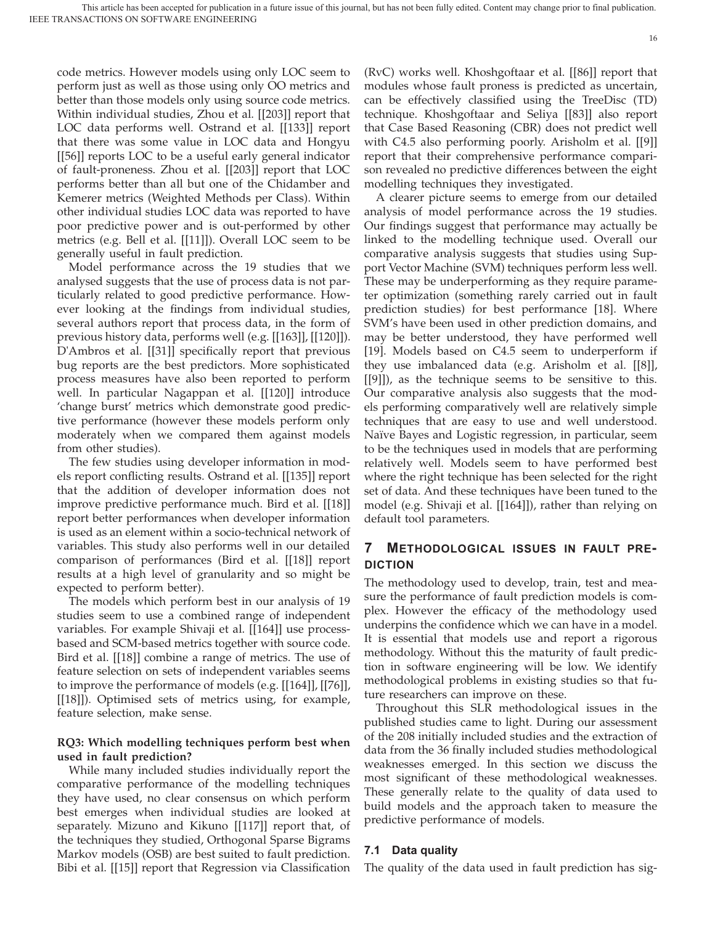code metrics. However models using only LOC seem to perform just as well as those using only OO metrics and better than those models only using source code metrics. Within individual studies, Zhou et al. [[203]] report that LOC data performs well. Ostrand et al. [[133]] report that there was some value in LOC data and Hongyu [[56]] reports LOC to be a useful early general indicator of fault-proneness. Zhou et al. [[203]] report that LOC performs better than all but one of the Chidamber and Kemerer metrics (Weighted Methods per Class). Within other individual studies LOC data was reported to have poor predictive power and is out-performed by other metrics (e.g. Bell et al. [[11]]). Overall LOC seem to be generally useful in fault prediction.

Model performance across the 19 studies that we analysed suggests that the use of process data is not particularly related to good predictive performance. However looking at the findings from individual studies, several authors report that process data, in the form of previous history data, performs well (e.g. [[163]], [[120]]). D'Ambros et al. [[31]] specifically report that previous bug reports are the best predictors. More sophisticated process measures have also been reported to perform well. In particular Nagappan et al. [[120]] introduce 'change burst' metrics which demonstrate good predictive performance (however these models perform only moderately when we compared them against models from other studies).

The few studies using developer information in models report conflicting results. Ostrand et al. [[135]] report that the addition of developer information does not improve predictive performance much. Bird et al. [[18]] report better performances when developer information is used as an element within a socio-technical network of variables. This study also performs well in our detailed comparison of performances (Bird et al. [[18]] report results at a high level of granularity and so might be expected to perform better).

The models which perform best in our analysis of 19 studies seem to use a combined range of independent variables. For example Shivaji et al. [[164]] use processbased and SCM-based metrics together with source code. Bird et al. [[18]] combine a range of metrics. The use of feature selection on sets of independent variables seems to improve the performance of models (e.g. [[164]], [[76]], [[18]]). Optimised sets of metrics using, for example, feature selection, make sense.

## **RQ3: Which modelling techniques perform best when used in fault prediction?**

While many included studies individually report the comparative performance of the modelling techniques they have used, no clear consensus on which perform best emerges when individual studies are looked at separately. Mizuno and Kikuno [[117]] report that, of the techniques they studied, Orthogonal Sparse Bigrams Markov models (OSB) are best suited to fault prediction. Bibi et al. [[15]] report that Regression via Classification

(RvC) works well. Khoshgoftaar et al. [[86]] report that modules whose fault proness is predicted as uncertain, can be effectively classified using the TreeDisc (TD) technique. Khoshgoftaar and Seliya [[83]] also report that Case Based Reasoning (CBR) does not predict well with C4.5 also performing poorly. Arisholm et al. [[9]] report that their comprehensive performance comparison revealed no predictive differences between the eight modelling techniques they investigated.

A clearer picture seems to emerge from our detailed analysis of model performance across the 19 studies. Our findings suggest that performance may actually be linked to the modelling technique used. Overall our comparative analysis suggests that studies using Support Vector Machine (SVM) techniques perform less well. These may be underperforming as they require parameter optimization (something rarely carried out in fault prediction studies) for best performance [18]. Where SVM's have been used in other prediction domains, and may be better understood, they have performed well [19]. Models based on C4.5 seem to underperform if they use imbalanced data (e.g. Arisholm et al. [[8]], [[9]]), as the technique seems to be sensitive to this. Our comparative analysis also suggests that the models performing comparatively well are relatively simple techniques that are easy to use and well understood. Naïve Bayes and Logistic regression, in particular, seem to be the techniques used in models that are performing relatively well. Models seem to have performed best where the right technique has been selected for the right set of data. And these techniques have been tuned to the model (e.g. Shivaji et al. [[164]]), rather than relying on default tool parameters.

## **7 METHODOLOGICAL ISSUES IN FAULT PRE-DICTION**

The methodology used to develop, train, test and measure the performance of fault prediction models is complex. However the efficacy of the methodology used underpins the confidence which we can have in a model. It is essential that models use and report a rigorous methodology. Without this the maturity of fault prediction in software engineering will be low. We identify methodological problems in existing studies so that future researchers can improve on these.

Throughout this SLR methodological issues in the published studies came to light. During our assessment of the 208 initially included studies and the extraction of data from the 36 finally included studies methodological weaknesses emerged. In this section we discuss the most significant of these methodological weaknesses. These generally relate to the quality of data used to build models and the approach taken to measure the predictive performance of models.

### **7.1 Data quality**

The quality of the data used in fault prediction has sig-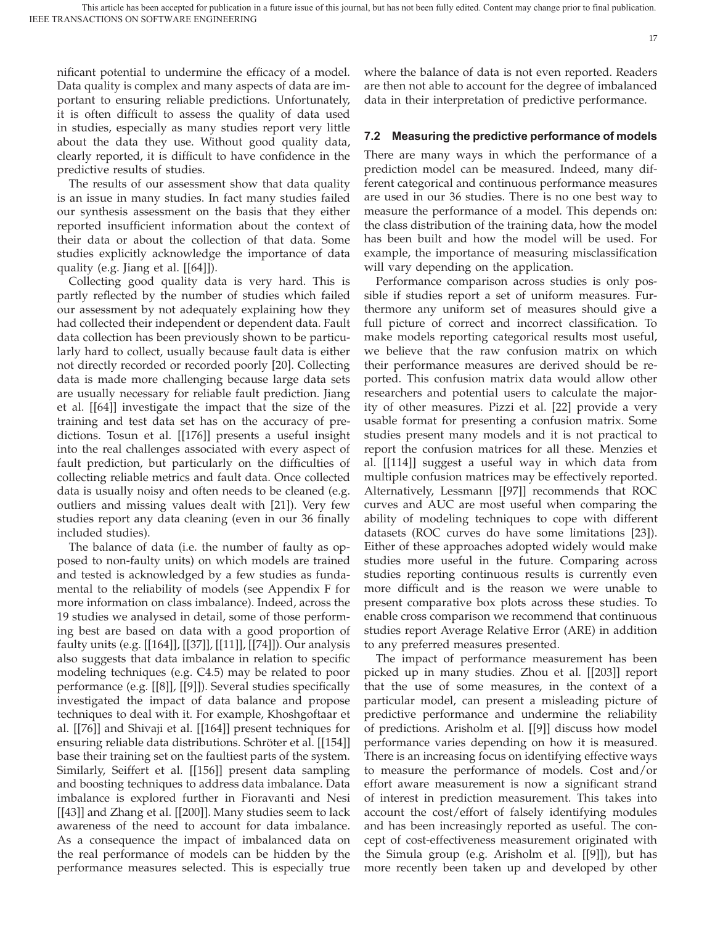nificant potential to undermine the efficacy of a model. Data quality is complex and many aspects of data are important to ensuring reliable predictions. Unfortunately, it is often difficult to assess the quality of data used in studies, especially as many studies report very little about the data they use. Without good quality data, clearly reported, it is difficult to have confidence in the predictive results of studies.

The results of our assessment show that data quality is an issue in many studies. In fact many studies failed our synthesis assessment on the basis that they either reported insufficient information about the context of their data or about the collection of that data. Some studies explicitly acknowledge the importance of data quality (e.g. Jiang et al. [[64]]).

Collecting good quality data is very hard. This is partly reflected by the number of studies which failed our assessment by not adequately explaining how they had collected their independent or dependent data. Fault data collection has been previously shown to be particularly hard to collect, usually because fault data is either not directly recorded or recorded poorly [20]. Collecting data is made more challenging because large data sets are usually necessary for reliable fault prediction. Jiang et al. [[64]] investigate the impact that the size of the training and test data set has on the accuracy of predictions. Tosun et al. [[176]] presents a useful insight into the real challenges associated with every aspect of fault prediction, but particularly on the difficulties of collecting reliable metrics and fault data. Once collected data is usually noisy and often needs to be cleaned (e.g. outliers and missing values dealt with [21]). Very few studies report any data cleaning (even in our 36 finally included studies).

The balance of data (i.e. the number of faulty as opposed to non-faulty units) on which models are trained and tested is acknowledged by a few studies as fundamental to the reliability of models (see Appendix F for more information on class imbalance). Indeed, across the 19 studies we analysed in detail, some of those performing best are based on data with a good proportion of faulty units (e.g. [[164]], [[37]], [[11]], [[74]]). Our analysis also suggests that data imbalance in relation to specific modeling techniques (e.g. C4.5) may be related to poor performance (e.g. [[8]], [[9]]). Several studies specifically investigated the impact of data balance and propose techniques to deal with it. For example, Khoshgoftaar et al. [[76]] and Shivaji et al. [[164]] present techniques for ensuring reliable data distributions. Schröter et al. [[154]] base their training set on the faultiest parts of the system. Similarly, Seiffert et al. [[156]] present data sampling and boosting techniques to address data imbalance. Data imbalance is explored further in Fioravanti and Nesi [[43]] and Zhang et al. [[200]]. Many studies seem to lack awareness of the need to account for data imbalance. As a consequence the impact of imbalanced data on the real performance of models can be hidden by the performance measures selected. This is especially true

where the balance of data is not even reported. Readers are then not able to account for the degree of imbalanced data in their interpretation of predictive performance.

#### **7.2 Measuring the predictive performance of models**

There are many ways in which the performance of a prediction model can be measured. Indeed, many different categorical and continuous performance measures are used in our 36 studies. There is no one best way to measure the performance of a model. This depends on: the class distribution of the training data, how the model has been built and how the model will be used. For example, the importance of measuring misclassification will vary depending on the application.

Performance comparison across studies is only possible if studies report a set of uniform measures. Furthermore any uniform set of measures should give a full picture of correct and incorrect classification. To make models reporting categorical results most useful, we believe that the raw confusion matrix on which their performance measures are derived should be reported. This confusion matrix data would allow other researchers and potential users to calculate the majority of other measures. Pizzi et al. [22] provide a very usable format for presenting a confusion matrix. Some studies present many models and it is not practical to report the confusion matrices for all these. Menzies et al. [[114]] suggest a useful way in which data from multiple confusion matrices may be effectively reported. Alternatively, Lessmann [[97]] recommends that ROC curves and AUC are most useful when comparing the ability of modeling techniques to cope with different datasets (ROC curves do have some limitations [23]). Either of these approaches adopted widely would make studies more useful in the future. Comparing across studies reporting continuous results is currently even more difficult and is the reason we were unable to present comparative box plots across these studies. To enable cross comparison we recommend that continuous studies report Average Relative Error (ARE) in addition to any preferred measures presented.

The impact of performance measurement has been picked up in many studies. Zhou et al. [[203]] report that the use of some measures, in the context of a particular model, can present a misleading picture of predictive performance and undermine the reliability of predictions. Arisholm et al. [[9]] discuss how model performance varies depending on how it is measured. There is an increasing focus on identifying effective ways to measure the performance of models. Cost and/or effort aware measurement is now a significant strand of interest in prediction measurement. This takes into account the cost/effort of falsely identifying modules and has been increasingly reported as useful. The concept of cost-effectiveness measurement originated with the Simula group (e.g. Arisholm et al. [[9]]), but has more recently been taken up and developed by other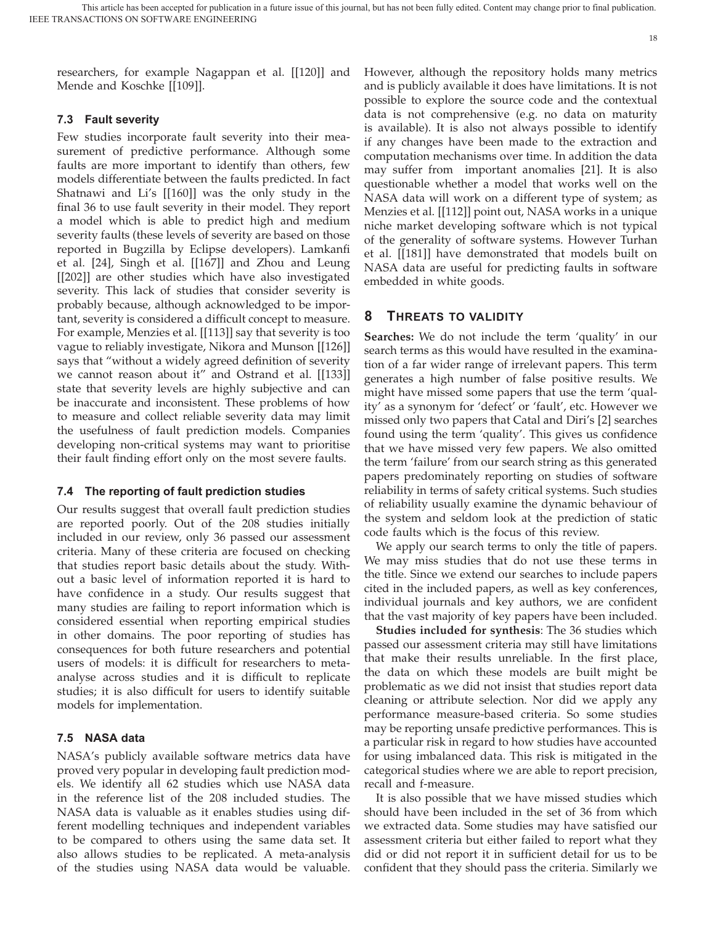researchers, for example Nagappan et al. [[120]] and Mende and Koschke [[109]].

## **7.3 Fault severity**

Few studies incorporate fault severity into their measurement of predictive performance. Although some faults are more important to identify than others, few models differentiate between the faults predicted. In fact Shatnawi and Li's [[160]] was the only study in the final 36 to use fault severity in their model. They report a model which is able to predict high and medium severity faults (these levels of severity are based on those reported in Bugzilla by Eclipse developers). Lamkanfi et al. [24], Singh et al. [[167]] and Zhou and Leung [[202]] are other studies which have also investigated severity. This lack of studies that consider severity is probably because, although acknowledged to be important, severity is considered a difficult concept to measure. For example, Menzies et al. [[113]] say that severity is too vague to reliably investigate, Nikora and Munson [[126]] says that "without a widely agreed definition of severity we cannot reason about it" and Ostrand et al. [[133]] state that severity levels are highly subjective and can be inaccurate and inconsistent. These problems of how to measure and collect reliable severity data may limit the usefulness of fault prediction models. Companies developing non-critical systems may want to prioritise their fault finding effort only on the most severe faults.

### **7.4 The reporting of fault prediction studies**

Our results suggest that overall fault prediction studies are reported poorly. Out of the 208 studies initially included in our review, only 36 passed our assessment criteria. Many of these criteria are focused on checking that studies report basic details about the study. Without a basic level of information reported it is hard to have confidence in a study. Our results suggest that many studies are failing to report information which is considered essential when reporting empirical studies in other domains. The poor reporting of studies has consequences for both future researchers and potential users of models: it is difficult for researchers to metaanalyse across studies and it is difficult to replicate studies; it is also difficult for users to identify suitable models for implementation.

### **7.5 NASA data**

NASA's publicly available software metrics data have proved very popular in developing fault prediction models. We identify all 62 studies which use NASA data in the reference list of the 208 included studies. The NASA data is valuable as it enables studies using different modelling techniques and independent variables to be compared to others using the same data set. It also allows studies to be replicated. A meta-analysis of the studies using NASA data would be valuable.

However, although the repository holds many metrics and is publicly available it does have limitations. It is not possible to explore the source code and the contextual data is not comprehensive (e.g. no data on maturity is available). It is also not always possible to identify if any changes have been made to the extraction and computation mechanisms over time. In addition the data may suffer from important anomalies [21]. It is also questionable whether a model that works well on the NASA data will work on a different type of system; as Menzies et al. [[112]] point out, NASA works in a unique niche market developing software which is not typical of the generality of software systems. However Turhan et al. [[181]] have demonstrated that models built on NASA data are useful for predicting faults in software embedded in white goods.

## **8 THREATS TO VALIDITY**

**Searches:** We do not include the term 'quality' in our search terms as this would have resulted in the examination of a far wider range of irrelevant papers. This term generates a high number of false positive results. We might have missed some papers that use the term 'quality' as a synonym for 'defect' or 'fault', etc. However we missed only two papers that Catal and Diri's [2] searches found using the term 'quality'. This gives us confidence that we have missed very few papers. We also omitted the term 'failure' from our search string as this generated papers predominately reporting on studies of software reliability in terms of safety critical systems. Such studies of reliability usually examine the dynamic behaviour of the system and seldom look at the prediction of static code faults which is the focus of this review.

We apply our search terms to only the title of papers. We may miss studies that do not use these terms in the title. Since we extend our searches to include papers cited in the included papers, as well as key conferences, individual journals and key authors, we are confident that the vast majority of key papers have been included.

**Studies included for synthesis**: The 36 studies which passed our assessment criteria may still have limitations that make their results unreliable. In the first place, the data on which these models are built might be problematic as we did not insist that studies report data cleaning or attribute selection. Nor did we apply any performance measure-based criteria. So some studies may be reporting unsafe predictive performances. This is a particular risk in regard to how studies have accounted for using imbalanced data. This risk is mitigated in the categorical studies where we are able to report precision, recall and f-measure.

It is also possible that we have missed studies which should have been included in the set of 36 from which we extracted data. Some studies may have satisfied our assessment criteria but either failed to report what they did or did not report it in sufficient detail for us to be confident that they should pass the criteria. Similarly we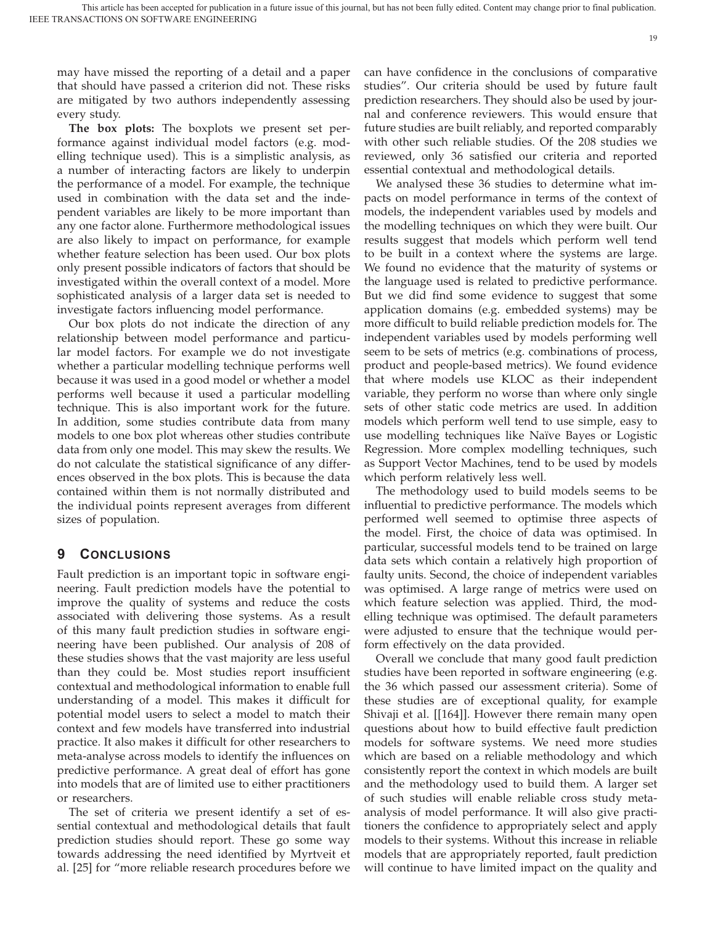19

may have missed the reporting of a detail and a paper that should have passed a criterion did not. These risks are mitigated by two authors independently assessing every study.

**The box plots:** The boxplots we present set performance against individual model factors (e.g. modelling technique used). This is a simplistic analysis, as a number of interacting factors are likely to underpin the performance of a model. For example, the technique used in combination with the data set and the independent variables are likely to be more important than any one factor alone. Furthermore methodological issues are also likely to impact on performance, for example whether feature selection has been used. Our box plots only present possible indicators of factors that should be investigated within the overall context of a model. More sophisticated analysis of a larger data set is needed to investigate factors influencing model performance.

Our box plots do not indicate the direction of any relationship between model performance and particular model factors. For example we do not investigate whether a particular modelling technique performs well because it was used in a good model or whether a model performs well because it used a particular modelling technique. This is also important work for the future. In addition, some studies contribute data from many models to one box plot whereas other studies contribute data from only one model. This may skew the results. We do not calculate the statistical significance of any differences observed in the box plots. This is because the data contained within them is not normally distributed and the individual points represent averages from different sizes of population.

## **9 CONCLUSIONS**

Fault prediction is an important topic in software engineering. Fault prediction models have the potential to improve the quality of systems and reduce the costs associated with delivering those systems. As a result of this many fault prediction studies in software engineering have been published. Our analysis of 208 of these studies shows that the vast majority are less useful than they could be. Most studies report insufficient contextual and methodological information to enable full understanding of a model. This makes it difficult for potential model users to select a model to match their context and few models have transferred into industrial practice. It also makes it difficult for other researchers to meta-analyse across models to identify the influences on predictive performance. A great deal of effort has gone into models that are of limited use to either practitioners or researchers.

The set of criteria we present identify a set of essential contextual and methodological details that fault prediction studies should report. These go some way towards addressing the need identified by Myrtveit et al. [25] for "more reliable research procedures before we

can have confidence in the conclusions of comparative studies". Our criteria should be used by future fault prediction researchers. They should also be used by journal and conference reviewers. This would ensure that future studies are built reliably, and reported comparably with other such reliable studies. Of the 208 studies we reviewed, only 36 satisfied our criteria and reported essential contextual and methodological details.

We analysed these 36 studies to determine what impacts on model performance in terms of the context of models, the independent variables used by models and the modelling techniques on which they were built. Our results suggest that models which perform well tend to be built in a context where the systems are large. We found no evidence that the maturity of systems or the language used is related to predictive performance. But we did find some evidence to suggest that some application domains (e.g. embedded systems) may be more difficult to build reliable prediction models for. The independent variables used by models performing well seem to be sets of metrics (e.g. combinations of process, product and people-based metrics). We found evidence that where models use KLOC as their independent variable, they perform no worse than where only single sets of other static code metrics are used. In addition models which perform well tend to use simple, easy to use modelling techniques like Naïve Bayes or Logistic Regression. More complex modelling techniques, such as Support Vector Machines, tend to be used by models which perform relatively less well.

The methodology used to build models seems to be influential to predictive performance. The models which performed well seemed to optimise three aspects of the model. First, the choice of data was optimised. In particular, successful models tend to be trained on large data sets which contain a relatively high proportion of faulty units. Second, the choice of independent variables was optimised. A large range of metrics were used on which feature selection was applied. Third, the modelling technique was optimised. The default parameters were adjusted to ensure that the technique would perform effectively on the data provided.

Overall we conclude that many good fault prediction studies have been reported in software engineering (e.g. the 36 which passed our assessment criteria). Some of these studies are of exceptional quality, for example Shivaji et al. [[164]]. However there remain many open questions about how to build effective fault prediction models for software systems. We need more studies which are based on a reliable methodology and which consistently report the context in which models are built and the methodology used to build them. A larger set of such studies will enable reliable cross study metaanalysis of model performance. It will also give practitioners the confidence to appropriately select and apply models to their systems. Without this increase in reliable models that are appropriately reported, fault prediction will continue to have limited impact on the quality and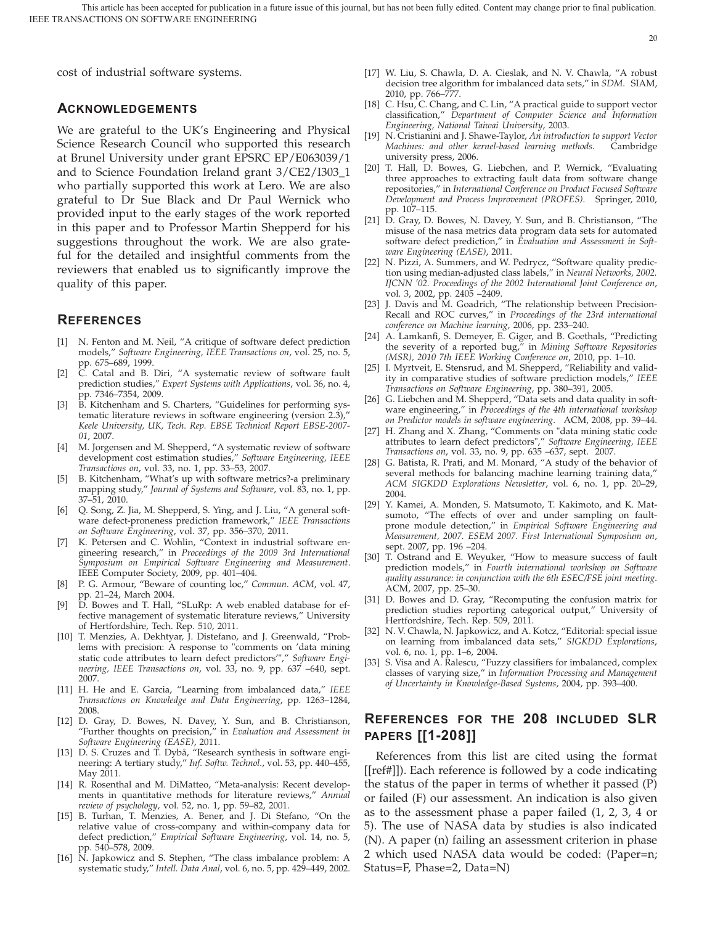cost of industrial software systems.

### **ACKNOWLEDGEMENTS**

We are grateful to the UK's Engineering and Physical Science Research Council who supported this research at Brunel University under grant EPSRC EP/E063039/1 and to Science Foundation Ireland grant 3/CE2/I303\_1 who partially supported this work at Lero. We are also grateful to Dr Sue Black and Dr Paul Wernick who provided input to the early stages of the work reported in this paper and to Professor Martin Shepperd for his suggestions throughout the work. We are also grateful for the detailed and insightful comments from the reviewers that enabled us to significantly improve the quality of this paper.

## **REFERENCES**

- [1] N. Fenton and M. Neil, "A critique of software defect prediction models," *Software Engineering, IEEE Transactions on*, vol. 25, no. 5, pp. 675–689, 1999.
- [2] C. Catal and B. Diri, "A systematic review of software fault prediction studies," *Expert Systems with Applications*, vol. 36, no. 4, pp. 7346–7354, 2009.
- [3] B. Kitchenham and S. Charters, "Guidelines for performing systematic literature reviews in software engineering (version 2.3)," *Keele University, UK, Tech. Rep. EBSE Technical Report EBSE-2007- 01*, 2007.
- [4] M. Jorgensen and M. Shepperd, "A systematic review of software development cost estimation studies," *Software Engineering, IEEE Transactions on*, vol. 33, no. 1, pp. 33–53, 2007.
- [5] B. Kitchenham, "What's up with software metrics?-a preliminary mapping study," *Journal of Systems and Software*, vol. 83, no. 1, pp. 37–51, 2010.
- [6] Q. Song, Z. Jia, M. Shepperd, S. Ying, and J. Liu, "A general software defect-proneness prediction framework," *IEEE Transactions on Software Engineering*, vol. 37, pp. 356–370, 2011.
- [7] K. Petersen and C. Wohlin, "Context in industrial software engineering research," in *Proceedings of the 2009 3rd International Symposium on Empirical Software Engineering and Measurement*. IEEE Computer Society, 2009, pp. 401–404.
- [8] P. G. Armour, "Beware of counting loc," *Commun. ACM*, vol. 47, pp. 21–24, March 2004.
- [9] D. Bowes and T. Hall, "SLuRp: A web enabled database for effective management of systematic literature reviews," University of Hertfordshire, Tech. Rep. 510, 2011.
- [10] T. Menzies, A. Dekhtyar, J. Distefano, and J. Greenwald, "Problems with precision: A response to "comments on 'data mining static code attributes to learn defect predictors'"," *Software Engineering, IEEE Transactions on*, vol. 33, no. 9, pp. 637 –640, sept. 2007.
- [11] H. He and E. Garcia, "Learning from imbalanced data," *IEEE Transactions on Knowledge and Data Engineering*, pp. 1263–1284, 2008.
- [12] D. Gray, D. Bowes, N. Davey, Y. Sun, and B. Christianson, "Further thoughts on precision," in *Evaluation and Assessment in Software Engineering (EASE)*, 2011.
- [13] D. S. Cruzes and T. Dybå, "Research synthesis in software engineering: A tertiary study," *Inf. Softw. Technol.*, vol. 53, pp. 440–455, May 2011.
- [14] R. Rosenthal and M. DiMatteo, "Meta-analysis: Recent developments in quantitative methods for literature reviews," *Annual review of psychology*, vol. 52, no. 1, pp. 59–82, 2001.
- [15] B. Turhan, T. Menzies, A. Bener, and J. Di Stefano, "On the relative value of cross-company and within-company data for defect prediction," *Empirical Software Engineering*, vol. 14, no. 5, pp. 540–578, 2009.
- [16] N. Japkowicz and S. Stephen, "The class imbalance problem: A systematic study," *Intell. Data Anal*, vol. 6, no. 5, pp. 429–449, 2002.

[17] W. Liu, S. Chawla, D. A. Cieslak, and N. V. Chawla, "A robust decision tree algorithm for imbalanced data sets," in *SDM*. SIAM, 2010, pp. 766–777.

20

- [18] C. Hsu, C. Chang, and C. Lin, "A practical guide to support vector classification," *Department of Computer Science and Information Engineering, National Taiwai University*, 2003.
- [19] N. Cristianini and J. Shawe-Taylor, *An introduction to support Vector Machines: and other kernel-based learning methods*. Cambridge university press, 2006.
- [20] T. Hall, D. Bowes, G. Liebchen, and P. Wernick, "Evaluating three approaches to extracting fault data from software change repositories," in *International Conference on Product Focused Software Development and Process Improvement (PROFES)*. Springer, 2010, pp. 107–115.
- [21] D. Gray, D. Bowes, N. Davey, Y. Sun, and B. Christianson, "The misuse of the nasa metrics data program data sets for automated software defect prediction," in *Evaluation and Assessment in Software Engineering (EASE)*, 2011.
- [22] N. Pizzi, A. Summers, and W. Pedrycz, "Software quality prediction using median-adjusted class labels," in *Neural Networks, 2002. IJCNN '02. Proceedings of the 2002 International Joint Conference on*, vol. 3, 2002, pp. 2405 –2409.
- [23] J. Davis and M. Goadrich, "The relationship between Precision-Recall and ROC curves," in *Proceedings of the 23rd international conference on Machine learning*, 2006, pp. 233–240.
- [24] A. Lamkanfi, S. Demeyer, E. Giger, and B. Goethals, "Predicting the severity of a reported bug," in *Mining Software Repositories (MSR), 2010 7th IEEE Working Conference on*, 2010, pp. 1–10.
- [25] I. Myrtveit, E. Stensrud, and M. Shepperd, "Reliability and validity in comparative studies of software prediction models," *IEEE Transactions on Software Engineering*, pp. 380–391, 2005.
- [26] G. Liebchen and M. Shepperd, "Data sets and data quality in software engineering," in *Proceedings of the 4th international workshop on Predictor models in software engineering*. ACM, 2008, pp. 39–44.
- [27] H. Zhang and X. Zhang, "Comments on "data mining static code attributes to learn defect predictors"," *Software Engineering, IEEE Transactions on*, vol. 33, no. 9, pp. 635 –637, sept. 2007.
- [28] G. Batista, R. Prati, and M. Monard, "A study of the behavior of several methods for balancing machine learning training data," *ACM SIGKDD Explorations Newsletter*, vol. 6, no. 1, pp. 20–29, 2004.
- [29] Y. Kamei, A. Monden, S. Matsumoto, T. Kakimoto, and K. Matsumoto, "The effects of over and under sampling on faultprone module detection," in *Empirical Software Engineering and Measurement, 2007. ESEM 2007. First International Symposium on*, sept. 2007, pp. 196 –204.
- [30] T. Ostrand and E. Weyuker, "How to measure success of fault prediction models," in *Fourth international workshop on Software quality assurance: in conjunction with the 6th ESEC/FSE joint meeting*. ACM, 2007, pp. 25–30.
- [31] D. Bowes and D. Gray, "Recomputing the confusion matrix for prediction studies reporting categorical output," University of Hertfordshire, Tech. Rep. 509, 2011.
- [32] N. V. Chawla, N. Japkowicz, and A. Kotcz, "Editorial: special issue on learning from imbalanced data sets," *SIGKDD Explorations*, vol. 6, no. 1, pp. 1–6, 2004.
- [33] S. Visa and A. Ralescu, "Fuzzy classifiers for imbalanced, complex classes of varying size," in *Information Processing and Management of Uncertainty in Knowledge-Based Systems*, 2004, pp. 393–400.

# **REFERENCES FOR THE 208 INCLUDED SLR PAPERS [[1-208]]**

References from this list are cited using the format [[ref#]]). Each reference is followed by a code indicating the status of the paper in terms of whether it passed (P) or failed (F) our assessment. An indication is also given as to the assessment phase a paper failed (1, 2, 3, 4 or 5). The use of NASA data by studies is also indicated (N). A paper (n) failing an assessment criterion in phase 2 which used NASA data would be coded: (Paper=n; Status=F, Phase=2, Data=N)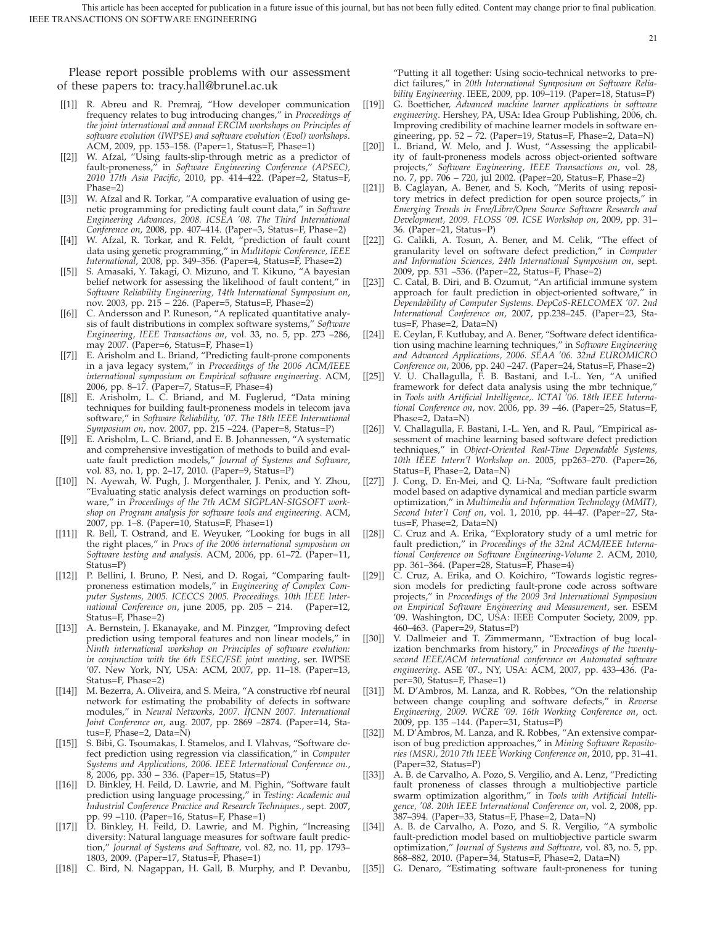21

Please report possible problems with our assessment of these papers to: tracy.hall@brunel.ac.uk

- [[1]] R. Abreu and R. Premraj, "How developer communication frequency relates to bug introducing changes," in *Proceedings of the joint international and annual ERCIM workshops on Principles of software evolution (IWPSE) and software evolution (Evol) workshops*. ACM, 2009, pp. 153–158. (Paper=1, Status=F, Phase=1)
- [[2]] W. Afzal, "Using faults-slip-through metric as a predictor of fault-proneness," in *Software Engineering Conference (APSEC), 2010 17th Asia Pacific*, 2010, pp. 414–422. (Paper=2, Status=F, Phase=2)
- [[3]] W. Afzal and R. Torkar, "A comparative evaluation of using genetic programming for predicting fault count data," in *Software Engineering Advances, 2008. ICSEA '08. The Third International Conference on*, 2008, pp. 407–414. (Paper=3, Status=F, Phase=2)
- [[4]] W. Afzal, R. Torkar, and R. Feldt, "prediction of fault count data using genetic programming," in *Multitopic Conference, IEEE International*, 2008, pp. 349–356. (Paper=4, Status=F, Phase=2)
- [[5]] S. Amasaki, Y. Takagi, O. Mizuno, and T. Kikuno, "A bayesian belief network for assessing the likelihood of fault content," in *Software Reliability Engineering, 14th International Symposium on*, nov. 2003, pp. 215 – 226. (Paper=5, Status=F, Phase=2)
- [[6]] C. Andersson and P. Runeson, "A replicated quantitative analysis of fault distributions in complex software systems," *Software Engineering, IEEE Transactions on*, vol. 33, no. 5, pp. 273 –286, may 2007. (Paper=6, Status=F, Phase=1)
- [[7]] E. Arisholm and L. Briand, "Predicting fault-prone components in a java legacy system," in *Proceedings of the 2006 ACM/IEEE international symposium on Empirical software engineering*. ACM, 2006, pp. 8–17. (Paper=7, Status=F, Phase=4)
- [[8]] E. Arisholm, L. C. Briand, and M. Fuglerud, "Data mining techniques for building fault-proneness models in telecom java software," in *Software Reliability, '07. The 18th IEEE International Symposium on*, nov. 2007, pp. 215 –224. (Paper=8, Status=P)
- [[9]] E. Arisholm, L. C. Briand, and E. B. Johannessen, "A systematic and comprehensive investigation of methods to build and evaluate fault prediction models," *Journal of Systems and Software*, vol. 83, no. 1, pp. 2–17, 2010. (Paper=9, Status=P)
- [[10]] N. Ayewah, W. Pugh, J. Morgenthaler, J. Penix, and Y. Zhou, "Evaluating static analysis defect warnings on production software," in *Proceedings of the 7th ACM SIGPLAN-SIGSOFT workshop on Program analysis for software tools and engineering*. ACM, 2007, pp. 1–8. (Paper=10, Status=F, Phase=1)
- [[11]] R. Bell, T. Ostrand, and E. Weyuker, "Looking for bugs in all the right places," in *Procs of the 2006 international symposium on Software testing and analysis*. ACM, 2006, pp. 61–72. (Paper=11, Status=P)
- [[12]] P. Bellini, I. Bruno, P. Nesi, and D. Rogai, "Comparing faultproneness estimation models," in *Engineering of Complex Computer Systems, 2005. ICECCS 2005. Proceedings. 10th IEEE International Conference on*, june 2005, pp. 205 – 214. (Paper=12, Status=F, Phase=2)
- [[13]] A. Bernstein, J. Ekanayake, and M. Pinzger, "Improving defect prediction using temporal features and non linear models," in *Ninth international workshop on Principles of software evolution: in conjunction with the 6th ESEC/FSE joint meeting*, ser. IWPSE '07. New York, NY, USA: ACM, 2007, pp. 11–18. (Paper=13, Status=F, Phase=2)
- [[14]] M. Bezerra, A. Oliveira, and S. Meira, "A constructive rbf neural network for estimating the probability of defects in software modules," in *Neural Networks, 2007. IJCNN 2007. International Joint Conference on*, aug. 2007, pp. 2869 –2874. (Paper=14, Status=F, Phase=2, Data=N)
- [[15]] S. Bibi, G. Tsoumakas, I. Stamelos, and I. Vlahvas, "Software defect prediction using regression via classification," in *Computer Systems and Applications, 2006. IEEE International Conference on.*, 8, 2006, pp. 330 – 336. (Paper=15, Status=P)
- [[16]] D. Binkley, H. Feild, D. Lawrie, and M. Pighin, "Software fault prediction using language processing," in *Testing: Academic and Industrial Conference Practice and Research Techniques.*, sept. 2007, pp. 99 –110. (Paper=16, Status=F, Phase=1)
- [[17]] D. Binkley, H. Feild, D. Lawrie, and M. Pighin, "Increasing diversity: Natural language measures for software fault prediction," *Journal of Systems and Software*, vol. 82, no. 11, pp. 1793– 1803, 2009. (Paper=17, Status=F, Phase=1)
- [[18]] C. Bird, N. Nagappan, H. Gall, B. Murphy, and P. Devanbu,

"Putting it all together: Using socio-technical networks to predict failures," in *20th International Symposium on Software Reliability Engineering*. IEEE, 2009, pp. 109–119. (Paper=18, Status=P)

- [[19]] G. Boetticher, *Advanced machine learner applications in software engineering*. Hershey, PA, USA: Idea Group Publishing, 2006, ch. Improving credibility of machine learner models in software engineering, pp. 52 – 72. (Paper=19, Status=F, Phase=2, Data=N)
- [[20]] L. Briand, W. Melo, and J. Wust, "Assessing the applicability of fault-proneness models across object-oriented software projects," *Software Engineering, IEEE Transactions on*, vol. 28, no. 7, pp. 706 – 720, jul 2002. (Paper=20, Status=F, Phase=2)
- [[21]] B. Caglayan, A. Bener, and S. Koch, "Merits of using repository metrics in defect prediction for open source projects," in *Emerging Trends in Free/Libre/Open Source Software Research and Development, 2009. FLOSS '09. ICSE Workshop on*, 2009, pp. 31– 36. (Paper=21, Status=P)
- [[22]] G. Calikli, A. Tosun, A. Bener, and M. Celik, "The effect of granularity level on software defect prediction," in *Computer and Information Sciences, 24th International Symposium on*, sept. 2009, pp. 531 –536. (Paper=22, Status=F, Phase=2)
- [[23]] C. Catal, B. Diri, and B. Ozumut, "An artificial immune system approach for fault prediction in object-oriented software," in *Dependability of Computer Systems. DepCoS-RELCOMEX '07. 2nd International Conference on*, 2007, pp.238–245. (Paper=23, Status=F, Phase=2, Data=N)
- [[24]] E. Ceylan, F. Kutlubay, and A. Bener, "Software defect identification using machine learning techniques," in *Software Engineering and Advanced Applications, 2006. SEAA '06. 32nd EUROMICRO Conference on*, 2006, pp. 240 –247. (Paper=24, Status=F, Phase=2)
- [[25]] V. U. Challagulla, F. B. Bastani, and I.-L. Yen, "A unified framework for defect data analysis using the mbr technique," in *Tools with Artificial Intelligence,. ICTAI '06. 18th IEEE International Conference on*, nov. 2006, pp. 39 –46. (Paper=25, Status=F, Phase=2, Data=N)
- [[26]] V. Challagulla, F. Bastani, I.-L. Yen, and R. Paul, "Empirical assessment of machine learning based software defect prediction techniques," in *Object-Oriented Real-Time Dependable Systems, 10th IEEE Intern'l Workshop on*. 2005, pp263–270. (Paper=26, Status=F, Phase=2, Data=N)
- [[27]] J. Cong, D. En-Mei, and Q. Li-Na, "Software fault prediction model based on adaptive dynamical and median particle swarm optimization," in *Multimedia and Information Technology (MMIT), Second Inter'l Conf on*, vol. 1, 2010, pp. 44–47. (Paper=27, Status=F, Phase=2, Data=N)
- [[28]] C. Cruz and A. Erika, "Exploratory study of a uml metric for fault prediction," in *Proceedings of the 32nd ACM/IEEE International Conference on Software Engineering-Volume 2*. ACM, 2010, pp. 361–364. (Paper=28, Status=F, Phase=4)
- [[29]] C. Cruz, A. Erika, and O. Koichiro, "Towards logistic regression models for predicting fault-prone code across software projects," in *Proceedings of the 2009 3rd International Symposium on Empirical Software Engineering and Measurement*, ser. ESEM '09. Washington, DC, USA: IEEE Computer Society, 2009, pp. 460–463. (Paper=29, Status=P)
- [[30]] V. Dallmeier and T. Zimmermann, "Extraction of bug localization benchmarks from history," in *Proceedings of the twentysecond IEEE/ACM international conference on Automated software engineering*. ASE '07., NY, USA: ACM, 2007, pp. 433–436. (Paper=30, Status=F, Phase=1)
- [[31]] M. D'Ambros, M. Lanza, and R. Robbes, "On the relationship between change coupling and software defects," in *Reverse Engineering, 2009. WCRE '09. 16th Working Conference on*, oct. 2009, pp. 135 –144. (Paper=31, Status=P)
- [[32]] M. D'Ambros, M. Lanza, and R. Robbes, "An extensive comparison of bug prediction approaches," in *Mining Software Repositories (MSR), 2010 7th IEEE Working Conference on*, 2010, pp. 31–41. (Paper=32, Status=P)
- [[33]] A. B. de Carvalho, A. Pozo, S. Vergilio, and A. Lenz, "Predicting fault proneness of classes through a multiobjective particle swarm optimization algorithm," in *Tools with Artificial Intelligence, '08. 20th IEEE International Conference on*, vol. 2, 2008, pp. 387–394. (Paper=33, Status=F, Phase=2, Data=N)
- [[34]] A. B. de Carvalho, A. Pozo, and S. R. Vergilio, "A symbolic fault-prediction model based on multiobjective particle swarm optimization," *Journal of Systems and Software*, vol. 83, no. 5, pp. 868–882, 2010. (Paper=34, Status=F, Phase=2, Data=N)
- [[35]] G. Denaro, "Estimating software fault-proneness for tuning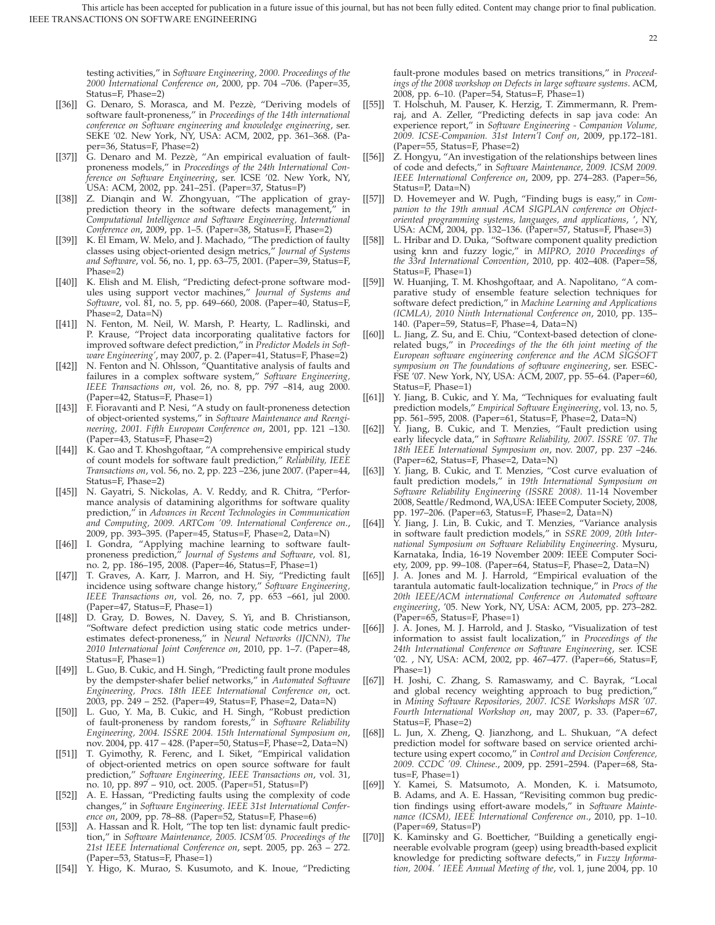testing activities," in *Software Engineering, 2000. Proceedings of the 2000 International Conference on*, 2000, pp. 704 –706. (Paper=35, Status=F, Phase=2)

- [[36]] G. Denaro, S. Morasca, and M. Pezzè, "Deriving models of software fault-proneness," in *Proceedings of the 14th international conference on Software engineering and knowledge engineering*, ser. SEKE '02. New York, NY, USA: ACM, 2002, pp. 361–368. (Paper=36, Status=F, Phase=2)
- [[37]] G. Denaro and M. Pezzè, "An empirical evaluation of faultproneness models," in *Proceedings of the 24th International Conference on Software Engineering*, ser. ICSE '02. New York, NY, USA: ACM, 2002, pp. 241–251. (Paper=37, Status=P)
- [[38]] Z. Dianqin and W. Zhongyuan, "The application of grayprediction theory in the software defects management, *Computational Intelligence and Software Engineering, International Conference on*, 2009, pp. 1–5. (Paper=38, Status=F, Phase=2)
- [[39]] K. El Emam, W. Melo, and J. Machado, "The prediction of faulty classes using object-oriented design metrics," *Journal of Systems and Software*, vol. 56, no. 1, pp. 63–75, 2001. (Paper=39, Status=F, Phase=2)
- [[40]] K. Elish and M. Elish, "Predicting defect-prone software modules using support vector machines," *Journal of Systems and Software*, vol. 81, no. 5, pp. 649–660, 2008. (Paper=40, Status=F, Phase=2, Data=N)
- [[41]] N. Fenton, M. Neil, W. Marsh, P. Hearty, L. Radlinski, and P. Krause, "Project data incorporating qualitative factors for improved software defect prediction," in *Predictor Models in Software Engineering'*, may 2007, p. 2. (Paper=41, Status=F, Phase=2)
- [[42]] N. Fenton and N. Ohlsson, "Quantitative analysis of faults and failures in a complex software system," *Software Engineering, IEEE Transactions on*, vol. 26, no. 8, pp. 797 –814, aug 2000. (Paper=42, Status=F, Phase=1)
- [[43]] F. Fioravanti and P. Nesi, "A study on fault-proneness detection of object-oriented systems," in *Software Maintenance and Reengineering, 2001. Fifth European Conference on*, 2001, pp. 121 –130. (Paper=43, Status=F, Phase=2)
- [[44]] K. Gao and T. Khoshgoftaar, "A comprehensive empirical study of count models for software fault prediction," *Reliability, IEEE Transactions on*, vol. 56, no. 2, pp. 223 –236, june 2007. (Paper=44, Status=F, Phase=2)
- [[45]] N. Gayatri, S. Nickolas, A. V. Reddy, and R. Chitra, "Performance analysis of datamining algorithms for software quality prediction," in *Advances in Recent Technologies in Communication and Computing, 2009. ARTCom '09. International Conference on*., 2009, pp. 393–395. (Paper=45, Status=F, Phase=2, Data=N)
- [[46]] I. Gondra, "Applying machine learning to software faultproneness prediction," *Journal of Systems and Software*, vol. 81, no. 2, pp. 186–195, 2008. (Paper=46, Status=F, Phase=1)
- [[47]] T. Graves, A. Karr, J. Marron, and H. Siy, "Predicting fault incidence using software change history," *Software Engineering, IEEE Transactions on*, vol. 26, no. 7, pp. 653 –661, jul 2000. (Paper=47, Status=F, Phase=1)
- [[48]] D. Gray, D. Bowes, N. Davey, S. Yi, and B. Christianson, "Software defect prediction using static code metrics underestimates defect-proneness," in *Neural Networks (IJCNN), The 2010 International Joint Conference on*, 2010, pp. 1–7. (Paper=48, Status=F, Phase=1)
- [[49]] L. Guo, B. Cukic, and H. Singh, "Predicting fault prone modules by the dempster-shafer belief networks," in *Automated Software Engineering, Procs. 18th IEEE International Conference on*, oct. 2003, pp. 249 – 252. (Paper=49, Status=F, Phase=2, Data=N)
- [[50]] L. Guo, Y. Ma, B. Cukic, and H. Singh, "Robust prediction of fault-proneness by random forests," in *Software Reliability Engineering, 2004. ISSRE 2004. 15th International Symposium on*, nov. 2004, pp. 417 – 428. (Paper=50, Status=F, Phase=2, Data=N)
- [[51]] T. Gyimothy, R. Ferenc, and I. Siket, "Empirical validation of object-oriented metrics on open source software for fault prediction," *Software Engineering, IEEE Transactions on*, vol. 31, no. 10, pp. 897 – 910, oct. 2005. (Paper=51, Status=P)
- [[52]] A. E. Hassan, "Predicting faults using the complexity of code changes," in *Software Engineering. IEEE 31st International Conference on*, 2009, pp. 78–88. (Paper=52, Status=F, Phase=6)
- [[53]] A. Hassan and R. Holt, "The top ten list: dynamic fault prediction," in *Software Maintenance, 2005. ICSM'05. Proceedings of the 21st IEEE International Conference on*, sept. 2005, pp. 263 – 272. (Paper=53, Status=F, Phase=1)
- [[54]] Y. Higo, K. Murao, S. Kusumoto, and K. Inoue, "Predicting

fault-prone modules based on metrics transitions," in *Proceedings of the 2008 workshop on Defects in large software systems*. ACM, 2008, pp. 6–10. (Paper=54, Status=F, Phase=1)

- [[55]] T. Holschuh, M. Pauser, K. Herzig, T. Zimmermann, R. Premraj, and A. Zeller, "Predicting defects in sap java code: An experience report," in *Software Engineering - Companion Volume, 2009. ICSE-Companion. 31st Intern'l Conf on*, 2009, pp.172–181. (Paper=55, Status=F, Phase=2)
- [[56]] Z. Hongyu, "An investigation of the relationships between lines of code and defects," in *Software Maintenance, 2009. ICSM 2009. IEEE International Conference on*, 2009, pp. 274–283. (Paper=56, Status=P, Data=N)
- [[57]] D. Hovemeyer and W. Pugh, "Finding bugs is easy," in *Companion to the 19th annual ACM SIGPLAN conference on Objectoriented programming systems, languages, and applications*, ', NY, USA: ACM, 2004, pp. 132–136. (Paper=57, Status=F, Phase=3)
- [[58]] L. Hribar and D. Duka, "Software component quality prediction using knn and fuzzy logic," in *MIPRO, 2010 Proceedings of the 33rd International Convention*, 2010, pp. 402–408. (Paper=58, Status=F, Phase=1)
- [[59]] W. Huanjing, T. M. Khoshgoftaar, and A. Napolitano, "A comparative study of ensemble feature selection techniques for software defect prediction," in *Machine Learning and Applications (ICMLA), 2010 Ninth International Conference on*, 2010, pp. 135– 140. (Paper=59, Status=F, Phase=4, Data=N)
- [[60]] L. Jiang, Z. Su, and E. Chiu, "Context-based detection of clonerelated bugs," in *Proceedings of the the 6th joint meeting of the European software engineering conference and the ACM SIGSOFT symposium on The foundations of software engineering*, ser. ESEC-FSE '07. New York, NY, USA: ACM, 2007, pp. 55–64. (Paper=60, Status=F, Phase=1)
- [[61]] Y. Jiang, B. Cukic, and Y. Ma, "Techniques for evaluating fault prediction models," *Empirical Software Engineering*, vol. 13, no. 5, pp. 561–595, 2008. (Paper=61, Status=F, Phase=2, Data=N)
- [[62]] Y. Jiang, B. Cukic, and T. Menzies, "Fault prediction using early lifecycle data," in *Software Reliability, 2007. ISSRE '07. The 18th IEEE International Symposium on*, nov. 2007, pp. 237 –246. (Paper=62, Status=F, Phase=2, Data=N)
- [[63]] Y. Jiang, B. Cukic, and T. Menzies, "Cost curve evaluation of fault prediction models," in *19th International Symposium on Software Reliability Engineering (ISSRE 2008)*. 11-14 November 2008, Seattle/Redmond, WA,USA: IEEE Computer Society, 2008, pp. 197–206. (Paper=63, Status=F, Phase=2, Data=N)
- [[64]] Y. Jiang, J. Lin, B. Cukic, and T. Menzies, "Variance analysis in software fault prediction models," in *SSRE 2009, 20th International Symposium on Software Reliability Engineering*. Mysuru, Karnataka, India, 16-19 November 2009: IEEE Computer Society, 2009, pp. 99–108. (Paper=64, Status=F, Phase=2, Data=N)
- [[65]] J. A. Jones and M. J. Harrold, "Empirical evaluation of the tarantula automatic fault-localization technique," in *Procs of the 20th IEEE/ACM international Conference on Automated software engineering*, '05. New York, NY, USA: ACM, 2005, pp. 273–282. (Paper=65, Status=F, Phase=1)
- [[66]] J. A. Jones, M. J. Harrold, and J. Stasko, "Visualization of test information to assist fault localization," in *Proceedings of the 24th International Conference on Software Engineering*, ser. ICSE '02. , NY, USA: ACM, 2002, pp. 467–477. (Paper=66, Status=F, Phase=1)
- [[67]] H. Joshi, C. Zhang, S. Ramaswamy, and C. Bayrak, "Local and global recency weighting approach to bug prediction," in *Mining Software Repositories, 2007. ICSE Workshops MSR '07. Fourth International Workshop on*, may 2007, p. 33. (Paper=67, Status=F, Phase=2)
- [[68]] L. Jun, X. Zheng, Q. Jianzhong, and L. Shukuan, "A defect prediction model for software based on service oriented architecture using expert cocomo," in *Control and Decision Conference, 2009. CCDC '09. Chinese*., 2009, pp. 2591–2594. (Paper=68, Status=F, Phase=1)
- [[69]] Y. Kamei, S. Matsumoto, A. Monden, K. i. Matsumoto, B. Adams, and A. E. Hassan, "Revisiting common bug prediction findings using effort-aware models," in *Software Maintenance (ICSM), IEEE International Conference on*., 2010, pp. 1–10. (Paper=69, Status=P)
- [[70]] K. Kaminsky and G. Boetticher, "Building a genetically engineerable evolvable program (geep) using breadth-based explicit knowledge for predicting software defects," in *Fuzzy Information, 2004. ' IEEE Annual Meeting of the*, vol. 1, june 2004, pp. 10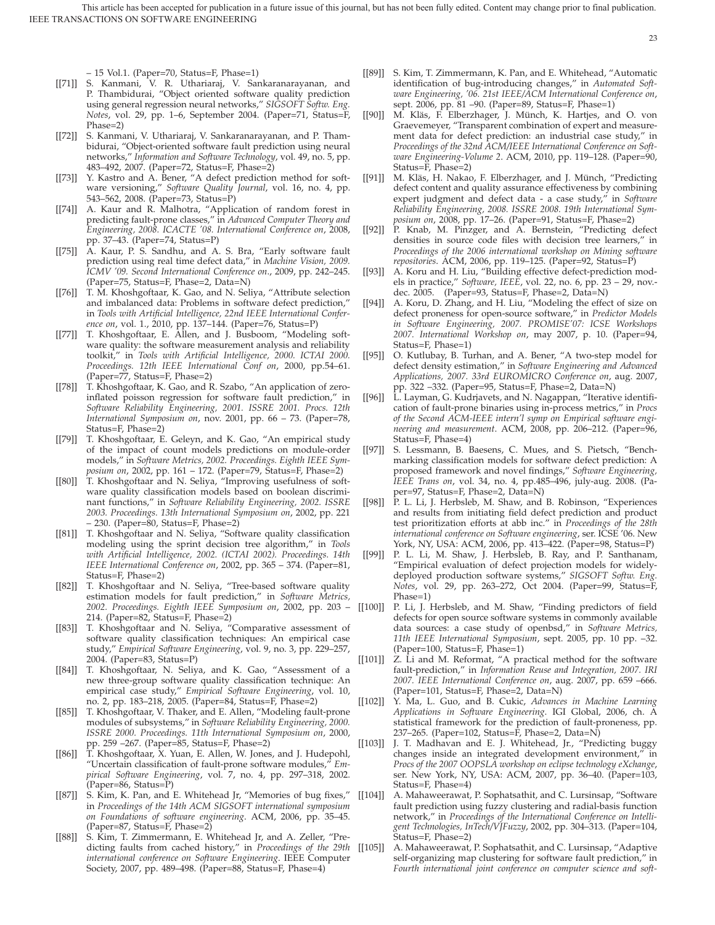– 15 Vol.1. (Paper=70, Status=F, Phase=1)

- [[71]] S. Kanmani, V. R. Uthariaraj, V. Sankaranarayanan, and P. Thambidurai, "Object oriented software quality prediction using general regression neural networks," *SIGSOFT Softw. Eng. Notes*, vol. 29, pp. 1–6, September 2004. (Paper=71, Status=F, Phase=2)
- [[72]] S. Kanmani, V. Uthariaraj, V. Sankaranarayanan, and P. Thambidurai, "Object-oriented software fault prediction using neural networks," *Information and Software Technology*, vol. 49, no. 5, pp. 483–492, 2007. (Paper=72, Status=F, Phase=2)
- [[73]] Y. Kastro and A. Bener, "A defect prediction method for software versioning," *Software Quality Journal*, vol. 16, no. 4, pp. 543–562, 2008. (Paper=73, Status=P)
- [[74]] A. Kaur and R. Malhotra, "Application of random forest in predicting fault-prone classes," in *Advanced Computer Theory and Engineering, 2008. ICACTE '08. International Conference on*, 2008, pp. 37–43. (Paper=74, Status=P)
- [[75]] A. Kaur, P. S. Sandhu, and A. S. Bra, "Early software fault prediction using real time defect data," in *Machine Vision, 2009. ICMV '09. Second International Conference on*., 2009, pp. 242–245. Paper=75, Status=F, Phase=2, Data=N)
- [[76]] T. M. Khoshgoftaar, K. Gao, and N. Seliya, "Attribute selection and imbalanced data: Problems in software defect prediction," in *Tools with Artificial Intelligence, 22nd IEEE International Conference on*, vol. 1., 2010, pp. 137–144. (Paper=76, Status=P)
- [[77]] T. Khoshgoftaar, E. Allen, and J. Busboom, "Modeling software quality: the software measurement analysis and reliability toolkit," in *Tools with Artificial Intelligence, 2000. ICTAI 2000. Proceedings. 12th IEEE International Conf on*, 2000, pp.54–61. (Paper=77, Status=F, Phase=2)
- [[78]] T. Khoshgoftaar, K. Gao, and R. Szabo, "An application of zeroinflated poisson regression for software fault prediction," in *Software Reliability Engineering, 2001. ISSRE 2001. Procs. 12th International Symposium on*, nov. 2001, pp. 66 – 73. (Paper=78, Status=F, Phase=2)
- [[79]] T. Khoshgoftaar, E. Geleyn, and K. Gao, "An empirical study of the impact of count models predictions on module-order models," in *Software Metrics, 2002. Proceedings. Eighth IEEE Symposium on*, 2002, pp. 161 – 172. (Paper=79, Status=F, Phase=2)
- [[80]] T. Khoshgoftaar and N. Seliya, "Improving usefulness of software quality classification models based on boolean discriminant functions," in *Software Reliability Engineering, 2002. ISSRE 2003. Proceedings. 13th International Symposium on*, 2002, pp. 221 – 230. (Paper=80, Status=F, Phase=2)
- [[81]] T. Khoshgoftaar and N. Seliya, "Software quality classification modeling using the sprint decision tree algorithm," in *Tools with Artificial Intelligence, 2002. (ICTAI 2002). Proceedings. 14th IEEE International Conference on*, 2002, pp. 365 – 374. (Paper=81, Status=F, Phase=2)
- [[82]] T. Khoshgoftaar and N. Seliya, "Tree-based software quality estimation models for fault prediction," in *Software Metrics, 2002. Proceedings. Eighth IEEE Symposium on*, 2002, pp. 203 – 214. (Paper=82, Status=F, Phase=2)
- [[83]] T. Khoshgoftaar and N. Seliya, "Comparative assessment of software quality classification techniques: An empirical case study," *Empirical Software Engineering*, vol. 9, no. 3, pp. 229–257, 2004. (Paper=83, Status=P)
- [[84]] T. Khoshgoftaar, N. Seliya, and K. Gao, "Assessment of a new three-group software quality classification technique: An empirical case study," *Empirical Software Engineering*, vol. 10, no. 2, pp. 183–218, 2005. (Paper=84, Status=F, Phase=2)
- [[85]] T. Khoshgoftaar, V. Thaker, and E. Allen, "Modeling fault-prone modules of subsystems," in *Software Reliability Engineering, 2000. ISSRE 2000. Proceedings. 11th International Symposium on*, 2000, pp. 259 –267. (Paper=85, Status=F, Phase=2)
- [[86]] T. Khoshgoftaar, X. Yuan, E. Allen, W. Jones, and J. Hudepohl, "Uncertain classification of fault-prone software modules," *Empirical Software Engineering*, vol. 7, no. 4, pp. 297–318, 2002. (Paper=86, Status=P)
- [[87]] S. Kim, K. Pan, and E. Whitehead Jr, "Memories of bug fixes," in *Proceedings of the 14th ACM SIGSOFT international symposium on Foundations of software engineering*. ACM, 2006, pp. 35–45. (Paper=87, Status=F, Phase=2)
- [[88]] S. Kim, T. Zimmermann, E. Whitehead Jr, and A. Zeller, "Predicting faults from cached history," in *Proceedings of the 29th international conference on Software Engineering*. IEEE Computer Society, 2007, pp. 489–498. (Paper=88, Status=F, Phase=4)

[[89]] S. Kim, T. Zimmermann, K. Pan, and E. Whitehead, "Automatic identification of bug-introducing changes," in *Automated Software Engineering, '06. 21st IEEE/ACM International Conference on*, sept. 2006, pp. 81 –90. (Paper=89, Status=F, Phase=1)

- [[90]] M. Kläs, F. Elberzhager, J. Münch, K. Hartjes, and O. von Graevemeyer, "Transparent combination of expert and measurement data for defect prediction: an industrial case study," in *Proceedings of the 32nd ACM/IEEE International Conference on Software Engineering-Volume 2*. ACM, 2010, pp. 119–128. (Paper=90, Status=F, Phase=2)
- [[91]] M. Kläs, H. Nakao, F. Elberzhager, and J. Münch, "Predicting defect content and quality assurance effectiveness by combining expert judgment and defect data - a case study," in *Software Reliability Engineering, 2008. ISSRE 2008. 19th International Symposium on*, 2008, pp. 17–26. (Paper=91, Status=F, Phase=2)
- [[92]] P. Knab, M. Pinzger, and A. Bernstein, "Predicting defect densities in source code files with decision tree learners," in *Proceedings of the 2006 international workshop on Mining software repositories*. ACM, 2006, pp. 119–125. (Paper=92, Status=P)
- [[93]] A. Koru and H. Liu, "Building effective defect-prediction models in practice," *Software, IEEE*, vol. 22, no. 6, pp. 23 – 29, nov. dec. 2005. (Paper=93, Status=F, Phase=2, Data=N)
- [[94]] A. Koru, D. Zhang, and H. Liu, "Modeling the effect of size on defect proneness for open-source software," in *Predictor Models in Software Engineering, 2007. PROMISE'07: ICSE Workshops 2007. International Workshop on*, may 2007, p. 10. (Paper=94, Status=F, Phase=1)
- [[95]] O. Kutlubay, B. Turhan, and A. Bener, "A two-step model for defect density estimation," in *Software Engineering and Advanced Applications, 2007. 33rd EUROMICRO Conference on*, aug. 2007, pp. 322 –332. (Paper=95, Status=F, Phase=2, Data=N)
- [[96]] L. Layman, G. Kudrjavets, and N. Nagappan, "Iterative identification of fault-prone binaries using in-process metrics," in *Procs of the Second ACM-IEEE intern'l symp on Empirical software engineering and measurement*. ACM, 2008, pp. 206–212. (Paper=96, Status=F, Phase=4)
- [[97]] S. Lessmann, B. Baesens, C. Mues, and S. Pietsch, "Benchmarking classification models for software defect prediction: A proposed framework and novel findings," *Software Engineering, IEEE Trans on*, vol. 34, no. 4, pp.485–496, july-aug. 2008. (Paper=97, Status=F, Phase=2, Data=N)
- [[98]] P. L. Li, J. Herbsleb, M. Shaw, and B. Robinson, "Experiences and results from initiating field defect prediction and product test prioritization efforts at abb inc." in *Proceedings of the 28th international conference on Software engineering*, ser. ICSE '06. New York, NY, USA: ACM, 2006, pp. 413–422. (Paper=98, Status=P)
- [[99]] P. L. Li, M. Shaw, J. Herbsleb, B. Ray, and P. Santhanam, "Empirical evaluation of defect projection models for widelydeployed production software systems," *SIGSOFT Softw. Eng. Notes*, vol. 29, pp. 263–272, Oct 2004. (Paper=99, Status=F, Phase=1)
- [[100]] P. Li, J. Herbsleb, and M. Shaw, "Finding predictors of field defects for open source software systems in commonly available data sources: a case study of openbsd," in *Software Metrics, 11th IEEE International Symposium*, sept. 2005, pp. 10 pp. –32. (Paper=100, Status=F, Phase=1)
- [[101]] Z. Li and M. Reformat, "A practical method for the software fault-prediction," in *Information Reuse and Integration, 2007. IRI 2007. IEEE International Conference on*, aug. 2007, pp. 659 –666. (Paper=101, Status=F, Phase=2, Data=N)
- [[102]] Y. Ma, L. Guo, and B. Cukic, *Advances in Machine Learning Applications in Software Engineering*. IGI Global, 2006, ch. A statistical framework for the prediction of fault-proneness, pp. 237–265. (Paper=102, Status=F, Phase=2, Data=N)
- [[103]] J. T. Madhavan and E. J. Whitehead, Jr., "Predicting buggy changes inside an integrated development environment," in *Procs of the 2007 OOPSLA workshop on eclipse technology eXchange*, ser. New York, NY, USA: ACM, 2007, pp. 36–40. (Paper=103, Status=F, Phase=4)
- [[104]] A. Mahaweerawat, P. Sophatsathit, and C. Lursinsap, "Software fault prediction using fuzzy clustering and radial-basis function network," in *Proceedings of the International Conference on Intelligent Technologies, InTech/VJFuzzy*, 2002, pp. 304–313. (Paper=104, Status=F, Phase=2)
- [[105]] A. Mahaweerawat, P. Sophatsathit, and C. Lursinsap, "Adaptive self-organizing map clustering for software fault prediction," in *Fourth international joint conference on computer science and soft-*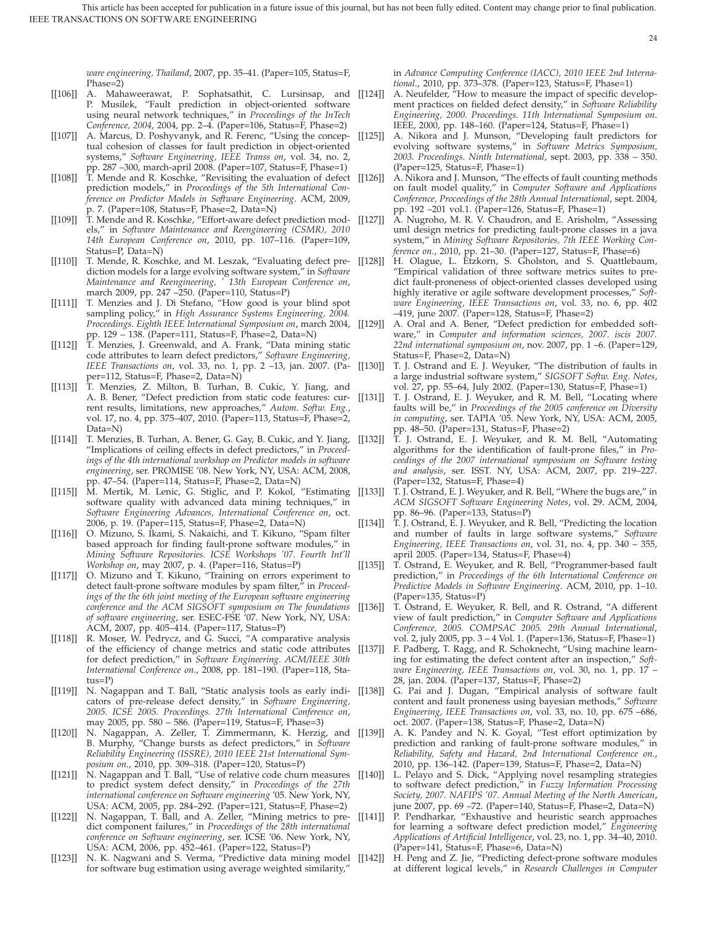*ware engineering, Thailand*, 2007, pp. 35–41. (Paper=105, Status=F, Phase=2)

- [[106]] A. Mahaweerawat, P. Sophatsathit, C. Lursinsap, and [[124]] P. Musilek, "Fault prediction in object-oriented software using neural network techniques," in *Proceedings of the InTech Conference, 2004*, 2004, pp. 2–4. (Paper=106, Status=F, Phase=2)
- [[107]] A. Marcus, D. Poshyvanyk, and R. Ferenc, "Using the conceptual cohesion of classes for fault prediction in object-oriented systems," *Software Engineering, IEEE Transs on*, vol. 34, no. 2, pp. 287 –300, march-april 2008. (Paper=107, Status=F, Phase=1)
- [[108]] T. Mende and R. Koschke, "Revisiting the evaluation of defect prediction models," in *Proceedings of the 5th International Conference on Predictor Models in Software Engineering*. ACM, 2009, p. 7. (Paper=108, Status=F, Phase=2, Data=N)
- [[109]] T. Mende and R. Koschke, "Effort-aware defect prediction mod- [[127]] els," in *Software Maintenance and Reengineering (CSMR), 2010 14th European Conference on*, 2010, pp. 107–116. (Paper=109, Status=P, Data=N)
- [[110]] T. Mende, R. Koschke, and M. Leszak, "Evaluating defect pre- [[128]] diction models for a large evolving software system," in *Software Maintenance and Reengineering, ' 13th European Conference on*, march 2009, pp. 247 –250. (Paper=110, Status=P)
- [[111]] T. Menzies and J. Di Stefano, "How good is your blind spot sampling policy," in *High Assurance Systems Engineering, 2004. Proceedings. Eighth IEEE International Symposium on*, march 2004, pp. 129 – 138. (Paper=111, Status=F, Phase=2, Data=N)
- [[112]] T. Menzies, J. Greenwald, and A. Frank, "Data mining static code attributes to learn defect predictors," *Software Engineering, IEEE Transactions on*, vol. 33, no. 1, pp. 2 –13, jan. 2007. (Paper=112, Status=F, Phase=2, Data=N)
- [[113]] T. Menzies, Z. Milton, B. Turhan, B. Cukic, Y. Jiang, and A. B. Bener, "Defect prediction from static code features: cur- [[131]] rent results, limitations, new approaches," *Autom. Softw. Eng.*, vol. 17, no. 4, pp. 375–407, 2010. (Paper=113, Status=F, Phase=2, Data=N)
- [[114]] T. Menzies, B. Turhan, A. Bener, G. Gay, B. Cukic, and Y. Jiang, [[132]] "Implications of ceiling effects in defect predictors," in *Proceedings of the 4th international workshop on Predictor models in software engineering*, ser. PROMISE '08. New York, NY, USA: ACM, 2008, pp. 47–54. (Paper=114, Status=F, Phase=2, Data=N)
- [[115]] M. Mertik, M. Lenic, G. Stiglic, and P. Kokol, "Estimating software quality with advanced data mining techniques," in *Software Engineering Advances, International Conference on*, oct. 2006, p. 19. (Paper=115, Status=F, Phase=2, Data=N)
- [[116]] O. Mizuno, S. Ikami, S. Nakaichi, and T. Kikuno, "Spam filter based approach for finding fault-prone software modules," in *Mining Software Repositories. ICSE Workshops '07. Fourth Int'll Workshop on*, may 2007, p. 4. (Paper=116, Status=P)
- [[117]] O. Mizuno and T. Kikuno, "Training on errors experiment to detect fault-prone software modules by spam filter," in *Proceedings of the the 6th joint meeting of the European software engineering conference and the ACM SIGSOFT symposium on The foundations of software engineering*, ser. ESEC-FSE '07. New York, NY, USA: ACM, 2007, pp. 405–414. (Paper=117, Status=P)
- [[118]] R. Moser, W. Pedrycz, and G. Succi, "A comparative analysis of the efficiency of change metrics and static code attributes [[137]] for defect prediction," in *Software Engineering. ACM/IEEE 30th International Conference on*., 2008, pp. 181–190. (Paper=118, Status=P)
- [[119]] N. Nagappan and T. Ball, "Static analysis tools as early indi- [[138]] cators of pre-release defect density," in *Software Engineering, 2005. ICSE 2005. Proceedings. 27th International Conference on*, may 2005, pp. 580 – 586. (Paper=119, Status=F, Phase=3)
- [[120]] N. Nagappan, A. Zeller, T. Zimmermann, K. Herzig, and [[139]] B. Murphy, "Change bursts as defect predictors," in *Software Reliability Engineering (ISSRE), 2010 IEEE 21st International Symposium on*., 2010, pp. 309–318. (Paper=120, Status=P)
- [[121]] N. Nagappan and T. Ball, "Use of relative code churn measures to predict system defect density," in *Proceedings of the 27th international conference on Software engineering* '05. New York, NY, USA: ACM, 2005, pp. 284–292. (Paper=121, Status=F, Phase=2)
- [[122]] N. Nagappan, T. Ball, and A. Zeller, "Mining metrics to predict component failures," in *Proceedings of the 28th international conference on Software engineering*, ser. ICSE '06. New York, NY, USA: ACM, 2006, pp. 452–461. (Paper=122, Status=P)
- [[123]] N. K. Nagwani and S. Verma, "Predictive data mining model for software bug estimation using average weighted similarity,"

in *Advance Computing Conference (IACC), 2010 IEEE 2nd International*., 2010, pp. 373–378. (Paper=123, Status=F, Phase=1)

- A. Neufelder, "How to measure the impact of specific development practices on fielded defect density," in *Software Reliability Engineering, 2000. Proceedings. 11th International Symposium on*. IEEE, 2000, pp. 148–160. (Paper=124, Status=F, Phase=1)
- [[125]] A. Nikora and J. Munson, "Developing fault predictors for evolving software systems," in *Software Metrics Symposium, 2003. Proceedings. Ninth International*, sept. 2003, pp. 338 – 350. (Paper=125, Status=F, Phase=1)
- A. Nikora and J. Munson, "The effects of fault counting methods on fault model quality," in *Computer Software and Applications Conference, Proceedings of the 28th Annual International*, sept. 2004, pp. 192 –201 vol.1. (Paper=126, Status=F, Phase=1)
- A. Nugroho, M. R. V. Chaudron, and E. Arisholm, "Assessing uml design metrics for predicting fault-prone classes in a java system," in *Mining Software Repositories, 7th IEEE Working Conference on*., 2010, pp. 21–30. (Paper=127, Status=F, Phase=6)
- H. Olague, L. Etzkorn, S. Gholston, and S. Quattlebaum, "Empirical validation of three software metrics suites to predict fault-proneness of object-oriented classes developed using highly iterative or agile software development processes," *Software Engineering, IEEE Transactions on*, vol. 33, no. 6, pp. 402 –419, june 2007. (Paper=128, Status=F, Phase=2)
- A. Oral and A. Bener, "Defect prediction for embedded software," in *Computer and information sciences, 2007. iscis 2007. 22nd international symposium on*, nov. 2007, pp. 1 –6. (Paper=129, Status=F, Phase=2, Data=N)
- T. J. Ostrand and E. J. Weyuker, "The distribution of faults in a large industrial software system," *SIGSOFT Softw. Eng. Notes*, vol. 27, pp. 55–64, July 2002. (Paper=130, Status=F, Phase=1)
- T. J. Ostrand, E. J. Weyuker, and R. M. Bell, "Locating where faults will be," in *Proceedings of the 2005 conference on Diversity in computing*, ser. TAPIA '05. New York, NY, USA: ACM, 2005, pp. 48–50. (Paper=131, Status=F, Phase=2)
- [[132]] T. J. Ostrand, E. J. Weyuker, and R. M. Bell, "Automating algorithms for the identification of fault-prone files," in *Proceedings of the 2007 international symposium on Software testing and analysis*, ser. ISST. NY, USA: ACM, 2007, pp. 219–227. (Paper=132, Status=F, Phase=4)
- [[133]] T. J. Ostrand, E. J. Weyuker, and R. Bell, "Where the bugs are," in *ACM SIGSOFT Software Engineering Notes*, vol. 29. ACM, 2004, pp. 86–96. (Paper=133, Status=P)
- [[134]] T. J. Ostrand, E. J. Weyuker, and R. Bell, "Predicting the location and number of faults in large software systems," *Software Engineering, IEEE Transactions on*, vol. 31, no. 4, pp. 340 – 355, april 2005. (Paper=134, Status=F, Phase=4)
- [[135]] T. Ostrand, E. Weyuker, and R. Bell, "Programmer-based fault prediction," in *Proceedings of the 6th International Conference on Predictive Models in Software Engineering*. ACM, 2010, pp. 1–10. (Paper=135, Status=P)
- [[136]] T. Ostrand, E. Weyuker, R. Bell, and R. Ostrand, "A different view of fault prediction," in *Computer Software and Applications Conference, 2005. COMPSAC 2005. 29th Annual International*, vol. 2, july 2005, pp. 3 – 4 Vol. 1. (Paper=136, Status=F, Phase=1)
	- F. Padberg, T. Ragg, and R. Schoknecht, "Using machine learning for estimating the defect content after an inspection," *Software Engineering, IEEE Transactions on*, vol. 30, no. 1, pp. 17 – 28, jan. 2004. (Paper=137, Status=F, Phase=2)
	- G. Pai and J. Dugan, "Empirical analysis of software fault content and fault proneness using bayesian methods," *Software Engineering, IEEE Transactions on*, vol. 33, no. 10, pp. 675 –686, oct. 2007. (Paper=138, Status=F, Phase=2, Data=N)
	- A. K. Pandey and N. K. Goyal, "Test effort optimization by prediction and ranking of fault-prone software modules," in *Reliability, Safety and Hazard, 2nd International Conference on*., 2010, pp. 136–142. (Paper=139, Status=F, Phase=2, Data=N)
	- L. Pelayo and S. Dick, "Applying novel resampling strategies to software defect prediction," in *Fuzzy Information Processing Society, 2007. NAFIPS '07. Annual Meeting of the North American*, june 2007, pp. 69 –72. (Paper=140, Status=F, Phase=2, Data=N)
- [[141]] P. Pendharkar, "Exhaustive and heuristic search approaches for learning a software defect prediction model," *Engineering Applications of Artificial Intelligence*, vol. 23, no. 1, pp. 34–40, 2010. (Paper=141, Status=F, Phase=6, Data=N)
	- H. Peng and Z. Jie, "Predicting defect-prone software modules at different logical levels," in *Research Challenges in Computer*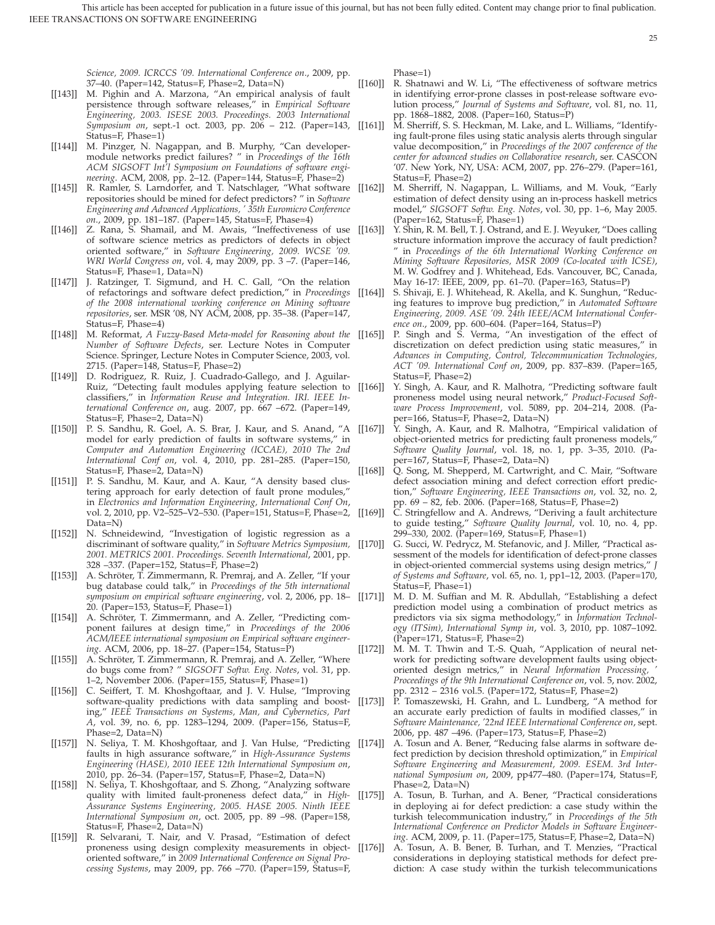*Science, 2009. ICRCCS '09. International Conference on*., 2009, pp. 37–40. (Paper=142, Status=F, Phase=2, Data=N)

- [[143]] M. Pighin and A. Marzona, "An empirical analysis of fault persistence through software releases," in *Empirical Software Engineering, 2003. ISESE 2003. Proceedings. 2003 International Symposium on, sept.*-1 oct. 2003, pp. 206 - 212. (Paper=143, [[161]] Status=F, Phase=1)
- [[144]] M. Pinzger, N. Nagappan, and B. Murphy, "Can developermodule networks predict failures? " in *Proceedings of the 16th ACM SIGSOFT Int'l Symposium on Foundations of software engineering*. ACM, 2008, pp. 2–12. (Paper=144, Status=F, Phase=2)
- [[145]] R. Ramler, S. Larndorfer, and T. Natschlager, "What software [[162]] repositories should be mined for defect predictors? " in *Software Engineering and Advanced Applications, ' 35th Euromicro Conference on*., 2009, pp. 181–187. (Paper=145, Status=F, Phase=4)
- [[146]] Z. Rana, S. Shamail, and M. Awais, "Ineffectiveness of use [[163]] of software science metrics as predictors of defects in object oriented software," in *Software Engineering, 2009. WCSE '09. WRI World Congress on*, vol. 4, may 2009, pp. 3 –7. (Paper=146, Status=F, Phase=1, Data=N)
- [[147]] J. Ratzinger, T. Sigmund, and H. C. Gall, "On the relation of refactorings and software defect prediction," in *Proceedings of the 2008 international working conference on Mining software repositories*, ser. MSR '08, NY ACM, 2008, pp. 35–38. (Paper=147, Status=F, Phase=4)
- [[148]] M. Reformat, *A Fuzzy-Based Meta-model for Reasoning about the Number of Software Defects*, ser. Lecture Notes in Computer Science. Springer, Lecture Notes in Computer Science, 2003, vol. 2715. (Paper=148, Status=F, Phase=2)
- [[149]] D. Rodriguez, R. Ruiz, J. Cuadrado-Gallego, and J. Aguilar-Ruiz, "Detecting fault modules applying feature selection to [[166]] classifiers," in *Information Reuse and Integration. IRI. IEEE International Conference on*, aug. 2007, pp. 667 –672. (Paper=149, Status=F, Phase=2, Data=N)
- [[150]] P. S. Sandhu, R. Goel, A. S. Brar, J. Kaur, and S. Anand, "A [[167]] model for early prediction of faults in software systems," in *Computer and Automation Engineering (ICCAE), 2010 The 2nd International Conf on*, vol. 4, 2010, pp. 281–285. (Paper=150, Status=F, Phase=2, Data=N)
- [[151]] P. S. Sandhu, M. Kaur, and A. Kaur, "A density based clustering approach for early detection of fault prone modules," in *Electronics and Information Engineering, International Conf On*, vol. 2, 2010, pp. V2–525–V2–530. (Paper=151, Status=F, Phase=2, Data=N)
- [[152]] N. Schneidewind, "Investigation of logistic regression as a discriminant of software quality," in *Software Metrics Symposium, 2001. METRICS 2001. Proceedings. Seventh International*, 2001, pp. 328 –337. (Paper=152, Status=F, Phase=2)
- [[153]] A. Schröter, T. Zimmermann, R. Premraj, and A. Zeller, "If your bug database could talk," in *Proceedings of the 5th international symposium on empirical software engineering*, vol. 2, 2006, pp. 18– 20. (Paper=153, Status=F, Phase=1)
- [[154]] A. Schröter, T. Zimmermann, and A. Zeller, "Predicting component failures at design time," in *Proceedings of the 2006 ACM/IEEE international symposium on Empirical software engineering*. ACM, 2006, pp. 18–27. (Paper=154, Status=P)
- [[155]] A. Schröter, T. Zimmermann, R. Premraj, and A. Zeller, "Where do bugs come from? " *SIGSOFT Softw. Eng. Notes*, vol. 31, pp. 1–2, November 2006. (Paper=155, Status=F, Phase=1)
- [[156]] C. Seiffert, T. M. Khoshgoftaar, and J. V. Hulse, "Improving software-quality predictions with data sampling and boosting," *IEEE Transactions on Systems, Man, and Cybernetics, Part A*, vol. 39, no. 6, pp. 1283–1294, 2009. (Paper=156, Status=F, Phase=2, Data=N)
- [[157]] N. Seliya, T. M. Khoshgoftaar, and J. Van Hulse, "Predicting [[174]] faults in high assurance software," in *High-Assurance Systems Engineering (HASE), 2010 IEEE 12th International Symposium on*, 2010, pp. 26–34. (Paper=157, Status=F, Phase=2, Data=N)
- [[158]] N. Seliya, T. Khoshgoftaar, and S. Zhong, "Analyzing software quality with limited fault-proneness defect data," in *High-Assurance Systems Engineering, 2005. HASE 2005. Ninth IEEE International Symposium on*, oct. 2005, pp. 89 –98. (Paper=158, Status=F, Phase=2, Data=N)
- [[159]] R. Selvarani, T. Nair, and V. Prasad, "Estimation of defect proneness using design complexity measurements in objectoriented software," in *2009 International Conference on Signal Processing Systems*, may 2009, pp. 766 –770. (Paper=159, Status=F,

Phase=1)

[[160]] R. Shatnawi and W. Li, "The effectiveness of software metrics in identifying error-prone classes in post-release software evolution process," *Journal of Systems and Software*, vol. 81, no. 11, pp. 1868–1882, 2008. (Paper=160, Status=P)

- M. Sherriff, S. S. Heckman, M. Lake, and L. Williams, "Identifying fault-prone files using static analysis alerts through singular value decomposition," in *Proceedings of the 2007 conference of the center for advanced studies on Collaborative research*, ser. CASCON '07. New York, NY, USA: ACM, 2007, pp. 276–279. (Paper=161, Status=F, Phase=2)
- M. Sherriff, N. Nagappan, L. Williams, and M. Vouk, "Early estimation of defect density using an in-process haskell metrics model," *SIGSOFT Softw. Eng. Notes*, vol. 30, pp. 1–6, May 2005. (Paper=162, Status=F, Phase=1)
- Y. Shin, R. M. Bell, T. J. Ostrand, and E. J. Weyuker, "Does calling structure information improve the accuracy of fault prediction? " in *Proceedings of the 6th International Working Conference on Mining Software Repositories, MSR 2009 (Co-located with ICSE)*, M. W. Godfrey and J. Whitehead, Eds. Vancouver, BC, Canada, May 16-17: IEEE, 2009, pp. 61–70. (Paper=163, Status=P)
- [[164]] S. Shivaji, E. J. Whitehead, R. Akella, and K. Sunghun, "Reducing features to improve bug prediction," in *Automated Software Engineering, 2009. ASE '09. 24th IEEE/ACM International Conference on*., 2009, pp. 600–604. (Paper=164, Status=P)
- P. Singh and S. Verma, "An investigation of the effect of discretization on defect prediction using static measures," in *Advances in Computing, Control, Telecommunication Technologies, ACT '09. International Conf on*, 2009, pp. 837–839. (Paper=165, Status=F, Phase=2)
- Y. Singh, A. Kaur, and R. Malhotra, "Predicting software fault proneness model using neural network," *Product-Focused Software Process Improvement*, vol. 5089, pp. 204–214, 2008. (Paper=166, Status=F, Phase=2, Data=N)
- Y. Singh, A. Kaur, and R. Malhotra, "Empirical validation of object-oriented metrics for predicting fault proneness models," *Software Quality Journal*, vol. 18, no. 1, pp. 3–35, 2010. (Paper=167, Status=F, Phase=2, Data=N)
- [[168]] Q. Song, M. Shepperd, M. Cartwright, and C. Mair, "Software defect association mining and defect correction effort prediction," *Software Engineering, IEEE Transactions on*, vol. 32, no. 2, pp. 69 – 82, feb. 2006. (Paper=168, Status=F, Phase=2)
- [[169]] C. Stringfellow and A. Andrews, "Deriving a fault architecture to guide testing," *Software Quality Journal*, vol. 10, no. 4, pp. 299–330, 2002. (Paper=169, Status=F, Phase=1)
- G. Succi, W. Pedrycz, M. Stefanovic, and J. Miller, "Practical assessment of the models for identification of defect-prone classes in object-oriented commercial systems using design metrics," *J of Systems and Software*, vol. 65, no. 1, pp1–12, 2003. (Paper=170, Status=F, Phase=1)
- [[171]] M. D. M. Suffian and M. R. Abdullah, "Establishing a defect prediction model using a combination of product metrics as predictors via six sigma methodology," in *Information Technology (ITSim), International Symp in*, vol. 3, 2010, pp. 1087–1092. (Paper=171, Status=F, Phase=2)
- [[172]] M. M. T. Thwin and T.-S. Quah, "Application of neural network for predicting software development faults using objectoriented design metrics," in *Neural Information Processing, ' Proceedings of the 9th International Conference on*, vol. 5, nov. 2002, pp. 2312 – 2316 vol.5. (Paper=172, Status=F, Phase=2)
- [[173]] P. Tomaszewski, H. Grahn, and L. Lundberg, "A method for an accurate early prediction of faults in modified classes," in *Software Maintenance, '22nd IEEE International Conference on*, sept. 2006, pp. 487 –496. (Paper=173, Status=F, Phase=2)
	- A. Tosun and A. Bener, "Reducing false alarms in software defect prediction by decision threshold optimization," in *Empirical Software Engineering and Measurement, 2009. ESEM. 3rd International Symposium on*, 2009, pp477–480. (Paper=174, Status=F, Phase=2, Data=N)
- [[175]] A. Tosun, B. Turhan, and A. Bener, "Practical considerations in deploying ai for defect prediction: a case study within the turkish telecommunication industry," in *Proceedings of the 5th International Conference on Predictor Models in Software Engineering*. ACM, 2009, p. 11. (Paper=175, Status=F, Phase=2, Data=N)
- [[176]] A. Tosun, A. B. Bener, B. Turhan, and T. Menzies, "Practical considerations in deploying statistical methods for defect prediction: A case study within the turkish telecommunications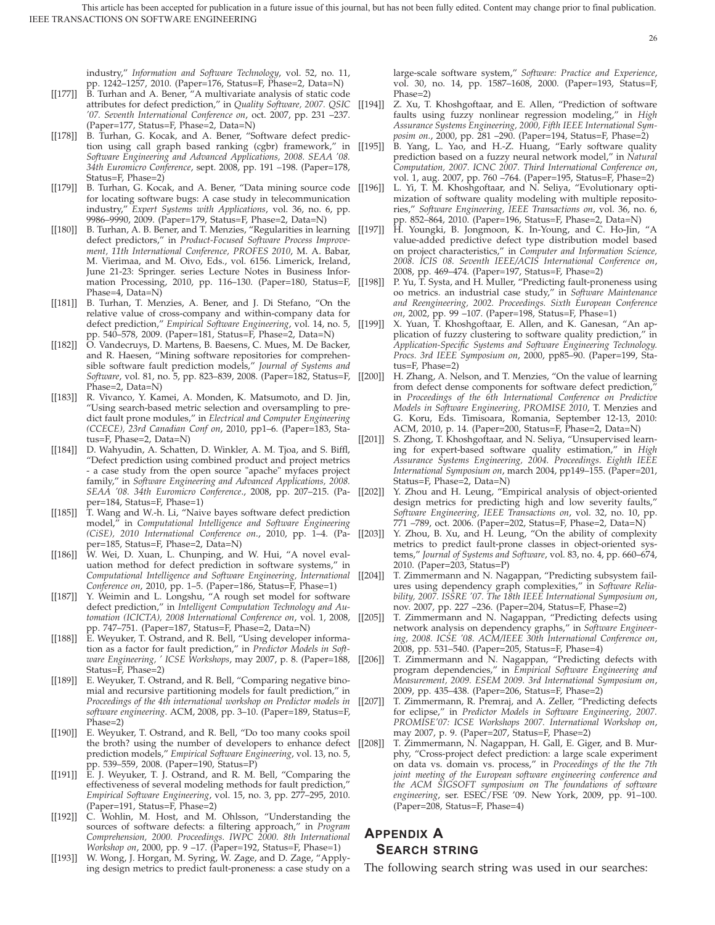industry," *Information and Software Technology*, vol. 52, no. 11, pp. 1242–1257, 2010. (Paper=176, Status=F, Phase=2, Data=N)

- [[177]] B. Turhan and A. Bener, "A multivariate analysis of static code attributes for defect prediction," in *Quality Software, 2007. QSIC '07. Seventh International Conference on*, oct. 2007, pp. 231 –237. (Paper=177, Status=F, Phase=2, Data=N)
- [[178]] B. Turhan, G. Kocak, and A. Bener, "Software defect prediction using call graph based ranking (cgbr) framework," in *Software Engineering and Advanced Applications, 2008. SEAA '08. 34th Euromicro Conference*, sept. 2008, pp. 191 –198. (Paper=178, Status=F, Phase=2)
- [[179]] B. Turhan, G. Kocak, and A. Bener, "Data mining source code [[196]] L. Yi, T. M. Khoshgoftaar, and N. Seliya, "Evolutionary optifor locating software bugs: A case study in telecommunication industry," *Expert Systems with Applications*, vol. 36, no. 6, pp. 9986–9990, 2009. (Paper=179, Status=F, Phase=2, Data=N)
- [[180]] B. Turhan, A. B. Bener, and T. Menzies, "Regularities in learning [[197]] defect predictors," in *Product-Focused Software Process Improvement, 11th International Conference, PROFES 2010*, M. A. Babar, M. Vierimaa, and M. Oivo, Eds., vol. 6156. Limerick, Ireland, June 21-23: Springer. series Lecture Notes in Business Information Processing, 2010, pp. 116–130. (Paper=180, Status=F, Phase=4, Data=N)
- [[181]] B. Turhan, T. Menzies, A. Bener, and J. Di Stefano, "On the relative value of cross-company and within-company data for defect prediction," *Empirical Software Engineering*, vol. 14, no. 5, pp. 540–578, 2009. (Paper=181, Status=F, Phase=2, Data=N)
- [[182]] O. Vandecruys, D. Martens, B. Baesens, C. Mues, M. De Backer, and R. Haesen, "Mining software repositories for comprehensible software fault prediction models," *Journal of Systems and Software*, vol. 81, no. 5, pp. 823–839, 2008. (Paper=182, Status=F, Phase=2, Data=N)
- [[183]] R. Vivanco, Y. Kamei, A. Monden, K. Matsumoto, and D. Jin, "Using search-based metric selection and oversampling to predict fault prone modules," in *Electrical and Computer Engineering (CCECE), 23rd Canadian Conf on*, 2010, pp1–6. (Paper=183, Status=F, Phase=2, Data=N)
- [[184]] D. Wahyudin, A. Schatten, D. Winkler, A. M. Tjoa, and S. Biffl, "Defect prediction using combined product and project metrics - a case study from the open source "apache" myfaces project family," in *Software Engineering and Advanced Applications, 2008. SEAA '08. 34th Euromicro Conference*., 2008, pp. 207–215. (Paper=184, Status=F, Phase=1)
- [[185]] T. Wang and W.-h. Li, "Naive bayes software defect prediction model," in *Computational Intelligence and Software Engineering* per=185, Status=F, Phase=2, Data=N)
- [[186]] W. Wei, D. Xuan, L. Chunping, and W. Hui, "A novel evaluation method for defect prediction in software systems," in *Computational Intelligence and Software Engineering, International Conference on*, 2010, pp. 1–5. (Paper=186, Status=F, Phase=1)
- [[187]] Y. Weimin and L. Longshu, "A rough set model for software defect prediction," in *Intelligent Computation Technology and Automation (ICICTA), 2008 International Conference on*, vol. 1, 2008, pp. 747–751. (Paper=187, Status=F, Phase=2, Data=N)
- [[188]] E. Weyuker, T. Ostrand, and R. Bell, "Using developer information as a factor for fault prediction," in *Predictor Models in Soft-*Status=F, Phase=2)
- [[189]] E. Weyuker, T. Ostrand, and R. Bell, "Comparing negative binomial and recursive partitioning models for fault prediction," in *Proceedings of the 4th international workshop on Predictor models in software engineering*. ACM, 2008, pp. 3–10. (Paper=189, Status=F, Phase=2)
- [[190]] E. Weyuker, T. Ostrand, and R. Bell, "Do too many cooks spoil the broth? using the number of developers to enhance defect prediction models," *Empirical Software Engineering*, vol. 13, no. 5, pp. 539–559, 2008. (Paper=190, Status=P)
- [[191]] E. J. Weyuker, T. J. Ostrand, and R. M. Bell, "Comparing the effectiveness of several modeling methods for fault prediction," *Empirical Software Engineering*, vol. 15, no. 3, pp. 277–295, 2010. (Paper=191, Status=F, Phase=2)
- [[192]] C. Wohlin, M. Host, and M. Ohlsson, "Understanding the sources of software defects: a filtering approach," in *Program Comprehension, 2000. Proceedings. IWPC 2000. 8th International Workshop on*, 2000, pp. 9 –17. (Paper=192, Status=F, Phase=1)
- [[193]] W. Wong, J. Horgan, M. Syring, W. Zage, and D. Zage, "Applying design metrics to predict fault-proneness: a case study on a

large-scale software system," *Software: Practice and Experience*, vol. 30, no. 14, pp. 1587–1608, 2000. (Paper=193, Status=F, Phase=2)

- Z. Xu, T. Khoshgoftaar, and E. Allen, "Prediction of software faults using fuzzy nonlinear regression modeling," in *High Assurance Systems Engineering, 2000, Fifth IEEE International Symposim on.*, 2000, pp. 281 –290. (Paper=194, Status=F, Phase=2)
- [[195]] B. Yang, L. Yao, and H.-Z. Huang, "Early software quality prediction based on a fuzzy neural network model," in *Natural Computation, 2007. ICNC 2007. Third International Conference on*, vol. 1, aug. 2007, pp. 760 –764. (Paper=195, Status=F, Phase=2)
	- mization of software quality modeling with multiple repositories," *Software Engineering, IEEE Transactions on*, vol. 36, no. 6, pp. 852–864, 2010. (Paper=196, Status=F, Phase=2, Data=N)
	- H. Youngki, B. Jongmoon, K. In-Young, and C. Ho-Jin, "A value-added predictive defect type distribution model based on project characteristics," in *Computer and Information Science, 2008. ICIS 08. Seventh IEEE/ACIS International Conference on*, 2008, pp. 469–474. (Paper=197, Status=F, Phase=2)
- [[198]] P. Yu, T. Systa, and H. Muller, "Predicting fault-proneness using oo metrics. an industrial case study," in *Software Maintenance and Reengineering, 2002. Proceedings. Sixth European Conference on*, 2002, pp. 99 –107. (Paper=198, Status=F, Phase=1)
- X. Yuan, T. Khoshgoftaar, E. Allen, and K. Ganesan, "An application of fuzzy clustering to software quality prediction," in *Application-Specific Systems and Software Engineering Technology. Procs. 3rd IEEE Symposium on*, 2000, pp85–90. (Paper=199, Status=F, Phase=2)
- [[200]] H. Zhang, A. Nelson, and T. Menzies, "On the value of learning from defect dense components for software defect prediction, in *Proceedings of the 6th International Conference on Predictive Models in Software Engineering, PROMISE 2010*, T. Menzies and G. Koru, Eds. Timisoara, Romania, September 12-13, 2010: ACM, 2010, p. 14. (Paper=200, Status=F, Phase=2, Data=N)
- [[201]] S. Zhong, T. Khoshgoftaar, and N. Seliya, "Unsupervised learning for expert-based software quality estimation," in *High Assurance Systems Engineering, 2004. Proceedings. Eighth IEEE International Symposium on*, march 2004, pp149–155. (Paper=201, Status=F, Phase=2, Data=N)
- Y. Zhou and H. Leung, "Empirical analysis of object-oriented design metrics for predicting high and low severity faults," *Software Engineering, IEEE Transactions on*, vol. 32, no. 10, pp. 771 –789, oct. 2006. (Paper=202, Status=F, Phase=2, Data=N)
- *(CiSE), 2010 International Conference on*., 2010, pp. 1–4. (Pa-[[203]] Y. Zhou, B. Xu, and H. Leung, "On the ability of complexity metrics to predict fault-prone classes in object-oriented systems," *Journal of Systems and Software*, vol. 83, no. 4, pp. 660–674, 2010. (Paper=203, Status=P)
	- [[204]] T. Zimmermann and N. Nagappan, "Predicting subsystem failures using dependency graph complexities," in *Software Reliability, 2007. ISSRE '07. The 18th IEEE International Symposium on*, nov. 2007, pp. 227 –236. (Paper=204, Status=F, Phase=2)
	- [[205]] T. Zimmermann and N. Nagappan, "Predicting defects using network analysis on dependency graphs," in *Software Engineering, 2008. ICSE '08. ACM/IEEE 30th International Conference on*, 2008, pp. 531–540. (Paper=205, Status=F, Phase=4)
- *ware Engineering, ' ICSE Workshops*, may 2007, p. 8. (Paper=188, [[206]] T. Zimmermann and N. Nagappan, "Predicting defects with program dependencies," in *Empirical Software Engineering and Measurement, 2009. ESEM 2009. 3rd International Symposium on*, 2009, pp. 435–438. (Paper=206, Status=F, Phase=2)
	- [[207]] T. Zimmermann, R. Premraj, and A. Zeller, "Predicting defects for eclipse," in *Predictor Models in Software Engineering, 2007. PROMISE'07: ICSE Workshops 2007. International Workshop on*, may 2007, p. 9. (Paper=207, Status=F, Phase=2)
	- [[208]] T. Zimmermann, N. Nagappan, H. Gall, E. Giger, and B. Murphy, "Cross-project defect prediction: a large scale experiment on data vs. domain vs. process," in *Proceedings of the the 7th joint meeting of the European software engineering conference and the ACM SIGSOFT symposium on The foundations of software engineering*, ser. ESEC/FSE '09. New York, 2009, pp. 91–100. (Paper=208, Status=F, Phase=4)

## **APPENDIX A SEARCH STRING**

The following search string was used in our searches: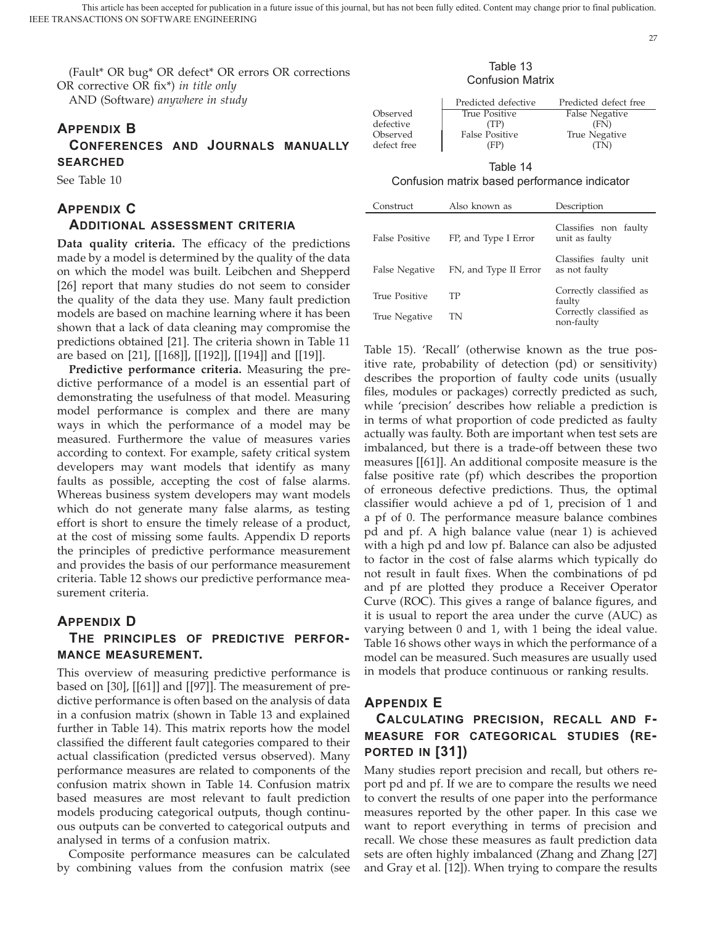(Fault\* OR bug\* OR defect\* OR errors OR corrections OR corrective OR fix\*) *in title only* AND (Software) *anywhere in study*

# **APPENDIX B**

**CONFERENCES AND JOURNALS MANUALLY SEARCHED**

See Table 10

## **APPENDIX C**

## **ADDITIONAL ASSESSMENT CRITERIA**

**Data quality criteria.** The efficacy of the predictions made by a model is determined by the quality of the data on which the model was built. Leibchen and Shepperd [26] report that many studies do not seem to consider the quality of the data they use. Many fault prediction models are based on machine learning where it has been shown that a lack of data cleaning may compromise the predictions obtained [21]. The criteria shown in Table 11 are based on [21], [[168]], [[192]], [[194]] and [[19]].

**Predictive performance criteria.** Measuring the predictive performance of a model is an essential part of demonstrating the usefulness of that model. Measuring model performance is complex and there are many ways in which the performance of a model may be measured. Furthermore the value of measures varies according to context. For example, safety critical system developers may want models that identify as many faults as possible, accepting the cost of false alarms. Whereas business system developers may want models which do not generate many false alarms, as testing effort is short to ensure the timely release of a product, at the cost of missing some faults. Appendix D reports the principles of predictive performance measurement and provides the basis of our performance measurement criteria. Table 12 shows our predictive performance measurement criteria.

## **APPENDIX D**

## **THE PRINCIPLES OF PREDICTIVE PERFOR-MANCE MEASUREMENT.**

This overview of measuring predictive performance is based on [30], [[61]] and [[97]]. The measurement of predictive performance is often based on the analysis of data in a confusion matrix (shown in Table 13 and explained further in Table 14). This matrix reports how the model classified the different fault categories compared to their actual classification (predicted versus observed). Many performance measures are related to components of the confusion matrix shown in Table 14. Confusion matrix based measures are most relevant to fault prediction models producing categorical outputs, though continuous outputs can be converted to categorical outputs and analysed in terms of a confusion matrix.

Composite performance measures can be calculated by combining values from the confusion matrix (see

#### Table 13 Confusion Matrix

|             | Predicted defective   | Predicted defect free |
|-------------|-----------------------|-----------------------|
| Observed    | True Positive         | False Negative        |
| defective   | (TP)                  | (FN)                  |
| Observed    | <b>False Positive</b> | True Negative         |
| defect free | (FP)                  | TN)                   |

Table 14 Confusion matrix based performance indicator

| Construct             | Also known as         | Description                             |
|-----------------------|-----------------------|-----------------------------------------|
| <b>False Positive</b> | FP, and Type I Error  | Classifies non faulty<br>unit as faulty |
| False Negative        | FN, and Type II Error | Classifies faulty unit<br>as not faulty |
| <b>True Positive</b>  | TР                    | Correctly classified as<br>faulty       |
| True Negative         | TN                    | Correctly classified as<br>non-faulty   |

Table 15). 'Recall' (otherwise known as the true positive rate, probability of detection (pd) or sensitivity) describes the proportion of faulty code units (usually files, modules or packages) correctly predicted as such, while 'precision' describes how reliable a prediction is in terms of what proportion of code predicted as faulty actually was faulty. Both are important when test sets are imbalanced, but there is a trade-off between these two measures [[61]]. An additional composite measure is the false positive rate (pf) which describes the proportion of erroneous defective predictions. Thus, the optimal classifier would achieve a pd of 1, precision of 1 and a pf of 0. The performance measure balance combines pd and pf. A high balance value (near 1) is achieved with a high pd and low pf. Balance can also be adjusted to factor in the cost of false alarms which typically do not result in fault fixes. When the combinations of pd and pf are plotted they produce a Receiver Operator Curve (ROC). This gives a range of balance figures, and it is usual to report the area under the curve (AUC) as varying between 0 and 1, with 1 being the ideal value. Table 16 shows other ways in which the performance of a model can be measured. Such measures are usually used in models that produce continuous or ranking results.

## **APPENDIX E**

# **CALCULATING PRECISION, RECALL AND F-MEASURE FOR CATEGORICAL STUDIES (RE-PORTED IN [31])**

Many studies report precision and recall, but others report pd and pf. If we are to compare the results we need to convert the results of one paper into the performance measures reported by the other paper. In this case we want to report everything in terms of precision and recall. We chose these measures as fault prediction data sets are often highly imbalanced (Zhang and Zhang [27] and Gray et al. [12]). When trying to compare the results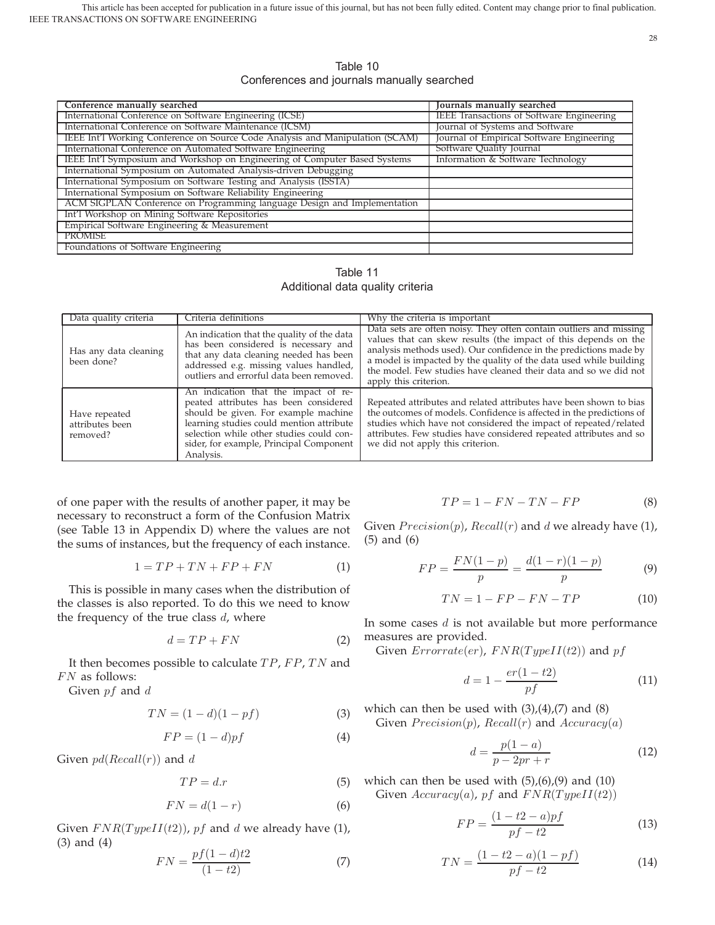Table 10 Conferences and journals manually searched

| Conference manually searched                                                  | Journals manually searched                       |
|-------------------------------------------------------------------------------|--------------------------------------------------|
| International Conference on Software Engineering (ICSE)                       | <b>IEEE Transactions of Software Engineering</b> |
| International Conference on Software Maintenance (ICSM)                       | Journal of Systems and Software                  |
| IEEE Int'l Working Conference on Source Code Analysis and Manipulation (SCAM) | Journal of Empirical Software Engineering        |
| International Conference on Automated Software Engineering                    | Software Quality Journal                         |
| IEEE Int'l Symposium and Workshop on Engineering of Computer Based Systems    | Information & Software Technology                |
| International Symposium on Automated Analysis-driven Debugging                |                                                  |
| International Symposium on Software Testing and Analysis (ISSTA)              |                                                  |
| International Symposium on Software Reliability Engineering                   |                                                  |
| ACM SIGPLAN Conference on Programming language Design and Implementation      |                                                  |
| Int'l Workshop on Mining Software Repositories                                |                                                  |
| Empirical Software Engineering & Measurement                                  |                                                  |
| <b>PROMISE</b>                                                                |                                                  |
| Foundations of Software Engineering                                           |                                                  |

Table 11 Additional data quality criteria

| Data quality criteria                        | Criteria definitions                                                                                                                                                                                                                                                  | Why the criteria is important                                                                                                                                                                                                                                                                                                                                                 |
|----------------------------------------------|-----------------------------------------------------------------------------------------------------------------------------------------------------------------------------------------------------------------------------------------------------------------------|-------------------------------------------------------------------------------------------------------------------------------------------------------------------------------------------------------------------------------------------------------------------------------------------------------------------------------------------------------------------------------|
| Has any data cleaning<br>been done?          | An indication that the quality of the data<br>has been considered is necessary and<br>that any data cleaning needed has been<br>addressed e.g. missing values handled,<br>outliers and errorful data been removed.                                                    | Data sets are often noisy. They often contain outliers and missing<br>values that can skew results (the impact of this depends on the<br>analysis methods used). Our confidence in the predictions made by<br>a model is impacted by the quality of the data used while building<br>the model. Few studies have cleaned their data and so we did not<br>apply this criterion. |
| Have repeated<br>attributes been<br>removed? | An indication that the impact of re-<br>peated attributes has been considered<br>should be given. For example machine<br>learning studies could mention attribute<br>selection while other studies could con-<br>sider, for example, Principal Component<br>Analysis. | Repeated attributes and related attributes have been shown to bias<br>the outcomes of models. Confidence is affected in the predictions of<br>studies which have not considered the impact of repeated/related<br>attributes. Few studies have considered repeated attributes and so<br>we did not apply this criterion.                                                      |

of one paper with the results of another paper, it may be necessary to reconstruct a form of the Confusion Matrix (see Table 13 in Appendix D) where the values are not the sums of instances, but the frequency of each instance.

$$
1 = TP + TN + FP + FN \tag{1}
$$

This is possible in many cases when the distribution of the classes is also reported. To do this we need to know the frequency of the true class  $d$ , where

$$
d = TP + FN \tag{2}
$$

It then becomes possible to calculate  $TP$ ,  $FP$ ,  $TN$  and  $FN$  as follows:

Given  $pf$  and  $d$ 

$$
TN = (1 - d)(1 - pf) \tag{3}
$$

$$
FP = (1 - d)pf \tag{4}
$$

Given  $pd(Recall(r))$  and d

$$
TP = d.r \tag{5}
$$

$$
FN = d(1 - r) \tag{6}
$$

Given  $FNR(TypelI(t2))$ , pf and d we already have (1), (3) and (4)

$$
FN = \frac{pf(1-d)t}{(1-t2)}
$$
 (7)

$$
TP = 1 - FN - TN - FP \tag{8}
$$

Given  $Precision(p)$ ,  $Recall(r)$  and d we already have (1), (5) and (6)

$$
FP = \frac{FN(1-p)}{p} = \frac{d(1-r)(1-p)}{p}
$$
 (9)

$$
TN = 1 - FP - FN - TP \tag{10}
$$

In some cases  $d$  is not available but more performance measures are provided.

Given  $Errorate(er)$ ,  $FNR(TypeII(t2))$  and  $pf$ 

$$
d = 1 - \frac{er(1 - t2)}{pf} \tag{11}
$$

which can then be used with  $(3)$ , $(4)$ , $(7)$  and  $(8)$ Given  $Precision(p)$ ,  $Recall(r)$  and  $Accuracy(a)$ 

$$
d = \frac{p(1-a)}{p-2pr+r} \tag{12}
$$

which can then be used with  $(5)$ , $(6)$ , $(9)$  and  $(10)$ Given  $Accuracy(a)$ , pf and  $FNR(TypeII(t2))$ 

$$
FP = \frac{(1 - t^2 - a)pf}{pf - t^2}
$$
 (13)

$$
TN = \frac{(1 - t^2 - a)(1 - pf)}{pf - t^2}
$$
 (14)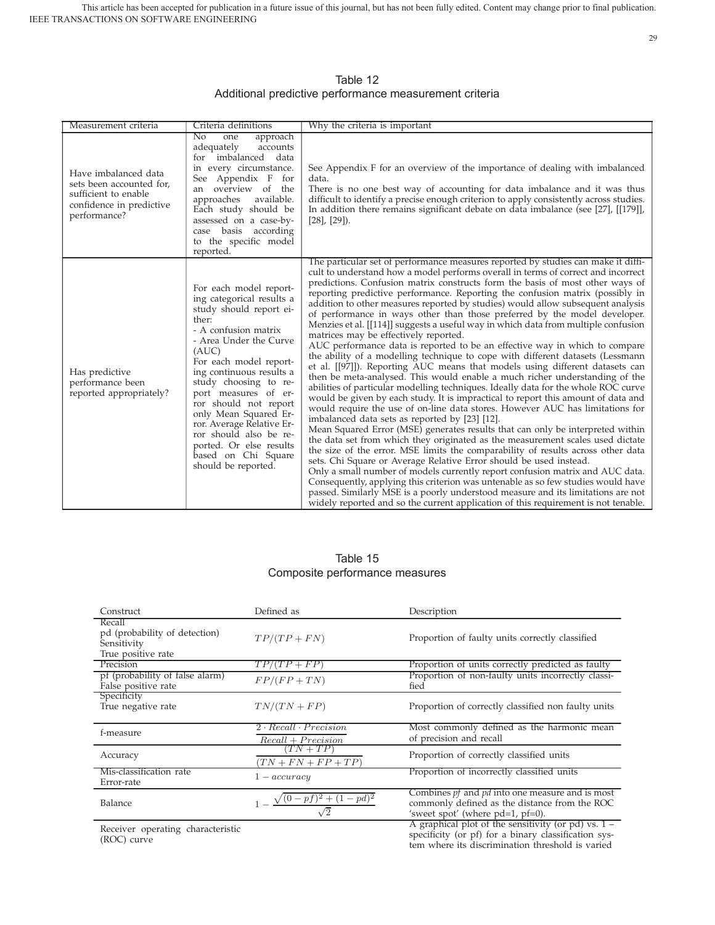29

Table 12 Additional predictive performance measurement criteria

| Measurement criteria                                                                                                 | Criteria definitions                                                                                                                                                                                                                                                                                                                                                                                                                        | Why the criteria is important                                                                                                                                                                                                                                                                                                                                                                                                                                                                                                                                                                                                                                                                                                                                                                                                                                                                                                                                                                                                                                                                                                                                                                                                                                                                                                                                                                                                                                                                                                                                                                                                                                                                                                                                                                                                                                                                                                                                      |
|----------------------------------------------------------------------------------------------------------------------|---------------------------------------------------------------------------------------------------------------------------------------------------------------------------------------------------------------------------------------------------------------------------------------------------------------------------------------------------------------------------------------------------------------------------------------------|--------------------------------------------------------------------------------------------------------------------------------------------------------------------------------------------------------------------------------------------------------------------------------------------------------------------------------------------------------------------------------------------------------------------------------------------------------------------------------------------------------------------------------------------------------------------------------------------------------------------------------------------------------------------------------------------------------------------------------------------------------------------------------------------------------------------------------------------------------------------------------------------------------------------------------------------------------------------------------------------------------------------------------------------------------------------------------------------------------------------------------------------------------------------------------------------------------------------------------------------------------------------------------------------------------------------------------------------------------------------------------------------------------------------------------------------------------------------------------------------------------------------------------------------------------------------------------------------------------------------------------------------------------------------------------------------------------------------------------------------------------------------------------------------------------------------------------------------------------------------------------------------------------------------------------------------------------------------|
| Have imbalanced data<br>sets been accounted for,<br>sufficient to enable<br>confidence in predictive<br>performance? | $\overline{N_{0}}$<br>approach<br>one<br>adequately<br>accounts<br>for imbalanced data<br>in every circumstance.<br>See Appendix F for<br>an overview of the<br>approaches<br>available.<br>Each study should be<br>assessed on a case-by-<br>case basis according<br>to the specific model<br>reported.                                                                                                                                    | See Appendix F for an overview of the importance of dealing with imbalanced<br>data.<br>There is no one best way of accounting for data imbalance and it was thus<br>difficult to identify a precise enough criterion to apply consistently across studies.<br>In addition there remains significant debate on data imbalance (see [27], [[179]],<br>$[28]$ , $[29]$ ).                                                                                                                                                                                                                                                                                                                                                                                                                                                                                                                                                                                                                                                                                                                                                                                                                                                                                                                                                                                                                                                                                                                                                                                                                                                                                                                                                                                                                                                                                                                                                                                            |
| Has predictive<br>performance been<br>reported appropriately?                                                        | For each model report-<br>ing categorical results a<br>study should report ei-<br>ther:<br>- A confusion matrix<br>- Area Under the Curve<br>(AUC)<br>For each model report-<br>ing continuous results a<br>study choosing to re-<br>port measures of er-<br>ror should not report<br>only Mean Squared Er-<br>ror. Average Relative Er-<br>ror should also be re-<br>ported. Or else results<br>based on Chi Square<br>should be reported. | The particular set of performance measures reported by studies can make it diffi-<br>cult to understand how a model performs overall in terms of correct and incorrect<br>predictions. Confusion matrix constructs form the basis of most other ways of<br>reporting predictive performance. Reporting the confusion matrix (possibly in<br>addition to other measures reported by studies) would allow subsequent analysis<br>of performance in ways other than those preferred by the model developer.<br>Menzies et al. [[114]] suggests a useful way in which data from multiple confusion<br>matrices may be effectively reported.<br>AUC performance data is reported to be an effective way in which to compare<br>the ability of a modelling technique to cope with different datasets (Lessmann<br>et al. [[97]]). Reporting AUC means that models using different datasets can<br>then be meta-analysed. This would enable a much richer understanding of the<br>abilities of particular modelling techniques. Ideally data for the whole ROC curve<br>would be given by each study. It is impractical to report this amount of data and<br>would require the use of on-line data stores. However AUC has limitations for<br>imbalanced data sets as reported by [23] [12].<br>Mean Squared Error (MSE) generates results that can only be interpreted within<br>the data set from which they originated as the measurement scales used dictate<br>the size of the error. MSE limits the comparability of results across other data<br>sets. Chi Square or Average Relative Error should be used instead.<br>Only a small number of models currently report confusion matrix and AUC data.<br>Consequently, applying this criterion was untenable as so few studies would have<br>passed. Similarly MSE is a poorly understood measure and its limitations are not<br>widely reported and so the current application of this requirement is not tenable. |

## Table 15 Composite performance measures

| Construct                                                                    | Defined as                                               | Description                                                                                                                                              |
|------------------------------------------------------------------------------|----------------------------------------------------------|----------------------------------------------------------------------------------------------------------------------------------------------------------|
| Recall<br>pd (probability of detection)<br>Sensitivity<br>True positive rate | $TP/(TP + FN)$                                           | Proportion of faulty units correctly classified                                                                                                          |
| Precision                                                                    | $TP/(TP + FP)$                                           | Proportion of units correctly predicted as faulty                                                                                                        |
| pf (probability of false alarm)<br>False positive rate                       | $FP/(FP + TN)$                                           | Proportion of non-faulty units incorrectly classi-<br>fied                                                                                               |
| Specificity<br>True negative rate                                            | $TN/(TN + FP)$                                           | Proportion of correctly classified non faulty units                                                                                                      |
| f-measure                                                                    | $2 \cdot Recall \cdot Precision$<br>$Recall + Precision$ | Most commonly defined as the harmonic mean<br>of precision and recall                                                                                    |
| Accuracy                                                                     | $(TN+TP)$<br>$(TN + FN + FP + TP)$                       | Proportion of correctly classified units                                                                                                                 |
| Mis-classification rate<br>Error-rate                                        | $1 - accuracy$                                           | Proportion of incorrectly classified units                                                                                                               |
| Balance                                                                      | $(1-pd)^2$<br>$(0-pf)^2 +$                               | Combines <i>pf</i> and <i>pd</i> into one measure and is most<br>commonly defined as the distance from the ROC<br>'sweet spot' (where $pd=1$ , $pf=0$ ). |
| Receiver operating characteristic                                            |                                                          | A graphical plot of the sensitivity (or pd) vs. $1 -$                                                                                                    |

rating characteristic (ROC) curve

specificity (or pf) for a binary classification system where its discrimination threshold is varied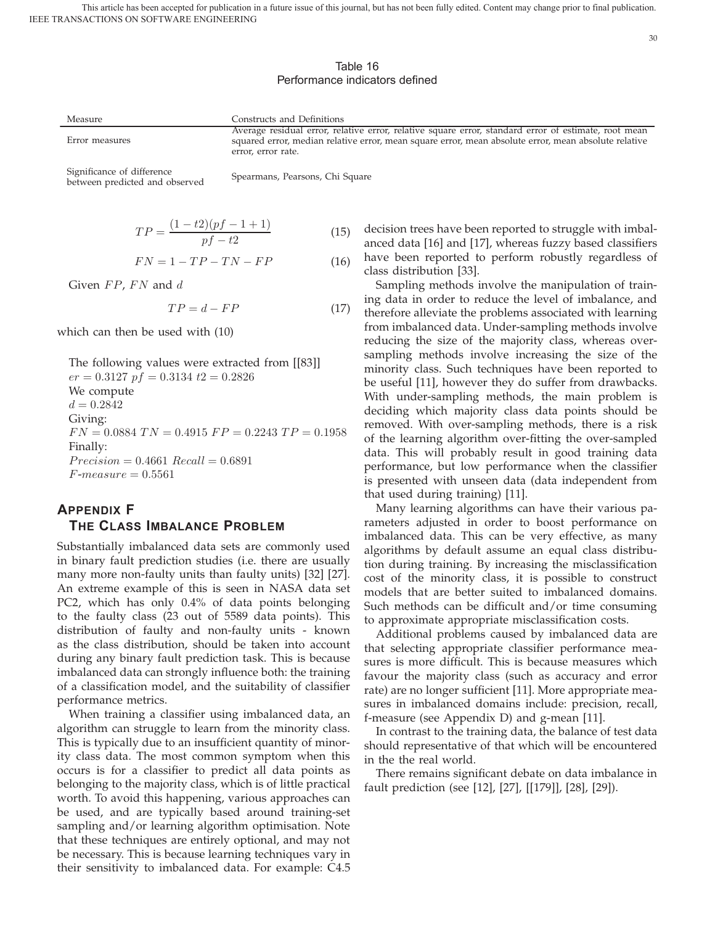## Table 16 Performance indicators defined

Measure **Constructs** and Definitions

error, error rate.

Significance of difference

Error measures

Significance of difference<br>between predicted and observed Spearmans, Pearsons, Chi Square

$$
TP = \frac{(1 - t2)(pf - 1 + 1)}{pf - t2} \tag{15}
$$

$$
FN = 1 - TP - TN - FP \tag{16}
$$

Given  $FP$ ,  $FN$  and  $d$ 

$$
TP = d - FP \tag{17}
$$

which can then be used with (10)

The following values were extracted from [[83]]  $er = 0.3127$  pf = 0.3134 t2 = 0.2826 We compute  $d = 0.2842$ Giving:  $FN = 0.0884$   $TN = 0.4915$   $FP = 0.2243$   $TP = 0.1958$ Finally:  $Precision = 0.4661$   $Recall = 0.6891$  $F-measure = 0.5561$ 

# **APPENDIX F THE CLASS IMBALANCE PROBLEM**

Substantially imbalanced data sets are commonly used in binary fault prediction studies (i.e. there are usually many more non-faulty units than faulty units) [32] [27]. An extreme example of this is seen in NASA data set PC2, which has only 0.4% of data points belonging to the faulty class (23 out of 5589 data points). This distribution of faulty and non-faulty units - known as the class distribution, should be taken into account during any binary fault prediction task. This is because imbalanced data can strongly influence both: the training of a classification model, and the suitability of classifier performance metrics.

When training a classifier using imbalanced data, an algorithm can struggle to learn from the minority class. This is typically due to an insufficient quantity of minority class data. The most common symptom when this occurs is for a classifier to predict all data points as belonging to the majority class, which is of little practical worth. To avoid this happening, various approaches can be used, and are typically based around training-set sampling and/or learning algorithm optimisation. Note that these techniques are entirely optional, and may not be necessary. This is because learning techniques vary in their sensitivity to imbalanced data. For example: C4.5

decision trees have been reported to struggle with imbalanced data [16] and [17], whereas fuzzy based classifiers have been reported to perform robustly regardless of class distribution [33].

Average residual error, relative error, relative square error, standard error of estimate, root mean squared error, median relative error, mean square error, mean absolute error, mean absolute relative

> Sampling methods involve the manipulation of training data in order to reduce the level of imbalance, and therefore alleviate the problems associated with learning from imbalanced data. Under-sampling methods involve reducing the size of the majority class, whereas oversampling methods involve increasing the size of the minority class. Such techniques have been reported to be useful [11], however they do suffer from drawbacks. With under-sampling methods, the main problem is deciding which majority class data points should be removed. With over-sampling methods, there is a risk of the learning algorithm over-fitting the over-sampled data. This will probably result in good training data performance, but low performance when the classifier is presented with unseen data (data independent from that used during training) [11].

> Many learning algorithms can have their various parameters adjusted in order to boost performance on imbalanced data. This can be very effective, as many algorithms by default assume an equal class distribution during training. By increasing the misclassification cost of the minority class, it is possible to construct models that are better suited to imbalanced domains. Such methods can be difficult and/or time consuming to approximate appropriate misclassification costs.

> Additional problems caused by imbalanced data are that selecting appropriate classifier performance measures is more difficult. This is because measures which favour the majority class (such as accuracy and error rate) are no longer sufficient [11]. More appropriate measures in imbalanced domains include: precision, recall, f-measure (see Appendix D) and g-mean [11].

> In contrast to the training data, the balance of test data should representative of that which will be encountered in the the real world.

> There remains significant debate on data imbalance in fault prediction (see [12], [27], [[179]], [28], [29]).